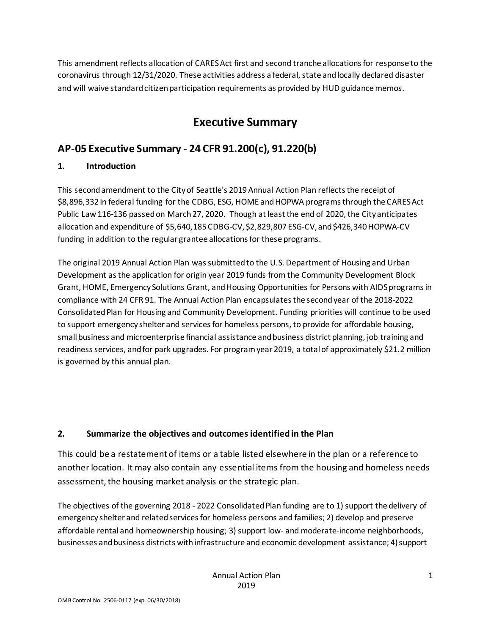This amendment reflects allocation of CARES Act first and second tranche allocations for response to the coronavirus through 12/31/2020. These activities address a federal, state and locally declared disaster and will waive standard citizen participation requirements as provided by HUD guidance memos.

# **Executive Summary**

# **AP-05 Executive Summary - 24 CFR 91.200(c), 91.220(b)**

## **1. Introduction**

This second amendment to the City of Seattle's 2019 Annual Action Plan reflects the receipt of \$8,896,332 in federal funding for the CDBG, ESG, HOME and HOPWA programs through the CARES Act Public Law 116-136 passed on March 27, 2020. Though at least the end of 2020, the City anticipates allocation and expenditure of \$5,640,185 CDBG-CV, \$2,829,807 ESG-CV, and \$426,340 HOPWA-CV funding in addition to the regular grantee allocations for these programs.

The original 2019 Annual Action Plan was submitted to the U.S. Department of Housing and Urban Development as the application for origin year 2019 funds from the Community Development Block Grant, HOME, Emergency Solutions Grant, and Housing Opportunities for Persons with AIDS programs in compliance with 24 CFR 91. The Annual Action Plan encapsulates the second year of the 2018-2022 Consolidated Plan for Housing and Community Development. Funding priorities will continue to be used to support emergency shelter and services for homeless persons, to provide for affordable housing, small business and microenterprise financial assistance and business district planning, job training and readiness services, and for park upgrades. For program year 2019, a total of approximately \$21.2 million is governed by this annual plan.

## **2. Summarize the objectives and outcomes identified in the Plan**

This could be a restatement of items or a table listed elsewhere in the plan or a reference to another location. It may also contain any essential items from the housing and homeless needs assessment, the housing market analysis or the strategic plan.

The objectives of the governing 2018 - 2022 Consolidated Plan funding are to 1) support the delivery of emergency shelter and related services for homeless persons and families; 2) develop and preserve affordable rental and homeownership housing; 3) support low- and moderate-income neighborhoods, businesses and business districts with infrastructure and economic development assistance; 4) support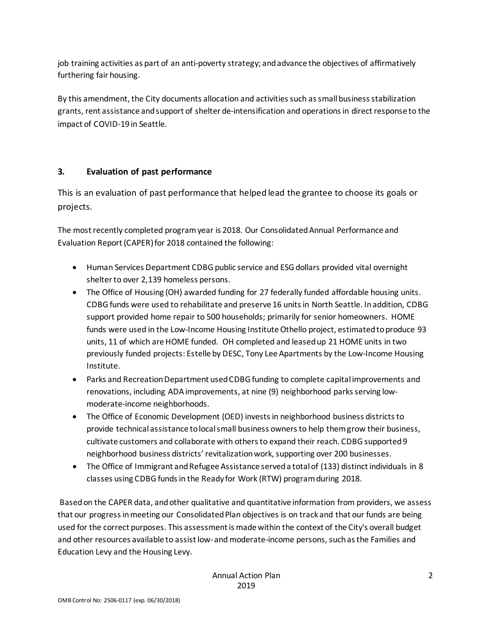job training activities as part of an anti-poverty strategy; and advance the objectives of affirmatively furthering fair housing.

By this amendment, the City documents allocation and activities such as small business stabilization grants, rent assistance and support of shelter de-intensification and operations in direct response to the impact of COVID-19 in Seattle.

### **3. Evaluation of past performance**

This is an evaluation of past performance that helped lead the grantee to choose its goals or projects.

The most recently completed program year is 2018. Our Consolidated Annual Performance and Evaluation Report (CAPER) for 2018 contained the following:

- Human Services Department CDBG public service and ESG dollars provided vital overnight shelter to over 2,139 homeless persons.
- The Office of Housing (OH) awarded funding for 27 federally funded affordable housing units. CDBG funds were used to rehabilitate and preserve 16 units in North Seattle. In addition, CDBG support provided home repair to 500 households; primarily for senior homeowners. HOME funds were used in the Low-Income Housing Institute Othello project, estimated to produce 93 units, 11 of which are HOME funded. OH completed and leased up 21 HOME units in two previously funded projects: Estelle by DESC, Tony Lee Apartments by the Low-Income Housing Institute.
- Parks and Recreation Department used CDBG funding to complete capital improvements and renovations, including ADA improvements, at nine (9) neighborhood parks serving lowmoderate-income neighborhoods.
- The Office of Economic Development (OED) invests in neighborhood business districts to provide technical assistance to local small business owners to help them grow their business, cultivate customers and collaborate with others to expand their reach. CDBG supported 9 neighborhood business districts' revitalization work, supporting over 200 businesses.
- The Office of Immigrant and Refugee Assistance serveda total of (133) distinct individuals in 8 classes using CDBG funds in the Ready for Work (RTW) program during 2018.

Based on the CAPER data, and other qualitative and quantitative information from providers, we assess that our progress in meeting our Consolidated Plan objectives is on track and that our funds are being used for the correct purposes. This assessment is made within the context of the City's overall budget and other resources available to assist low- and moderate-income persons, such as the Families and Education Levy and the Housing Levy.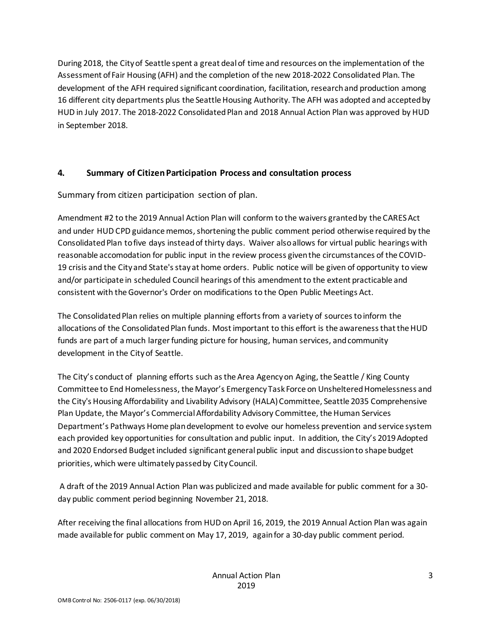During 2018, the City of Seattle spent a great deal of time and resources on the implementation of the Assessment of Fair Housing (AFH) and the completion of the new 2018-2022 Consolidated Plan. The development of the AFH required significant coordination, facilitation, research and production among 16 different city departments plus the Seattle Housing Authority. The AFH was adopted and accepted by HUD in July 2017. The 2018-2022 Consolidated Plan and 2018 Annual Action Plan was approved by HUD in September 2018.

#### **4. Summary of Citizen Participation Process and consultation process**

Summary from citizen participation section of plan.

Amendment #2 to the 2019 Annual Action Plan will conform to the waivers granted by the CARES Act and under HUD CPD guidance memos, shortening the public comment period otherwise required by the Consolidated Plan to five days instead of thirty days. Waiver also allows for virtual public hearings with reasonable accomodation for public input in the review process given the circumstances of the COVID-19 crisis and the City and State's stay at home orders. Public notice will be given of opportunity to view and/or participate in scheduled Council hearings of this amendment to the extent practicable and consistent with the Governor's Order on modifications to the Open Public Meetings Act.

The Consolidated Plan relies on multiple planning efforts from a variety of sources to inform the allocations of the Consolidated Plan funds. Most important to this effort is the awareness that the HUD funds are part of a much larger funding picture for housing, human services, and community development in the City of Seattle.

The City's conduct of planning efforts such as the Area Agency on Aging, the Seattle / King County Committee to End Homelessness, the Mayor's Emergency Task Force on Unsheltered Homelessness and the City's Housing Affordability and Livability Advisory (HALA) Committee, Seattle 2035 Comprehensive Plan Update, the Mayor's Commercial Affordability Advisory Committee, the Human Services Department's Pathways Home plan development to evolve our homeless prevention and service system each provided key opportunities for consultation and public input. In addition, the City's 2019 Adopted and 2020 Endorsed Budget included significant general public input and discussion to shape budget priorities, which were ultimately passed by City Council.

A draft of the 2019 Annual Action Plan was publicized and made available for public comment for a 30 day public comment period beginning November 21, 2018.

After receiving the final allocations from HUD on April 16, 2019, the 2019 Annual Action Plan was again made available for public comment on May 17, 2019, again for a 30-day public comment period.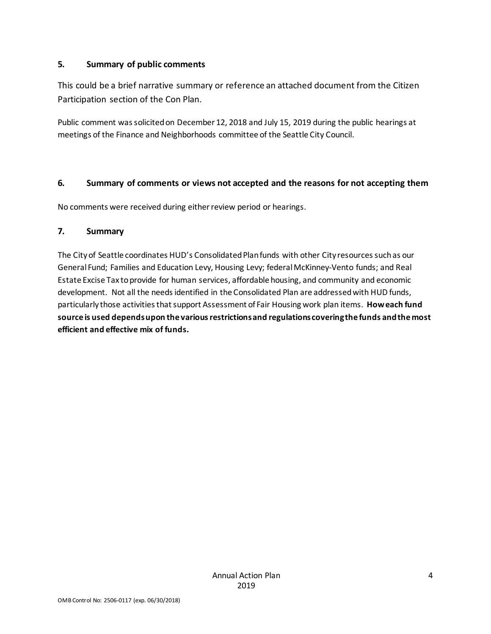#### **5. Summary of public comments**

This could be a brief narrative summary or reference an attached document from the Citizen Participation section of the Con Plan.

Public comment was solicited on December 12, 2018 and July 15, 2019 during the public hearings at meetings of the Finance and Neighborhoods committee of the Seattle City Council.

### **6. Summary of comments or views not accepted and the reasons for not accepting them**

No comments were received during either review period or hearings.

#### **7. Summary**

The City of Seattle coordinates HUD's Consolidated Plan funds with other City resources such as our General Fund; Families and Education Levy, Housing Levy; federal McKinney-Vento funds; and Real Estate Excise Tax to provide for human services, affordable housing, and community and economic development. Not all the needs identified in the Consolidated Plan are addressed with HUD funds, particularly those activities that support Assessment of Fair Housing work plan items. **How each fund source is used depends upon the various restrictions and regulations covering the funds and the most efficient and effective mix of funds.**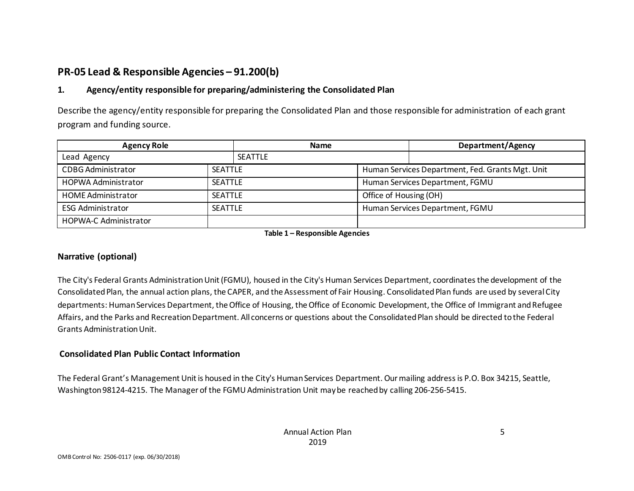# **PR-05 Lead & Responsible Agencies – 91.200(b)**

## **1. Agency/entity responsible for preparing/administering the Consolidated Plan**

Describe the agency/entity responsible for preparing the Consolidated Plan and those responsible for administration of each grant program and funding source.

| <b>Agency Role</b>                           |  | <b>Name</b>    |                        | Department/Agency                                |
|----------------------------------------------|--|----------------|------------------------|--------------------------------------------------|
| Lead Agency                                  |  | <b>SEATTLE</b> |                        |                                                  |
| <b>CDBG Administrator</b><br><b>SEATTLE</b>  |  |                |                        | Human Services Department, Fed. Grants Mgt. Unit |
| <b>HOPWA Administrator</b><br><b>SEATTLE</b> |  |                |                        | Human Services Department, FGMU                  |
| <b>HOME Administrator</b><br><b>SEATTLE</b>  |  |                | Office of Housing (OH) |                                                  |
| <b>ESG Administrator</b><br><b>SEATTLE</b>   |  |                |                        | Human Services Department, FGMU                  |
| <b>HOPWA-C Administrator</b>                 |  |                |                        |                                                  |

**Table 1 – Responsible Agencies**

#### **Narrative (optional)**

The City's Federal Grants Administration Unit (FGMU), housed in the City's Human Services Department, coordinates the development of the Consolidated Plan, the annual action plans, the CAPER, and the Assessment of Fair Housing. Consolidated Plan funds are used by several City departments: Human Services Department, the Office of Housing, the Office of Economic Development, the Office of Immigrant and Refugee Affairs, and the Parks and Recreation Department. All concerns or questions about the Consolidated Plan should be directed to the Federal Grants Administration Unit.

#### **Consolidated Plan Public Contact Information**

The Federal Grant's Management Unit is housed in the City's Human Services Department. Our mailing address is P.O. Box 34215, Seattle, Washington 98124-4215. The Manager of the FGMU Administration Unit may be reached by calling 206-256-5415.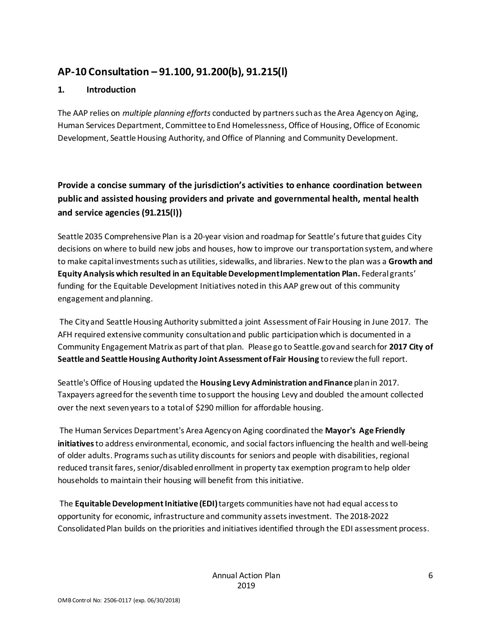## **AP-10 Consultation – 91.100, 91.200(b), 91.215(l)**

#### **1. Introduction**

The AAP relies on *multiple planning efforts* conducted by partners such as the Area Agency on Aging, Human Services Department, Committee to End Homelessness, Office of Housing, Office of Economic Development, Seattle Housing Authority, and Office of Planning and Community Development.

**Provide a concise summary of the jurisdiction's activities to enhance coordination between public and assisted housing providers and private and governmental health, mental health and service agencies (91.215(l))**

Seattle 2035 Comprehensive Plan is a 20-year vision and roadmap for Seattle's future that guides City decisions on where to build new jobs and houses, how to improve our transportation system, and where to make capital investments such as utilities, sidewalks, and libraries. New to the plan was a **Growth and Equity Analysis which resulted in an Equitable Development Implementation Plan.** Federal grants' funding for the Equitable Development Initiatives noted in this AAP grew out of this community engagement and planning.

The City and Seattle Housing Authority submitted a joint Assessment of Fair Housing in June 2017. The AFH required extensive community consultation and public participation which is documented in a Community Engagement Matrix as part of that plan. Please go to Seattle.gov and search for **2017 City of Seattle and Seattle Housing Authority Joint Assessment of Fair Housing** to review the full report.

Seattle's Office of Housing updated the **Housing Levy Administration and Finance** plan in 2017. Taxpayers agreed for the seventh time to support the housing Levy and doubled the amount collected over the next seven years to a total of \$290 million for affordable housing.

The Human Services Department's Area Agency on Aging coordinated the **Mayor's Age Friendly initiatives**to address environmental, economic, and social factors influencing the health and well-being of older adults. Programs such as utility discounts for seniors and people with disabilities, regional reduced transit fares, senior/disabled enrollment in property tax exemption program to help older households to maintain their housing will benefit from this initiative.

The **Equitable Development Initiative (EDI)**targets communities have not had equal access to opportunity for economic, infrastructure and community assets investment. The 2018-2022 Consolidated Plan builds on the priorities and initiatives identified through the EDI assessment process.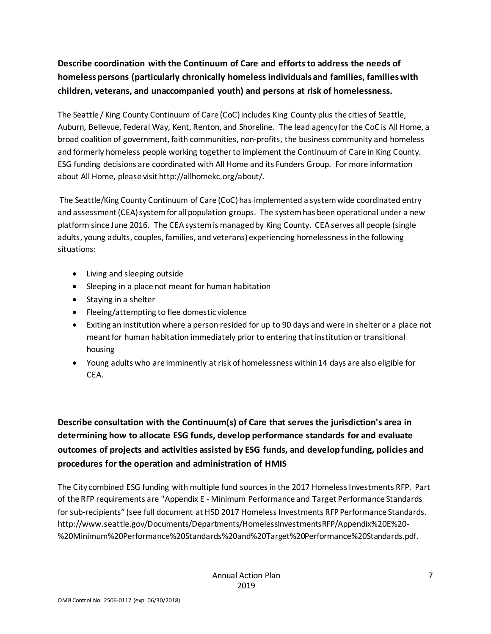## **Describe coordination with the Continuum of Care and efforts to address the needs of homeless persons (particularly chronically homeless individuals and families, families with children, veterans, and unaccompanied youth) and persons at risk of homelessness.**

The Seattle / King County Continuum of Care (CoC) includes King County plus the cities of Seattle, Auburn, Bellevue, Federal Way, Kent, Renton, and Shoreline. The lead agency for the CoC is All Home, a broad coalition of government, faith communities, non-profits, the business community and homeless and formerly homeless people working together to implement the Continuum of Care in King County. ESG funding decisions are coordinated with All Home and its Funders Group. For more information about All Home, please visit http://allhomekc.org/about/.

The Seattle/King County Continuum of Care (CoC) has implemented a system wide coordinated entry and assessment (CEA) system for all population groups. The system has been operational under a new platform since June 2016. The CEA system is managed by King County. CEA serves all people (single adults, young adults, couples, families, and veterans) experiencing homelessness in the following situations:

- Living and sleeping outside
- Sleeping in a place not meant for human habitation
- Staying in a shelter
- Fleeing/attempting to flee domestic violence
- Exiting an institution where a person resided for up to 90 days and were in shelter or a place not meant for human habitation immediately prior to entering that institution or transitional housing
- Young adults who are imminently at risk of homelessness within 14 days are also eligible for CEA.

**Describe consultation with the Continuum(s) of Care that serves the jurisdiction's area in determining how to allocate ESG funds, develop performance standards for and evaluate outcomes of projects and activities assisted by ESG funds, and develop funding, policies and procedures for the operation and administration of HMIS**

The City combined ESG funding with multiple fund sources in the 2017 Homeless Investments RFP. Part of the RFP requirements are "Appendix E - Minimum Performance and Target Performance Standards for sub-recipients" (see full document at HSD 2017 Homeless Investments RFP Performance Standards. http://www.seattle.gov/Documents/Departments/HomelessInvestmentsRFP/Appendix%20E%20- %20Minimum%20Performance%20Standards%20and%20Target%20Performance%20Standards.pdf.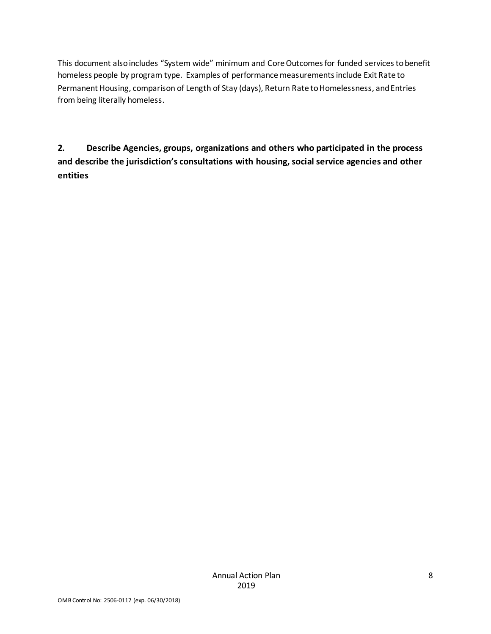This document also includes "System wide" minimum and Core Outcomes for funded services to benefit homeless people by program type. Examples of performance measurements include Exit Rate to Permanent Housing, comparison of Length of Stay (days), Return Rate to Homelessness, and Entries from being literally homeless.

**2. Describe Agencies, groups, organizations and others who participated in the process and describe the jurisdiction's consultations with housing, social service agencies and other entities**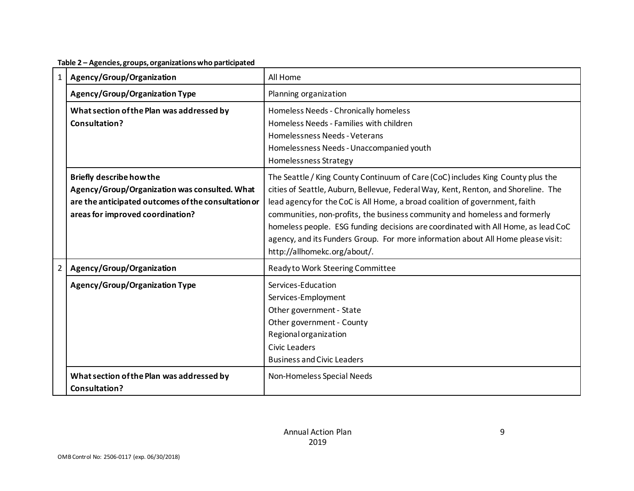**Table 2 – Agencies, groups, organizations who participated**

| $\mathbf{1}$ | Agency/Group/Organization                                                                                                                                                   | All Home                                                                                                                                                                                                                                                                                                                                                                                                                                                                                                                                    |
|--------------|-----------------------------------------------------------------------------------------------------------------------------------------------------------------------------|---------------------------------------------------------------------------------------------------------------------------------------------------------------------------------------------------------------------------------------------------------------------------------------------------------------------------------------------------------------------------------------------------------------------------------------------------------------------------------------------------------------------------------------------|
|              | <b>Agency/Group/Organization Type</b>                                                                                                                                       | Planning organization                                                                                                                                                                                                                                                                                                                                                                                                                                                                                                                       |
|              | What section of the Plan was addressed by<br>Consultation?                                                                                                                  | Homeless Needs - Chronically homeless<br>Homeless Needs - Families with children<br>Homelessness Needs - Veterans<br>Homelessness Needs - Unaccompanied youth<br>Homelessness Strategy                                                                                                                                                                                                                                                                                                                                                      |
|              | <b>Briefly describe how the</b><br>Agency/Group/Organization was consulted. What<br>are the anticipated outcomes of the consultation or<br>areas for improved coordination? | The Seattle / King County Continuum of Care (CoC) includes King County plus the<br>cities of Seattle, Auburn, Bellevue, Federal Way, Kent, Renton, and Shoreline. The<br>lead agency for the CoC is All Home, a broad coalition of government, faith<br>communities, non-profits, the business community and homeless and formerly<br>homeless people. ESG funding decisions are coordinated with All Home, as lead CoC<br>agency, and its Funders Group. For more information about All Home please visit:<br>http://allhomekc.org/about/. |
| $2^{\circ}$  | Agency/Group/Organization                                                                                                                                                   | Ready to Work Steering Committee                                                                                                                                                                                                                                                                                                                                                                                                                                                                                                            |
|              | <b>Agency/Group/Organization Type</b>                                                                                                                                       | Services-Education<br>Services-Employment<br>Other government - State<br>Other government - County<br>Regional organization<br><b>Civic Leaders</b><br><b>Business and Civic Leaders</b>                                                                                                                                                                                                                                                                                                                                                    |
|              | What section of the Plan was addressed by<br>Consultation?                                                                                                                  | Non-Homeless Special Needs                                                                                                                                                                                                                                                                                                                                                                                                                                                                                                                  |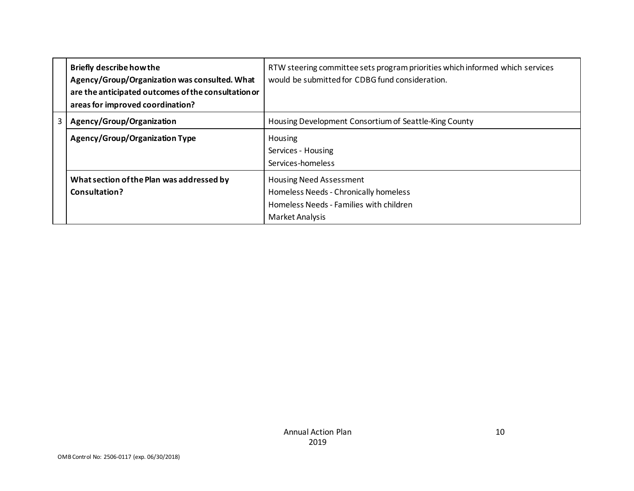|                | <b>Briefly describe how the</b><br>Agency/Group/Organization was consulted. What<br>are the anticipated outcomes of the consultation or<br>areas for improved coordination? | RTW steering committee sets program priorities which informed which services<br>would be submitted for CDBG fund consideration.       |
|----------------|-----------------------------------------------------------------------------------------------------------------------------------------------------------------------------|---------------------------------------------------------------------------------------------------------------------------------------|
| 3 <sup>1</sup> | Agency/Group/Organization                                                                                                                                                   | Housing Development Consortium of Seattle-King County                                                                                 |
|                | <b>Agency/Group/Organization Type</b>                                                                                                                                       | Housing<br>Services - Housing<br>Services-homeless                                                                                    |
|                | What section of the Plan was addressed by<br>Consultation?                                                                                                                  | <b>Housing Need Assessment</b><br>Homeless Needs - Chronically homeless<br>Homeless Needs - Families with children<br>Market Analysis |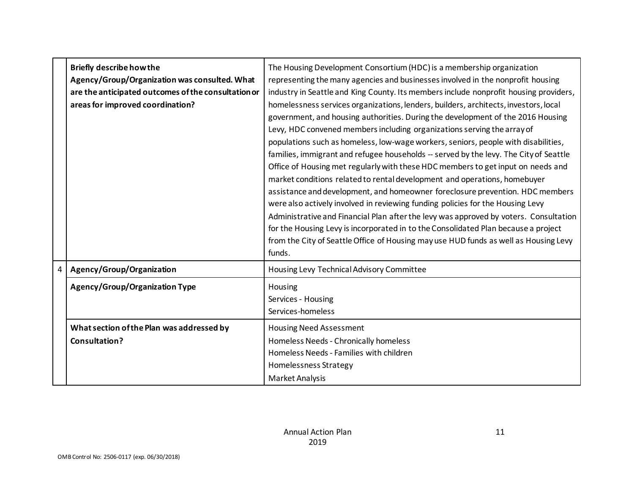|   | <b>Briefly describe how the</b><br>Agency/Group/Organization was consulted. What<br>are the anticipated outcomes of the consultation or<br>areas for improved coordination? | The Housing Development Consortium (HDC) is a membership organization<br>representing the many agencies and businesses involved in the nonprofit housing<br>industry in Seattle and King County. Its members include nonprofit housing providers,<br>homelessness services organizations, lenders, builders, architects, investors, local<br>government, and housing authorities. During the development of the 2016 Housing<br>Levy, HDC convened members including organizations serving the array of<br>populations such as homeless, low-wage workers, seniors, people with disabilities,<br>families, immigrant and refugee households -- served by the levy. The City of Seattle<br>Office of Housing met regularly with these HDC members to get input on needs and<br>market conditions related to rental development and operations, homebuyer<br>assistance and development, and homeowner foreclosure prevention. HDC members<br>were also actively involved in reviewing funding policies for the Housing Levy<br>Administrative and Financial Plan after the levy was approved by voters. Consultation<br>for the Housing Levy is incorporated in to the Consolidated Plan because a project<br>from the City of Seattle Office of Housing may use HUD funds as well as Housing Levy<br>funds. |
|---|-----------------------------------------------------------------------------------------------------------------------------------------------------------------------------|-------------------------------------------------------------------------------------------------------------------------------------------------------------------------------------------------------------------------------------------------------------------------------------------------------------------------------------------------------------------------------------------------------------------------------------------------------------------------------------------------------------------------------------------------------------------------------------------------------------------------------------------------------------------------------------------------------------------------------------------------------------------------------------------------------------------------------------------------------------------------------------------------------------------------------------------------------------------------------------------------------------------------------------------------------------------------------------------------------------------------------------------------------------------------------------------------------------------------------------------------------------------------------------------------------------|
| 4 | Agency/Group/Organization                                                                                                                                                   | Housing Levy Technical Advisory Committee                                                                                                                                                                                                                                                                                                                                                                                                                                                                                                                                                                                                                                                                                                                                                                                                                                                                                                                                                                                                                                                                                                                                                                                                                                                                   |
|   | <b>Agency/Group/Organization Type</b>                                                                                                                                       | Housing<br>Services - Housing<br>Services-homeless                                                                                                                                                                                                                                                                                                                                                                                                                                                                                                                                                                                                                                                                                                                                                                                                                                                                                                                                                                                                                                                                                                                                                                                                                                                          |
|   | What section of the Plan was addressed by<br>Consultation?                                                                                                                  | <b>Housing Need Assessment</b><br>Homeless Needs - Chronically homeless<br>Homeless Needs - Families with children<br>Homelessness Strategy<br><b>Market Analysis</b>                                                                                                                                                                                                                                                                                                                                                                                                                                                                                                                                                                                                                                                                                                                                                                                                                                                                                                                                                                                                                                                                                                                                       |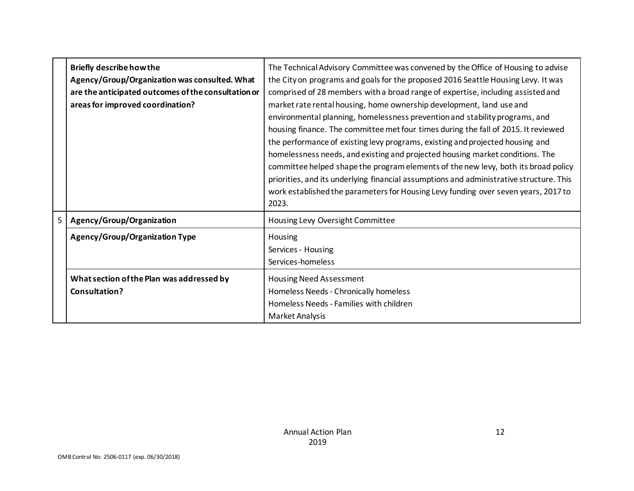|   | <b>Briefly describe how the</b><br>Agency/Group/Organization was consulted. What<br>are the anticipated outcomes of the consultation or<br>areas for improved coordination? | The Technical Advisory Committee was convened by the Office of Housing to advise<br>the City on programs and goals for the proposed 2016 Seattle Housing Levy. It was<br>comprised of 28 members with a broad range of expertise, including assisted and<br>market rate rental housing, home ownership development, land use and<br>environmental planning, homelessness prevention and stability programs, and<br>housing finance. The committee met four times during the fall of 2015. It reviewed<br>the performance of existing levy programs, existing and projected housing and<br>homelessness needs, and existing and projected housing market conditions. The<br>committee helped shape the program elements of the new levy, both its broad policy<br>priorities, and its underlying financial assumptions and administrative structure. This<br>work established the parameters for Housing Levy funding over seven years, 2017 to<br>2023. |
|---|-----------------------------------------------------------------------------------------------------------------------------------------------------------------------------|---------------------------------------------------------------------------------------------------------------------------------------------------------------------------------------------------------------------------------------------------------------------------------------------------------------------------------------------------------------------------------------------------------------------------------------------------------------------------------------------------------------------------------------------------------------------------------------------------------------------------------------------------------------------------------------------------------------------------------------------------------------------------------------------------------------------------------------------------------------------------------------------------------------------------------------------------------|
| 5 | Agency/Group/Organization                                                                                                                                                   | Housing Levy Oversight Committee                                                                                                                                                                                                                                                                                                                                                                                                                                                                                                                                                                                                                                                                                                                                                                                                                                                                                                                        |
|   | <b>Agency/Group/Organization Type</b>                                                                                                                                       | Housing<br>Services - Housing<br>Services-homeless                                                                                                                                                                                                                                                                                                                                                                                                                                                                                                                                                                                                                                                                                                                                                                                                                                                                                                      |
|   | What section of the Plan was addressed by<br>Consultation?                                                                                                                  | <b>Housing Need Assessment</b><br>Homeless Needs - Chronically homeless<br>Homeless Needs - Families with children<br>Market Analysis                                                                                                                                                                                                                                                                                                                                                                                                                                                                                                                                                                                                                                                                                                                                                                                                                   |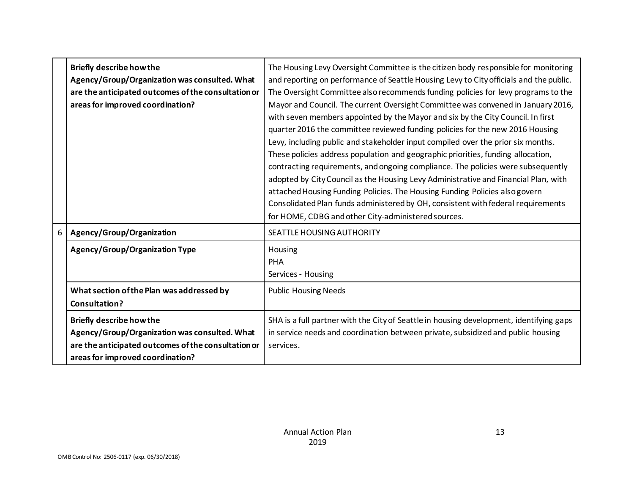|   | <b>Briefly describe how the</b><br>Agency/Group/Organization was consulted. What<br>are the anticipated outcomes of the consultation or<br>areas for improved coordination? | The Housing Levy Oversight Committee is the citizen body responsible for monitoring<br>and reporting on performance of Seattle Housing Levy to City officials and the public.<br>The Oversight Committee also recommends funding policies for levy programs to the<br>Mayor and Council. The current Oversight Committee was convened in January 2016,<br>with seven members appointed by the Mayor and six by the City Council. In first<br>quarter 2016 the committee reviewed funding policies for the new 2016 Housing<br>Levy, including public and stakeholder input compiled over the prior six months.<br>These policies address population and geographic priorities, funding allocation,<br>contracting requirements, and ongoing compliance. The policies were subsequently<br>adopted by City Council as the Housing Levy Administrative and Financial Plan, with<br>attached Housing Funding Policies. The Housing Funding Policies also govern<br>Consolidated Plan funds administered by OH, consistent with federal requirements<br>for HOME, CDBG and other City-administered sources. |
|---|-----------------------------------------------------------------------------------------------------------------------------------------------------------------------------|---------------------------------------------------------------------------------------------------------------------------------------------------------------------------------------------------------------------------------------------------------------------------------------------------------------------------------------------------------------------------------------------------------------------------------------------------------------------------------------------------------------------------------------------------------------------------------------------------------------------------------------------------------------------------------------------------------------------------------------------------------------------------------------------------------------------------------------------------------------------------------------------------------------------------------------------------------------------------------------------------------------------------------------------------------------------------------------------------------|
| 6 | Agency/Group/Organization<br><b>Agency/Group/Organization Type</b>                                                                                                          | SEATTLE HOUSING AUTHORITY<br>Housing                                                                                                                                                                                                                                                                                                                                                                                                                                                                                                                                                                                                                                                                                                                                                                                                                                                                                                                                                                                                                                                                    |
|   |                                                                                                                                                                             | <b>PHA</b><br>Services - Housing                                                                                                                                                                                                                                                                                                                                                                                                                                                                                                                                                                                                                                                                                                                                                                                                                                                                                                                                                                                                                                                                        |
|   | What section of the Plan was addressed by<br>Consultation?                                                                                                                  | <b>Public Housing Needs</b>                                                                                                                                                                                                                                                                                                                                                                                                                                                                                                                                                                                                                                                                                                                                                                                                                                                                                                                                                                                                                                                                             |
|   | <b>Briefly describe how the</b><br>Agency/Group/Organization was consulted. What<br>are the anticipated outcomes of the consultation or<br>areas for improved coordination? | SHA is a full partner with the City of Seattle in housing development, identifying gaps<br>in service needs and coordination between private, subsidized and public housing<br>services.                                                                                                                                                                                                                                                                                                                                                                                                                                                                                                                                                                                                                                                                                                                                                                                                                                                                                                                |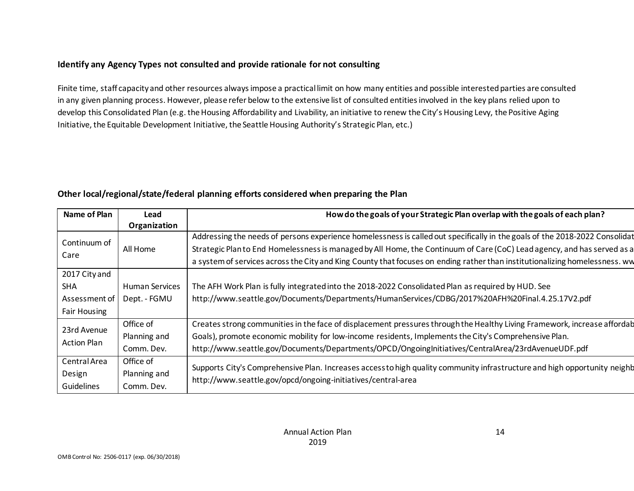#### **Identify any Agency Types not consulted and provide rationale for not consulting**

Finite time, staff capacity and other resources always impose a practical limit on how many entities and possible interested parties are consulted in any given planning process. However, please refer below to the extensive list of consulted entities involved in the key plans relied upon to develop this Consolidated Plan (e.g. the Housing Affordability and Livability, an initiative to renew the City's Housing Levy, the Positive Aging Initiative, the Equitable Development Initiative, the Seattle Housing Authority's Strategic Plan, etc.)

| Name of Plan        | Lead                  | How do the goals of your Strategic Plan overlap with the goals of each plan?                                                |
|---------------------|-----------------------|-----------------------------------------------------------------------------------------------------------------------------|
|                     | Organization          |                                                                                                                             |
| Continuum of        |                       | Addressing the needs of persons experience homelessness is called out specifically in the goals of the 2018-2022 Consolidat |
| Care                | All Home              | Strategic Planto End Homelessness is managed by All Home, the Continuum of Care (CoC) Lead agency, and has served as a      |
|                     |                       | a system of services across the City and King County that focuses on ending rather than institutionalizing homelessness. ww |
| 2017 City and       |                       |                                                                                                                             |
| <b>SHA</b>          | <b>Human Services</b> | The AFH Work Plan is fully integrated into the 2018-2022 Consolidated Plan as required by HUD. See                          |
| Assessment of       | Dept. - FGMU          | http://www.seattle.gov/Documents/Departments/HumanServices/CDBG/2017%20AFH%20Final.4.25.17V2.pdf                            |
| <b>Fair Housing</b> |                       |                                                                                                                             |
| 23rd Avenue         | Office of             | Creates strong communities in the face of displacement pressures through the Healthy Living Framework, increase affordab    |
|                     | Planning and          | Goals), promote economic mobility for low-income residents, Implements the City's Comprehensive Plan.                       |
| <b>Action Plan</b>  | Comm. Dev.            | http://www.seattle.gov/Documents/Departments/OPCD/OngoingInitiatives/CentralArea/23rdAvenueUDF.pdf                          |
| Central Area        | Office of             |                                                                                                                             |
| Design              | Planning and          | Supports City's Comprehensive Plan. Increases access to high quality community infrastructure and high opportunity neighb   |
| Guidelines          | Comm. Dev.            | http://www.seattle.gov/opcd/ongoing-initiatives/central-area                                                                |

### **Other local/regional/state/federal planning efforts considered when preparing the Plan**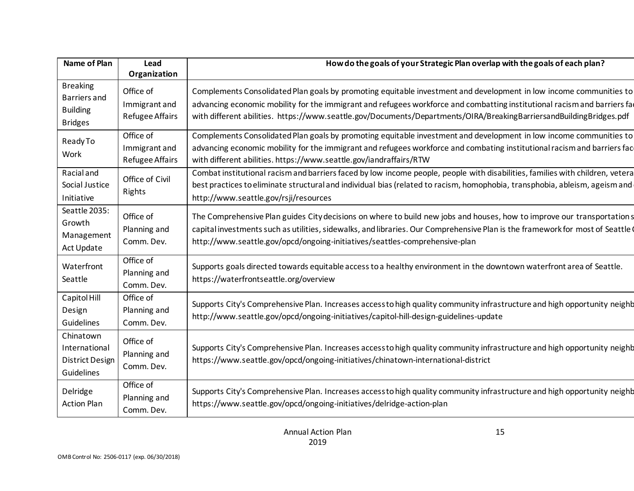| Name of Plan                                                                | Lead                                                 | How do the goals of your Strategic Plan overlap with the goals of each plan?                                                                                                                                                                                                                                                                                          |
|-----------------------------------------------------------------------------|------------------------------------------------------|-----------------------------------------------------------------------------------------------------------------------------------------------------------------------------------------------------------------------------------------------------------------------------------------------------------------------------------------------------------------------|
|                                                                             | Organization                                         |                                                                                                                                                                                                                                                                                                                                                                       |
| <b>Breaking</b><br><b>Barriers</b> and<br><b>Building</b><br><b>Bridges</b> | Office of<br>Immigrant and<br><b>Refugee Affairs</b> | Complements Consolidated Plan goals by promoting equitable investment and development in low income communities to<br>advancing economic mobility for the immigrant and refugees workforce and combatting institutional racism and barriers fa<br>with different abilities. https://www.seattle.gov/Documents/Departments/OIRA/BreakingBarriersandBuildingBridges.pdf |
| ReadyTo<br>Work                                                             | Office of<br>Immigrant and<br><b>Refugee Affairs</b> | Complements Consolidated Plan goals by promoting equitable investment and development in low income communities to<br>advancing economic mobility for the immigrant and refugees workforce and combating institutional racism and barriers fac<br>with different abilities. https://www.seattle.gov/iandraffairs/RTW                                                  |
| <b>Racial</b> and<br>Social Justice<br>Initiative                           | Office of Civil<br>Rights                            | Combat institutional racism and barriers faced by low income people, people with disabilities, families with children, vetera<br>best practices to eliminate structural and individual bias (related to racism, homophobia, transphobia, ableism, ageism and<br>http://www.seattle.gov/rsji/resources                                                                 |
| Seattle 2035:<br>Growth<br>Management<br>Act Update                         | Office of<br>Planning and<br>Comm. Dev.              | The Comprehensive Plan guides City decisions on where to build new jobs and houses, how to improve our transportations<br>capital investments such as utilities, sidewalks, and libraries. Our Comprehensive Plan is the framework for most of Seattle (<br>http://www.seattle.gov/opcd/ongoing-initiatives/seattles-comprehensive-plan                               |
| Waterfront<br>Seattle                                                       | Office of<br>Planning and<br>Comm. Dev.              | Supports goals directed towards equitable access to a healthy environment in the downtown waterfront area of Seattle.<br>https://waterfrontseattle.org/overview                                                                                                                                                                                                       |
| Capitol Hill<br>Design<br>Guidelines                                        | Office of<br>Planning and<br>Comm. Dev.              | Supports City's Comprehensive Plan. Increases access to high quality community infrastructure and high opportunity neighb<br>http://www.seattle.gov/opcd/ongoing-initiatives/capitol-hill-design-guidelines-update                                                                                                                                                    |
| Chinatown<br>International<br><b>District Design</b><br>Guidelines          | Office of<br>Planning and<br>Comm. Dev.              | Supports City's Comprehensive Plan. Increases access to high quality community infrastructure and high opportunity neighb<br>https://www.seattle.gov/opcd/ongoing-initiatives/chinatown-international-district                                                                                                                                                        |
| Delridge<br><b>Action Plan</b>                                              | Office of<br>Planning and<br>Comm. Dev.              | Supports City's Comprehensive Plan. Increases access to high quality community infrastructure and high opportunity neighb<br>https://www.seattle.gov/opcd/ongoing-initiatives/delridge-action-plan                                                                                                                                                                    |

15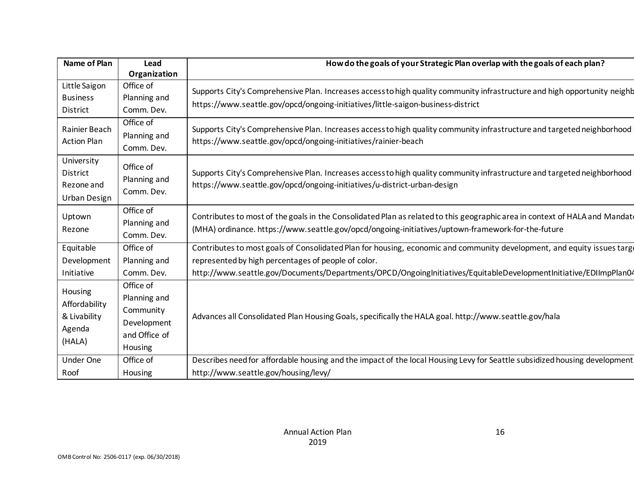| Name of Plan                                                 | Lead                                                                              | How do the goals of your Strategic Plan overlap with the goals of each plan?                                                                                                                                                                                                                       |
|--------------------------------------------------------------|-----------------------------------------------------------------------------------|----------------------------------------------------------------------------------------------------------------------------------------------------------------------------------------------------------------------------------------------------------------------------------------------------|
|                                                              | Organization                                                                      |                                                                                                                                                                                                                                                                                                    |
| Little Saigon<br><b>Business</b><br><b>District</b>          | Office of<br>Planning and<br>Comm. Dev.                                           | Supports City's Comprehensive Plan. Increases access to high quality community infrastructure and high opportunity neighb<br>https://www.seattle.gov/opcd/ongoing-initiatives/little-saigon-business-district                                                                                      |
| Rainier Beach<br><b>Action Plan</b>                          | Office of<br>Planning and<br>Comm. Dev.                                           | Supports City's Comprehensive Plan. Increases access to high quality community infrastructure and targeted neighborhood<br>https://www.seattle.gov/opcd/ongoing-initiatives/rainier-beach                                                                                                          |
| University<br><b>District</b><br>Rezone and<br>Urban Design  | Office of<br>Planning and<br>Comm. Dev.                                           | Supports City's Comprehensive Plan. Increases access to high quality community infrastructure and targeted neighborhood<br>https://www.seattle.gov/opcd/ongoing-initiatives/u-district-urban-design                                                                                                |
| Uptown<br>Rezone                                             | Office of<br>Planning and<br>Comm. Dev.                                           | Contributes to most of the goals in the Consolidated Plan as related to this geographic area in context of HALA and Mandate<br>(MHA) ordinance. https://www.seattle.gov/opcd/ongoing-initiatives/uptown-framework-for-the-future                                                                   |
| Equitable<br>Development<br>Initiative                       | Office of<br>Planning and<br>Comm. Dev.                                           | Contributes to most goals of Consolidated Plan for housing, economic and community development, and equity issues targe<br>represented by high percentages of people of color.<br>http://www.seattle.gov/Documents/Departments/OPCD/OngoingInitiatives/EquitableDevelopmentInitiative/EDIImpPlan04 |
| Housing<br>Affordability<br>& Livability<br>Agenda<br>(HALA) | Office of<br>Planning and<br>Community<br>Development<br>and Office of<br>Housing | Advances all Consolidated Plan Housing Goals, specifically the HALA goal. http://www.seattle.gov/hala                                                                                                                                                                                              |
| <b>Under One</b>                                             | Office of                                                                         | Describes need for affordable housing and the impact of the local Housing Levy for Seattle subsidized housing development                                                                                                                                                                          |
| Roof                                                         | <b>Housing</b>                                                                    | http://www.seattle.gov/housing/levy/                                                                                                                                                                                                                                                               |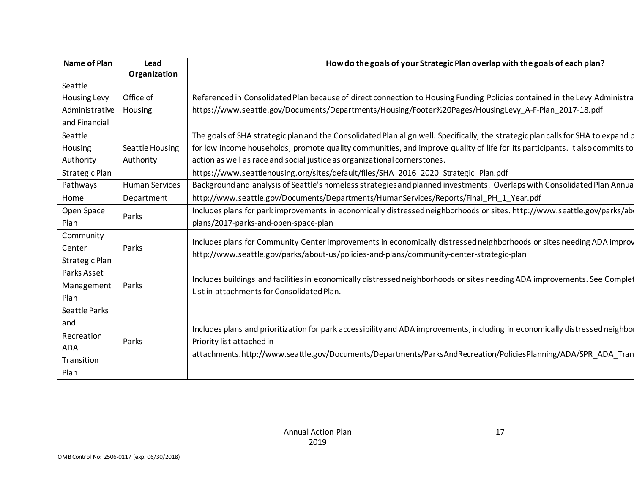| Name of Plan          | Lead                  | How do the goals of your Strategic Plan overlap with the goals of each plan?                                                     |
|-----------------------|-----------------------|----------------------------------------------------------------------------------------------------------------------------------|
| Seattle               | Organization          |                                                                                                                                  |
| Housing Levy          | Office of             | Referenced in Consolidated Plan because of direct connection to Housing Funding Policies contained in the Levy Administra        |
| Administrative        | Housing               | https://www.seattle.gov/Documents/Departments/Housing/Footer%20Pages/HousingLevy_A-F-Plan_2017-18.pdf                            |
| and Financial         |                       |                                                                                                                                  |
|                       |                       |                                                                                                                                  |
| Seattle               |                       | The goals of SHA strategic plan and the Consolidated Plan align well. Specifically, the strategic plan calls for SHA to expand p |
| Housing               | Seattle Housing       | for low income households, promote quality communities, and improve quality of life for its participants. It also commits to     |
| Authority             | Authority             | action as well as race and social justice as organizational cornerstones.                                                        |
| <b>Strategic Plan</b> |                       | https://www.seattlehousing.org/sites/default/files/SHA_2016_2020_Strategic_Plan.pdf                                              |
| Pathways              | <b>Human Services</b> | Background and analysis of Seattle's homeless strategies and planned investments. Overlaps with Consolidated Plan Annua          |
| Home                  | Department            | http://www.seattle.gov/Documents/Departments/HumanServices/Reports/Final_PH_1_Year.pdf                                           |
| Open Space            | Parks                 | Includes plans for park improvements in economically distressed neighborhoods or sites. http://www.seattle.gov/parks/ab          |
| Plan                  |                       | plans/2017-parks-and-open-space-plan                                                                                             |
| Community             |                       | Includes plans for Community Center improvements in economically distressed neighborhoods or sites needing ADA improv            |
| Center                | Parks                 | http://www.seattle.gov/parks/about-us/policies-and-plans/community-center-strategic-plan                                         |
| <b>Strategic Plan</b> |                       |                                                                                                                                  |
| Parks Asset           |                       | Includes buildings and facilities in economically distressed neighborhoods or sites needing ADA improvements. See Complet        |
| Management            | Parks                 | List in attachments for Consolidated Plan.                                                                                       |
| Plan                  |                       |                                                                                                                                  |
| Seattle Parks         |                       |                                                                                                                                  |
| and                   |                       |                                                                                                                                  |
| Recreation            |                       | Includes plans and prioritization for park accessibility and ADA improvements, including in economically distressed neighbor     |
| <b>ADA</b>            | Parks                 | Priority list attached in                                                                                                        |
| Transition            |                       | attachments.http://www.seattle.gov/Documents/Departments/ParksAndRecreation/PoliciesPlanning/ADA/SPR_ADA_Tran                    |
| Plan                  |                       |                                                                                                                                  |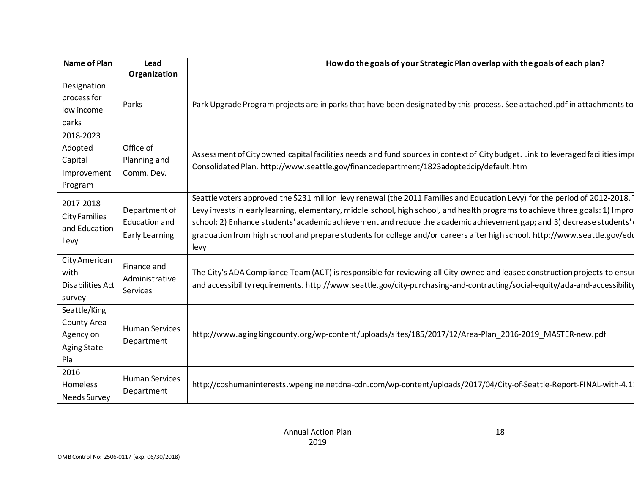| Name of Plan                                                          | Lead                                                           | How do the goals of your Strategic Plan overlap with the goals of each plan?                                                                                                                                                                                                                                                                                                                                                                                                                                            |
|-----------------------------------------------------------------------|----------------------------------------------------------------|-------------------------------------------------------------------------------------------------------------------------------------------------------------------------------------------------------------------------------------------------------------------------------------------------------------------------------------------------------------------------------------------------------------------------------------------------------------------------------------------------------------------------|
|                                                                       | Organization                                                   |                                                                                                                                                                                                                                                                                                                                                                                                                                                                                                                         |
| Designation<br>process for<br>low income<br>parks                     | Parks                                                          | Park Upgrade Program projects are in parks that have been designated by this process. See attached.pdf in attachments to                                                                                                                                                                                                                                                                                                                                                                                                |
| 2018-2023<br>Adopted<br>Capital<br>Improvement<br>Program             | Office of<br>Planning and<br>Comm. Dev.                        | Assessment of City owned capital facilities needs and fund sources in context of City budget. Link to leveraged facilities impr<br>Consolidated Plan. http://www.seattle.gov/financedepartment/1823adoptedcip/default.htm                                                                                                                                                                                                                                                                                               |
| 2017-2018<br><b>City Families</b><br>and Education<br>Levy            | Department of<br><b>Education and</b><br><b>Early Learning</b> | Seattle voters approved the \$231 million levy renewal (the 2011 Families and Education Levy) for the period of 2012-2018.<br>Levy invests in early learning, elementary, middle school, high school, and health programs to achieve three goals: 1) Impro<br>school; 2) Enhance students' academic achievement and reduce the academic achievement gap; and 3) decrease students'<br>graduation from high school and prepare students for college and/or careers after high school. http://www.seattle.gov/edu<br>levy |
| City American<br>with<br><b>Disabilities Act</b><br>survey            | Finance and<br>Administrative<br>Services                      | The City's ADA Compliance Team (ACT) is responsible for reviewing all City-owned and leased construction projects to ensur<br>and accessibility requirements. http://www.seattle.gov/city-purchasing-and-contracting/social-equity/ada-and-accessibility                                                                                                                                                                                                                                                                |
| Seattle/King<br>County Area<br>Agency on<br><b>Aging State</b><br>Pla | <b>Human Services</b><br>Department                            | http://www.agingkingcounty.org/wp-content/uploads/sites/185/2017/12/Area-Plan_2016-2019_MASTER-new.pdf                                                                                                                                                                                                                                                                                                                                                                                                                  |
| 2016<br>Homeless<br><b>Needs Survey</b>                               | <b>Human Services</b><br>Department                            | http://coshumaninterests.wpengine.netdna-cdn.com/wp-content/uploads/2017/04/City-of-Seattle-Report-FINAL-with-4.1                                                                                                                                                                                                                                                                                                                                                                                                       |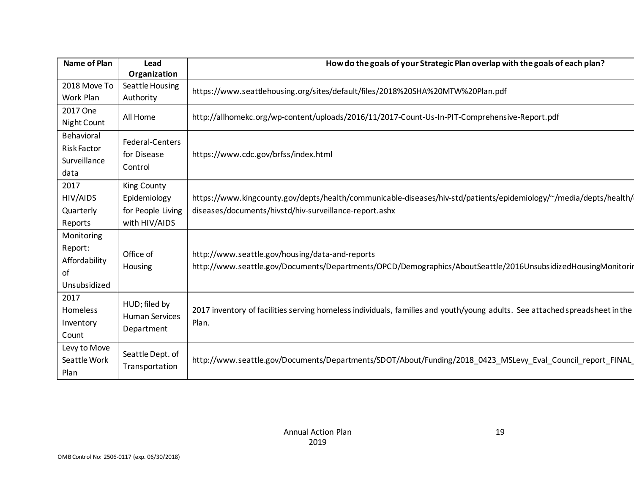| <b>Name of Plan</b> | Lead                  | How do the goals of your Strategic Plan overlap with the goals of each plan?                                                |
|---------------------|-----------------------|-----------------------------------------------------------------------------------------------------------------------------|
|                     | Organization          |                                                                                                                             |
| 2018 Move To        | Seattle Housing       | https://www.seattlehousing.org/sites/default/files/2018%20SHA%20MTW%20Plan.pdf                                              |
| Work Plan           | Authority             |                                                                                                                             |
| 2017 One            | All Home              | http://allhomekc.org/wp-content/uploads/2016/11/2017-Count-Us-In-PIT-Comprehensive-Report.pdf                               |
| Night Count         |                       |                                                                                                                             |
| Behavioral          | Federal-Centers       |                                                                                                                             |
| <b>Risk Factor</b>  | for Disease           |                                                                                                                             |
| Surveillance        |                       | https://www.cdc.gov/brfss/index.html                                                                                        |
| data                | Control               |                                                                                                                             |
| 2017                | <b>King County</b>    |                                                                                                                             |
| HIV/AIDS            | Epidemiology          | https://www.kingcounty.gov/depts/health/communicable-diseases/hiv-std/patients/epidemiology/~/media/depts/health/           |
| Quarterly           | for People Living     | diseases/documents/hivstd/hiv-surveillance-report.ashx                                                                      |
| Reports             | with HIV/AIDS         |                                                                                                                             |
| Monitoring          |                       |                                                                                                                             |
| Report:             |                       |                                                                                                                             |
| Affordability       | Office of             | http://www.seattle.gov/housing/data-and-reports                                                                             |
| of                  | Housing               | http://www.seattle.gov/Documents/Departments/OPCD/Demographics/AboutSeattle/2016UnsubsidizedHousingMonitorir                |
| Unsubsidized        |                       |                                                                                                                             |
| 2017                |                       |                                                                                                                             |
| <b>Homeless</b>     | HUD; filed by         | 2017 inventory of facilities serving homeless individuals, families and youth/young adults. See attached spreadsheet in the |
| Inventory           | <b>Human Services</b> | Plan.                                                                                                                       |
|                     | Department            |                                                                                                                             |
| Count               |                       |                                                                                                                             |
| Levy to Move        | Seattle Dept. of      |                                                                                                                             |
| Seattle Work        | Transportation        | http://www.seattle.gov/Documents/Departments/SDOT/About/Funding/2018_0423_MSLevy_Eval_Council_report_FINAL_                 |
| Plan                |                       |                                                                                                                             |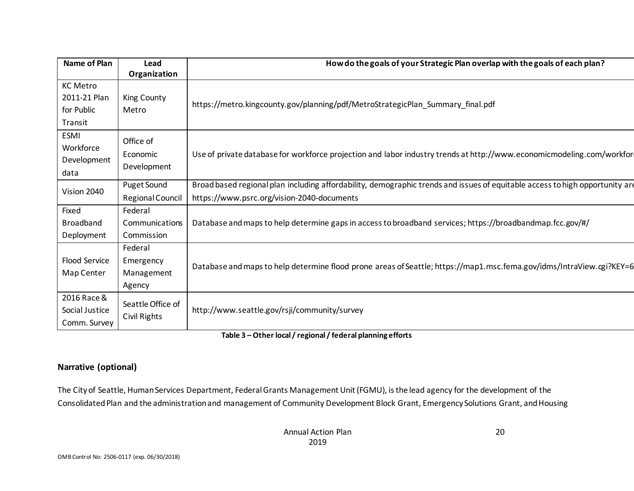| Name of Plan                                             | Lead                                 | How do the goals of your Strategic Plan overlap with the goals of each plan?                                                 |
|----------------------------------------------------------|--------------------------------------|------------------------------------------------------------------------------------------------------------------------------|
|                                                          | Organization                         |                                                                                                                              |
| <b>KC Metro</b><br>2011-21 Plan<br>for Public<br>Transit | King County<br>Metro                 | https://metro.kingcounty.gov/planning/pdf/MetroStrategicPlan_Summary_final.pdf                                               |
| <b>ESMI</b><br>Workforce<br>Development<br>data          | Office of<br>Economic<br>Development | Use of private database for workforce projection and labor industry trends at http://www.economicmodeling.com/workfor        |
| Vision 2040                                              | Puget Sound                          | Broad based regional plan including affordability, demographic trends and issues of equitable access to high opportunity are |
|                                                          | Regional Council                     | https://www.psrc.org/vision-2040-documents                                                                                   |
| Fixed                                                    | Federal                              |                                                                                                                              |
| <b>Broadband</b>                                         | Communications                       | Database and maps to help determine gaps in access to broadband services; https://broadbandmap.fcc.gov/#/                    |
| Deployment                                               | Commission                           |                                                                                                                              |
|                                                          | Federal                              |                                                                                                                              |
| <b>Flood Service</b>                                     | Emergency                            | Database and maps to help determine flood prone areas of Seattle; https://map1.msc.fema.gov/idms/IntraView.cgi?KEY=6         |
| Map Center                                               | Management                           |                                                                                                                              |
|                                                          | Agency                               |                                                                                                                              |
| 2016 Race &<br>Social Justice<br>Comm. Survey            | Seattle Office of<br>Civil Rights    | http://www.seattle.gov/rsji/community/survey                                                                                 |

**Table 3 – Other local / regional / federal planning efforts**

#### **Narrative (optional)**

The City of Seattle, Human Services Department, Federal Grants Management Unit (FGMU), is the lead agency for the development of the Consolidated Plan and the administration and management of Community Development Block Grant, Emergency Solutions Grant, and Housing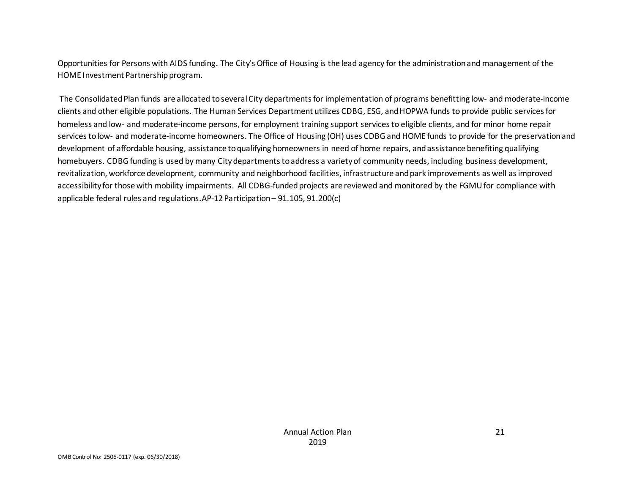Opportunities for Persons with AIDS funding. The City's Office of Housing is the lead agency for the administration and management of the HOME Investment Partnership program.

The Consolidated Plan funds are allocated to several City departments for implementation of programs benefitting low- and moderate-income clients and other eligible populations. The Human Services Department utilizes CDBG, ESG, and HOPWA funds to provide public services for homeless and low- and moderate-income persons, for employment training support services to eligible clients, and for minor home repair services to low- and moderate-income homeowners. The Office of Housing (OH) uses CDBG and HOME funds to provide for the preservation and development of affordable housing, assistance to qualifying homeowners in need of home repairs, and assistance benefiting qualifying homebuyers. CDBG funding is used by many City departments to address a variety of community needs, including business development, revitalization, workforce development, community and neighborhood facilities, infrastructure and park improvements as well asimproved accessibility for those with mobility impairments. All CDBG-funded projects are reviewed and monitored by the FGMU for compliance with applicable federal rules and regulations.AP-12 Participation – 91.105, 91.200(c)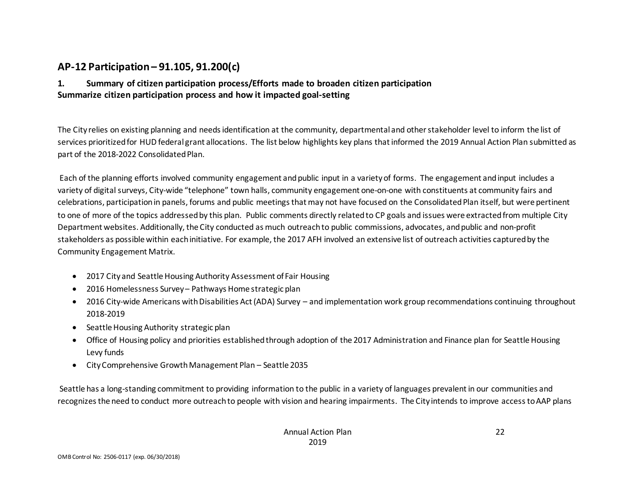## **AP-12 Participation – 91.105, 91.200(c)**

#### **1. Summary of citizen participation process/Efforts made to broaden citizen participation Summarize citizen participation process and how it impacted goal-setting**

The City relies on existing planning and needs identification at the community, departmental and other stakeholder level to inform the list of services prioritized for HUD federal grant allocations. The list below highlights key plans that informed the 2019 Annual Action Plan submitted as part of the 2018-2022 Consolidated Plan.

Each of the planning efforts involved community engagement and public input in a variety of forms. The engagement and input includes a variety of digital surveys, City-wide "telephone" town halls, community engagement one-on-one with constituents at community fairs and celebrations, participation in panels, forums and public meetings that may not have focused on the Consolidated Plan itself, but were pertinent to one of more of the topics addressed by this plan. Public comments directly related to CP goals and issues were extracted from multiple City Department websites. Additionally, the City conducted as much outreach to public commissions, advocates, and public and non-profit stakeholders as possible within each initiative. For example, the 2017 AFH involved an extensive list of outreach activities captured by the Community Engagement Matrix.

- 2017 City and Seattle Housing Authority Assessment of Fair Housing
- 2016 Homelessness Survey Pathways Home strategic plan
- 2016 City-wide Americans with Disabilities Act (ADA) Survey and implementation work group recommendations continuing throughout 2018-2019
- Seattle Housing Authority strategic plan
- Office of Housing policy and priorities established through adoption of the 2017 Administration and Finance plan for Seattle Housing Levy funds
- City Comprehensive Growth Management Plan Seattle 2035

Seattle has a long-standing commitment to providing information to the public in a variety of languages prevalent in our communities and recognizes the need to conduct more outreach to people with vision and hearing impairments. The City intends to improve access to AAP plans

22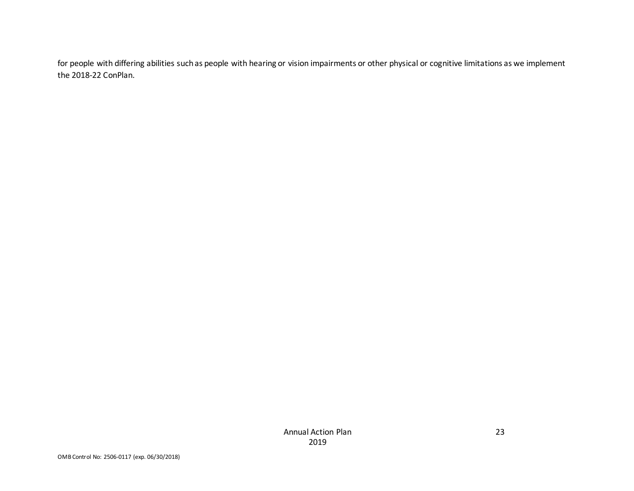for people with differing abilities such as people with hearing or vision impairments or other physical or cognitive limitations as we implement the 2018-22 ConPlan.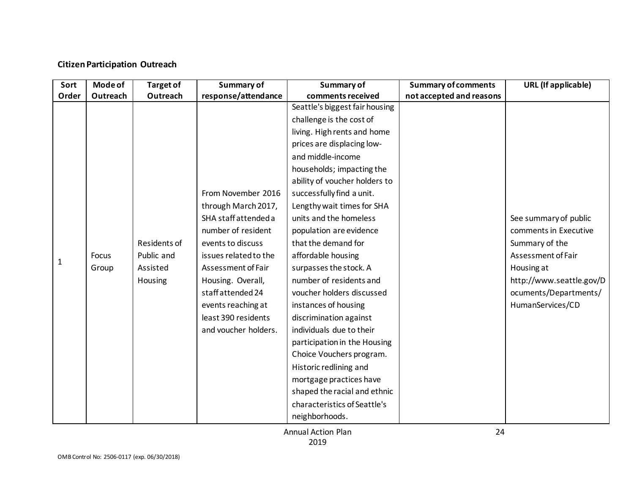### **Citizen Participation Outreach**

| Sort         | <b>Mode of</b> | <b>Target of</b> | Summary of            | Summary of                     | <b>Summary of comments</b> | <b>URL</b> (If applicable) |
|--------------|----------------|------------------|-----------------------|--------------------------------|----------------------------|----------------------------|
| Order        | Outreach       | Outreach         | response/attendance   | comments received              | not accepted and reasons   |                            |
|              |                |                  |                       | Seattle's biggest fair housing |                            |                            |
|              |                |                  |                       | challenge is the cost of       |                            |                            |
|              |                |                  |                       | living. High rents and home    |                            |                            |
|              |                |                  |                       | prices are displacing low-     |                            |                            |
|              |                |                  |                       | and middle-income              |                            |                            |
|              |                |                  |                       | households; impacting the      |                            |                            |
|              |                |                  |                       | ability of voucher holders to  |                            |                            |
|              |                |                  | From November 2016    | successfully find a unit.      |                            |                            |
|              |                |                  | through March 2017,   | Lengthy wait times for SHA     |                            |                            |
|              |                |                  | SHA staff attended a  | units and the homeless         |                            | See summary of public      |
|              |                |                  | number of resident    | population are evidence        |                            | comments in Executive      |
|              |                | Residents of     | events to discuss     | that the demand for            |                            | Summary of the             |
|              | Focus          | Public and       | issues related to the | affordable housing             |                            | Assessment of Fair         |
| $\mathbf{1}$ | Group          | Assisted         | Assessment of Fair    | surpasses the stock. A         |                            | Housing at                 |
|              |                | Housing          | Housing. Overall,     | number of residents and        |                            | http://www.seattle.gov/D   |
|              |                |                  | staff attended 24     | voucher holders discussed      |                            | ocuments/Departments/      |
|              |                |                  | events reaching at    | instances of housing           |                            | HumanServices/CD           |
|              |                |                  | least 390 residents   | discrimination against         |                            |                            |
|              |                |                  | and voucher holders.  | individuals due to their       |                            |                            |
|              |                |                  |                       | participation in the Housing   |                            |                            |
|              |                |                  |                       | Choice Vouchers program.       |                            |                            |
|              |                |                  |                       | Historic redlining and         |                            |                            |
|              |                |                  |                       | mortgage practices have        |                            |                            |
|              |                |                  |                       | shaped the racial and ethnic   |                            |                            |
|              |                |                  |                       | characteristics of Seattle's   |                            |                            |
|              |                |                  |                       | neighborhoods.                 |                            |                            |

Annual Action Plan 2019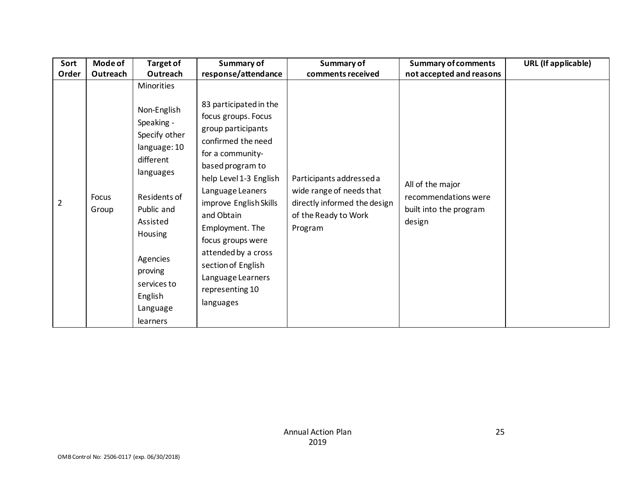| Sort           | <b>Mode of</b> | <b>Target of</b>                                                                                                                                                                                                                 | Summary of                                                                                                                                                                                                                                                                                                                                                        | Summary of                                                                                                              | <b>Summary of comments</b>                                                   | URL (If applicable) |
|----------------|----------------|----------------------------------------------------------------------------------------------------------------------------------------------------------------------------------------------------------------------------------|-------------------------------------------------------------------------------------------------------------------------------------------------------------------------------------------------------------------------------------------------------------------------------------------------------------------------------------------------------------------|-------------------------------------------------------------------------------------------------------------------------|------------------------------------------------------------------------------|---------------------|
| Order          | Outreach       | Outreach                                                                                                                                                                                                                         | response/attendance                                                                                                                                                                                                                                                                                                                                               | comments received                                                                                                       | not accepted and reasons                                                     |                     |
| $\overline{2}$ | Focus<br>Group | Minorities<br>Non-English<br>Speaking -<br>Specify other<br>language: 10<br>different<br>languages<br>Residents of<br>Public and<br>Assisted<br>Housing<br>Agencies<br>proving<br>services to<br>English<br>Language<br>learners | 83 participated in the<br>focus groups. Focus<br>group participants<br>confirmed the need<br>for a community-<br>based program to<br>help Level 1-3 English<br>Language Leaners<br>improve English Skills<br>and Obtain<br>Employment. The<br>focus groups were<br>attended by a cross<br>section of English<br>Language Learners<br>representing 10<br>languages | Participants addressed a<br>wide range of needs that<br>directly informed the design<br>of the Ready to Work<br>Program | All of the major<br>recommendations were<br>built into the program<br>design |                     |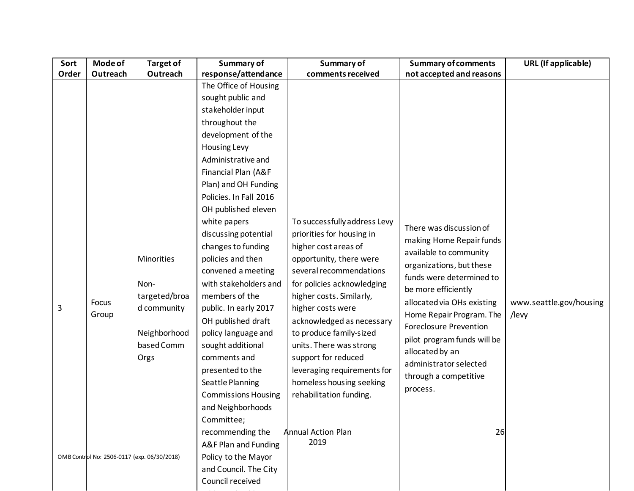| Sort  | Mode of        | <b>Target of</b>                                                                                                                        | Summary of                                                                                                                                                                                                                                                                                                                                                                                                                                                                                                                                                                                                                                                                                                                            | Summary of                                                                                                                                                                                                                                                                                                                                                                                                                                                  | <b>Summary of comments</b>                                                                                                                                                                                                                                                                                                                                                     | <b>URL</b> (If applicable)       |
|-------|----------------|-----------------------------------------------------------------------------------------------------------------------------------------|---------------------------------------------------------------------------------------------------------------------------------------------------------------------------------------------------------------------------------------------------------------------------------------------------------------------------------------------------------------------------------------------------------------------------------------------------------------------------------------------------------------------------------------------------------------------------------------------------------------------------------------------------------------------------------------------------------------------------------------|-------------------------------------------------------------------------------------------------------------------------------------------------------------------------------------------------------------------------------------------------------------------------------------------------------------------------------------------------------------------------------------------------------------------------------------------------------------|--------------------------------------------------------------------------------------------------------------------------------------------------------------------------------------------------------------------------------------------------------------------------------------------------------------------------------------------------------------------------------|----------------------------------|
| Order | Outreach       | Outreach                                                                                                                                | response/attendance                                                                                                                                                                                                                                                                                                                                                                                                                                                                                                                                                                                                                                                                                                                   | comments received                                                                                                                                                                                                                                                                                                                                                                                                                                           | not accepted and reasons                                                                                                                                                                                                                                                                                                                                                       |                                  |
| 3     | Focus<br>Group | Minorities<br>Non-<br>targeted/broa<br>d community<br>Neighborhood<br>based Comm<br>Orgs<br>OMB Control No: 2506-0117 (exp. 06/30/2018) | The Office of Housing<br>sought public and<br>stakeholder input<br>throughout the<br>development of the<br>Housing Levy<br>Administrative and<br>Financial Plan (A&F<br>Plan) and OH Funding<br>Policies. In Fall 2016<br>OH published eleven<br>white papers<br>discussing potential<br>changes to funding<br>policies and then<br>convened a meeting<br>with stakeholders and<br>members of the<br>public. In early 2017<br>OH published draft<br>policy language and<br>sought additional<br>comments and<br>presented to the<br>Seattle Planning<br><b>Commissions Housing</b><br>and Neighborhoods<br>Committee;<br>recommending the<br>A&F Plan and Funding<br>Policy to the Mayor<br>and Council. The City<br>Council received | To successfully address Levy<br>priorities for housing in<br>higher cost areas of<br>opportunity, there were<br>several recommendations<br>for policies acknowledging<br>higher costs. Similarly,<br>higher costs were<br>acknowledged as necessary<br>to produce family-sized<br>units. There was strong<br>support for reduced<br>leveraging requirements for<br>homeless housing seeking<br>rehabilitation funding.<br><b>Annual Action Plan</b><br>2019 | There was discussion of<br>making Home Repair funds<br>available to community<br>organizations, but these<br>funds were determined to<br>be more efficiently<br>allocated via OHs existing<br>Home Repair Program. The<br><b>Foreclosure Prevention</b><br>pilot program funds will be<br>allocated by an<br>administrator selected<br>through a competitive<br>process.<br>26 | www.seattle.gov/housing<br>/levy |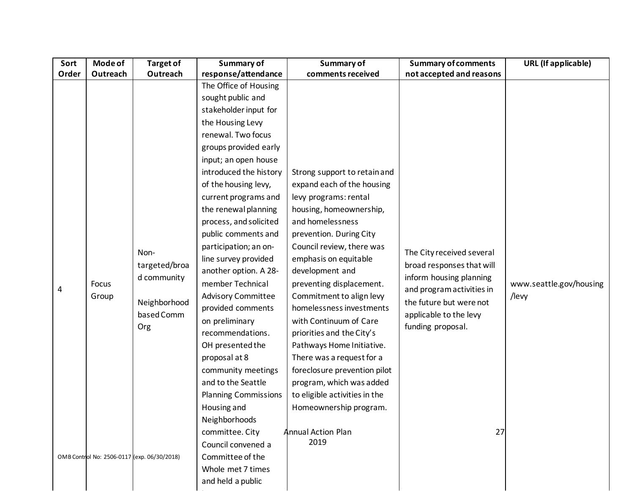| Sort  | Mode of        | <b>Target of</b>                                                          | Summary of                                                                                                                                                                                                                                                                                                                                                                                                                                                                                                                                                                                                                                                                                       | Summary of                                                                                                                                                                                                                                                                                                                                                                                                                                                                                                                                                                                              | <b>Summary of comments</b>                                                                                                                                                                     | <b>URL</b> (If applicable)       |
|-------|----------------|---------------------------------------------------------------------------|--------------------------------------------------------------------------------------------------------------------------------------------------------------------------------------------------------------------------------------------------------------------------------------------------------------------------------------------------------------------------------------------------------------------------------------------------------------------------------------------------------------------------------------------------------------------------------------------------------------------------------------------------------------------------------------------------|---------------------------------------------------------------------------------------------------------------------------------------------------------------------------------------------------------------------------------------------------------------------------------------------------------------------------------------------------------------------------------------------------------------------------------------------------------------------------------------------------------------------------------------------------------------------------------------------------------|------------------------------------------------------------------------------------------------------------------------------------------------------------------------------------------------|----------------------------------|
| Order | Outreach       | Outreach                                                                  | response/attendance                                                                                                                                                                                                                                                                                                                                                                                                                                                                                                                                                                                                                                                                              | comments received                                                                                                                                                                                                                                                                                                                                                                                                                                                                                                                                                                                       | not accepted and reasons                                                                                                                                                                       |                                  |
| 4     | Focus<br>Group | Non-<br>targeted/broa<br>d community<br>Neighborhood<br>based Comm<br>Org | The Office of Housing<br>sought public and<br>stakeholder input for<br>the Housing Levy<br>renewal. Two focus<br>groups provided early<br>input; an open house<br>introduced the history<br>of the housing levy,<br>current programs and<br>the renewal planning<br>process, and solicited<br>public comments and<br>participation; an on-<br>line survey provided<br>another option. A 28-<br>member Technical<br><b>Advisory Committee</b><br>provided comments<br>on preliminary<br>recommendations.<br>OH presented the<br>proposal at 8<br>community meetings<br>and to the Seattle<br><b>Planning Commissions</b><br>Housing and<br>Neighborhoods<br>committee. City<br>Council convened a | Strong support to retain and<br>expand each of the housing<br>levy programs: rental<br>housing, homeownership,<br>and homelessness<br>prevention. During City<br>Council review, there was<br>emphasis on equitable<br>development and<br>preventing displacement.<br>Commitment to align levy<br>homelessness investments<br>with Continuum of Care<br>priorities and the City's<br>Pathways Home Initiative.<br>There was a request for a<br>foreclosure prevention pilot<br>program, which was added<br>to eligible activities in the<br>Homeownership program.<br><b>Annual Action Plan</b><br>2019 | The City received several<br>broad responses that will<br>inform housing planning<br>and program activities in<br>the future but were not<br>applicable to the levy<br>funding proposal.<br>27 | www.seattle.gov/housing<br>/levy |
|       |                | OMB Control No: 2506-0117 (exp. 06/30/2018)                               | Committee of the<br>Whole met 7 times<br>and held a public                                                                                                                                                                                                                                                                                                                                                                                                                                                                                                                                                                                                                                       |                                                                                                                                                                                                                                                                                                                                                                                                                                                                                                                                                                                                         |                                                                                                                                                                                                |                                  |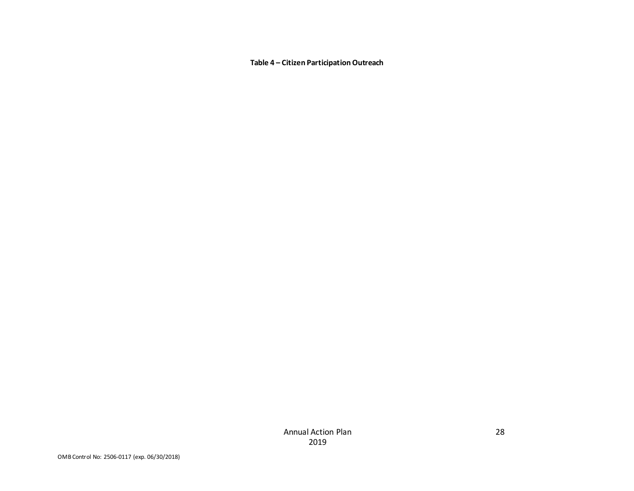**Table 4 – Citizen Participation Outreach**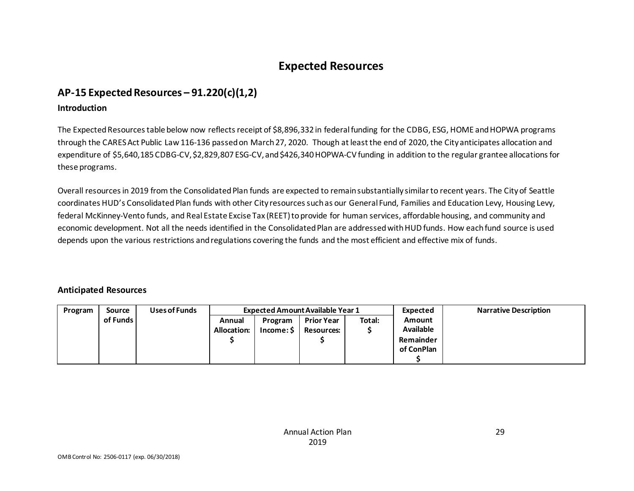# **Expected Resources**

## **AP-15 Expected Resources – 91.220(c)(1,2)**

#### **Introduction**

The Expected Resources table below now reflects receipt of \$8,896,332 in federal funding for the CDBG, ESG, HOME and HOPWA programs through the CARES Act Public Law 116-136 passed on March 27, 2020. Though at least the end of 2020, the City anticipates allocation and expenditure of \$5,640,185 CDBG-CV, \$2,829,807 ESG-CV, and \$426,340 HOPWA-CV funding in addition to the regular grantee allocations for these programs.

Overall resources in 2019 from the Consolidated Plan funds are expected to remain substantially similar to recent years. The City of Seattle coordinates HUD's Consolidated Plan funds with other City resources such as our General Fund, Families and Education Levy, Housing Levy, federal McKinney-Vento funds, and Real Estate Excise Tax (REET) to provide for human services, affordable housing, and community and economic development. Not all the needs identified in the Consolidated Plan are addressed with HUD funds. How each fund source is used depends upon the various restrictions and regulations covering the funds and the most efficient and effective mix of funds.

#### **Anticipated Resources**

| Program | <b>Source</b> | Uses of Funds |             |            | <b>Expected Amount Available Year 1</b> |        | Expected         | <b>Narrative Description</b> |
|---------|---------------|---------------|-------------|------------|-----------------------------------------|--------|------------------|------------------------------|
|         | of Funds      |               | Annual      | Program    | <b>Prior Year</b>                       | Total: | <b>Amount</b>    |                              |
|         |               |               | Allocation: | Income: \$ | <b>Resources:</b>                       |        | <b>Available</b> |                              |
|         |               |               |             |            |                                         |        | Remainder        |                              |
|         |               |               |             |            |                                         |        | of ConPlan       |                              |
|         |               |               |             |            |                                         |        |                  |                              |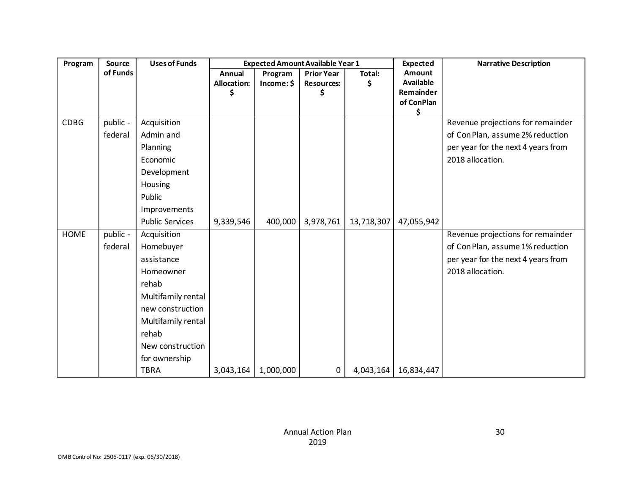| Program     | <b>Source</b> | <b>Uses of Funds</b>   | <b>Expected Amount Available Year 1</b> |            |                   |            | <b>Expected</b>         | <b>Narrative Description</b>       |  |
|-------------|---------------|------------------------|-----------------------------------------|------------|-------------------|------------|-------------------------|------------------------------------|--|
|             | of Funds      |                        | <b>Annual</b>                           | Program    | <b>Prior Year</b> | Total:     | Amount                  |                                    |  |
|             |               |                        | <b>Allocation:</b>                      | Income: \$ | <b>Resources:</b> | \$         | <b>Available</b>        |                                    |  |
|             |               |                        |                                         |            | Ś                 |            | Remainder<br>of ConPlan |                                    |  |
|             |               |                        |                                         |            |                   |            | \$                      |                                    |  |
| <b>CDBG</b> | public -      | Acquisition            |                                         |            |                   |            |                         | Revenue projections for remainder  |  |
|             | federal       | Admin and              |                                         |            |                   |            |                         | of Con Plan, assume 2% reduction   |  |
|             |               | Planning               |                                         |            |                   |            |                         | per year for the next 4 years from |  |
|             |               | Economic               |                                         |            |                   |            |                         | 2018 allocation.                   |  |
|             |               | Development            |                                         |            |                   |            |                         |                                    |  |
|             |               | Housing                |                                         |            |                   |            |                         |                                    |  |
|             |               | Public                 |                                         |            |                   |            |                         |                                    |  |
|             |               | Improvements           |                                         |            |                   |            |                         |                                    |  |
|             |               | <b>Public Services</b> | 9,339,546                               | 400,000    | 3,978,761         | 13,718,307 | 47,055,942              |                                    |  |
| <b>HOME</b> | public -      | Acquisition            |                                         |            |                   |            |                         | Revenue projections for remainder  |  |
|             | federal       | Homebuyer              |                                         |            |                   |            |                         | of Con Plan, assume 1% reduction   |  |
|             |               | assistance             |                                         |            |                   |            |                         | per year for the next 4 years from |  |
|             |               | Homeowner              |                                         |            |                   |            |                         | 2018 allocation.                   |  |
|             |               | rehab                  |                                         |            |                   |            |                         |                                    |  |
|             |               | Multifamily rental     |                                         |            |                   |            |                         |                                    |  |
|             |               | new construction       |                                         |            |                   |            |                         |                                    |  |
|             |               | Multifamily rental     |                                         |            |                   |            |                         |                                    |  |
|             |               | rehab                  |                                         |            |                   |            |                         |                                    |  |
|             |               | New construction       |                                         |            |                   |            |                         |                                    |  |
|             |               | for ownership          |                                         |            |                   |            |                         |                                    |  |
|             |               | <b>TBRA</b>            | 3,043,164                               | 1,000,000  | 0                 | 4,043,164  | 16,834,447              |                                    |  |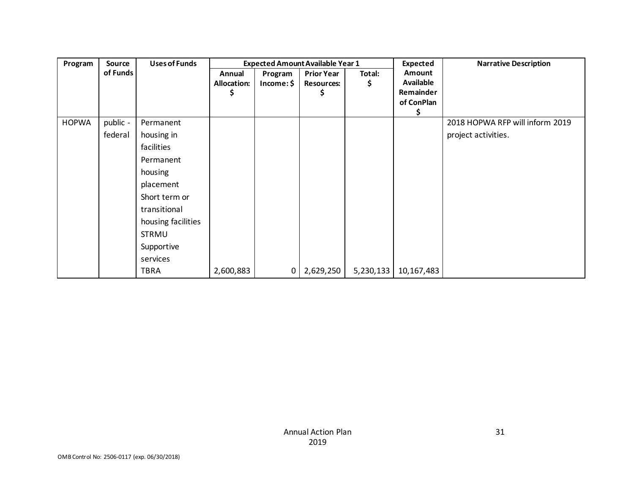| Program      | <b>Source</b> | <b>Uses of Funds</b> |                                   | <b>Expected Amount Available Year 1</b> |                                             |             |                                                       | <b>Narrative Description</b>    |  |
|--------------|---------------|----------------------|-----------------------------------|-----------------------------------------|---------------------------------------------|-------------|-------------------------------------------------------|---------------------------------|--|
|              | of Funds      |                      | Annual<br><b>Allocation:</b><br>S | Program<br>Income:                      | <b>Prior Year</b><br><b>Resources:</b><br>S | Total:<br>Ş | Amount<br><b>Available</b><br>Remainder<br>of ConPlan |                                 |  |
| <b>HOPWA</b> | public -      | Permanent            |                                   |                                         |                                             |             |                                                       | 2018 HOPWA RFP will inform 2019 |  |
|              | federal       | housing in           |                                   |                                         |                                             |             |                                                       | project activities.             |  |
|              |               | facilities           |                                   |                                         |                                             |             |                                                       |                                 |  |
|              |               | Permanent            |                                   |                                         |                                             |             |                                                       |                                 |  |
|              |               | housing              |                                   |                                         |                                             |             |                                                       |                                 |  |
|              |               | placement            |                                   |                                         |                                             |             |                                                       |                                 |  |
|              |               | Short term or        |                                   |                                         |                                             |             |                                                       |                                 |  |
|              |               | transitional         |                                   |                                         |                                             |             |                                                       |                                 |  |
|              |               | housing facilities   |                                   |                                         |                                             |             |                                                       |                                 |  |
|              |               | <b>STRMU</b>         |                                   |                                         |                                             |             |                                                       |                                 |  |
|              |               | Supportive           |                                   |                                         |                                             |             |                                                       |                                 |  |
|              |               | services             |                                   |                                         |                                             |             |                                                       |                                 |  |
|              |               | <b>TBRA</b>          | 2,600,883                         | 0                                       | 2,629,250                                   | 5,230,133   | 10,167,483                                            |                                 |  |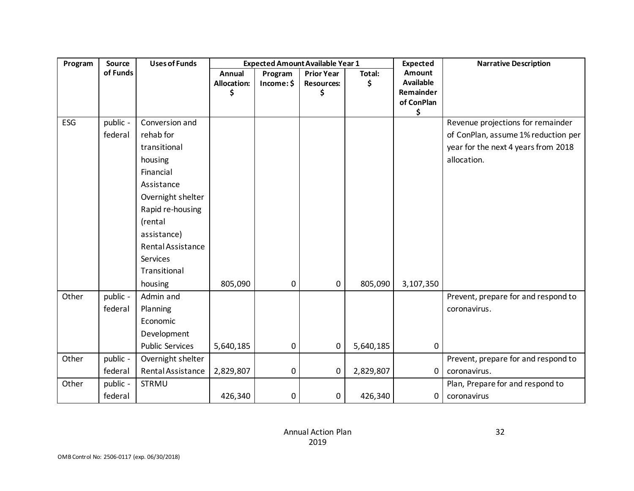| Program | Source   | <b>Uses of Funds</b>   |                                    |                       | <b>Expected Amount Available Year 1</b>      |              | <b>Expected</b>                                       | <b>Narrative Description</b>        |
|---------|----------|------------------------|------------------------------------|-----------------------|----------------------------------------------|--------------|-------------------------------------------------------|-------------------------------------|
|         | of Funds |                        | Annual<br><b>Allocation:</b><br>\$ | Program<br>Income: \$ | <b>Prior Year</b><br><b>Resources:</b><br>\$ | Total:<br>\$ | Amount<br><b>Available</b><br>Remainder<br>of ConPlan |                                     |
| ESG     | public - | Conversion and         |                                    |                       |                                              |              | \$                                                    | Revenue projections for remainder   |
|         | federal  | rehab for              |                                    |                       |                                              |              |                                                       | of ConPlan, assume 1% reduction per |
|         |          | transitional           |                                    |                       |                                              |              |                                                       | year for the next 4 years from 2018 |
|         |          |                        |                                    |                       |                                              |              |                                                       | allocation.                         |
|         |          | housing<br>Financial   |                                    |                       |                                              |              |                                                       |                                     |
|         |          | Assistance             |                                    |                       |                                              |              |                                                       |                                     |
|         |          | Overnight shelter      |                                    |                       |                                              |              |                                                       |                                     |
|         |          | Rapid re-housing       |                                    |                       |                                              |              |                                                       |                                     |
|         |          | (rental                |                                    |                       |                                              |              |                                                       |                                     |
|         |          | assistance)            |                                    |                       |                                              |              |                                                       |                                     |
|         |          | Rental Assistance      |                                    |                       |                                              |              |                                                       |                                     |
|         |          | Services               |                                    |                       |                                              |              |                                                       |                                     |
|         |          | Transitional           |                                    |                       |                                              |              |                                                       |                                     |
|         |          | housing                | 805,090                            | 0                     | 0                                            | 805,090      | 3,107,350                                             |                                     |
| Other   | public - | Admin and              |                                    |                       |                                              |              |                                                       | Prevent, prepare for and respond to |
|         | federal  | Planning               |                                    |                       |                                              |              |                                                       | coronavirus.                        |
|         |          | Economic               |                                    |                       |                                              |              |                                                       |                                     |
|         |          | Development            |                                    |                       |                                              |              |                                                       |                                     |
|         |          | <b>Public Services</b> | 5,640,185                          | 0                     | 0                                            | 5,640,185    | $\mathbf 0$                                           |                                     |
| Other   | public - | Overnight shelter      |                                    |                       |                                              |              |                                                       | Prevent, prepare for and respond to |
|         | federal  | Rental Assistance      | 2,829,807                          | 0                     | 0                                            | 2,829,807    | 0                                                     | coronavirus.                        |
| Other   | public - | <b>STRMU</b>           |                                    |                       |                                              |              |                                                       | Plan, Prepare for and respond to    |
|         | federal  |                        | 426,340                            | 0                     | 0                                            | 426,340      | 0                                                     | coronavirus                         |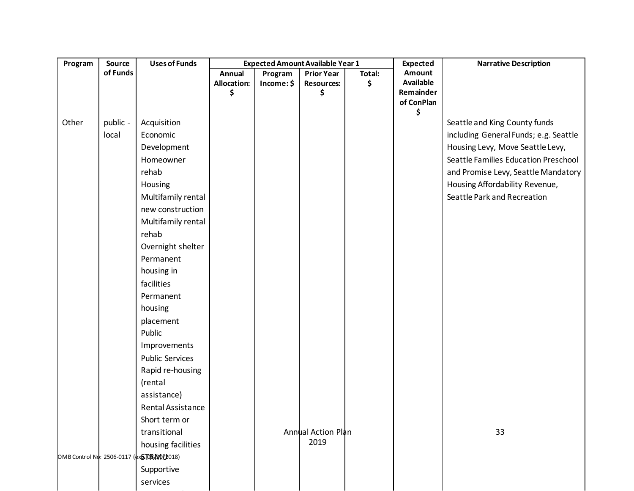| Program | Source            | <b>Uses of Funds</b>                                                                                                                                                                                                                                                                                                                                  |                                    |                       | <b>Expected Amount Available Year 1</b>      |              | <b>Expected</b>                                             | <b>Narrative Description</b>                                                                                                                                                                                                                               |
|---------|-------------------|-------------------------------------------------------------------------------------------------------------------------------------------------------------------------------------------------------------------------------------------------------------------------------------------------------------------------------------------------------|------------------------------------|-----------------------|----------------------------------------------|--------------|-------------------------------------------------------------|------------------------------------------------------------------------------------------------------------------------------------------------------------------------------------------------------------------------------------------------------------|
|         | of Funds          |                                                                                                                                                                                                                                                                                                                                                       | Annual<br><b>Allocation:</b><br>\$ | Program<br>Income: \$ | <b>Prior Year</b><br><b>Resources:</b><br>\$ | Total:<br>\$ | Amount<br><b>Available</b><br>Remainder<br>of ConPlan<br>\$ |                                                                                                                                                                                                                                                            |
| Other   | public -<br>local | Acquisition<br>Economic<br>Development<br>Homeowner<br>rehab<br>Housing<br>Multifamily rental<br>new construction<br>Multifamily rental<br>rehab<br>Overnight shelter<br>Permanent<br>housing in<br>facilities<br>Permanent<br>housing<br>placement<br>Public<br>Improvements<br><b>Public Services</b><br>Rapid re-housing<br>(rental<br>assistance) |                                    |                       |                                              |              |                                                             | Seattle and King County funds<br>including General Funds; e.g. Seattle<br>Housing Levy, Move Seattle Levy,<br>Seattle Families Education Preschool<br>and Promise Levy, Seattle Mandatory<br>Housing Affordability Revenue,<br>Seattle Park and Recreation |
|         |                   | Rental Assistance<br>Short term or<br>transitional<br>housing facilities<br>OMB Control No: 2506-0117 (ex STOR/ROLL018)<br>Supportive<br>services                                                                                                                                                                                                     |                                    |                       | <b>Annual Action Plan</b><br>2019            |              |                                                             | 33                                                                                                                                                                                                                                                         |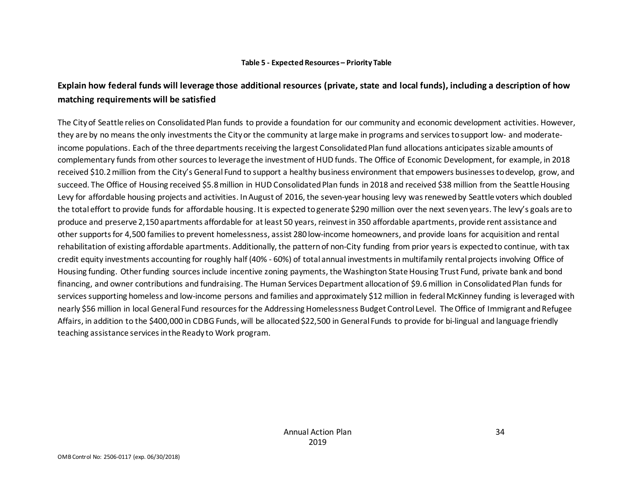#### **Table 5 - Expected Resources – Priority Table**

## **Explain how federal funds will leverage those additional resources (private, state and local funds), including a description of how matching requirements will be satisfied**

The City of Seattle relies on Consolidated Plan funds to provide a foundation for our community and economic development activities. However, they are by no means the only investments the City or the community at large make in programs and services to support low- and moderateincome populations. Each of the three departments receiving the largest Consolidated Plan fund allocations anticipates sizable amounts of complementary funds from other sources to leverage the investment of HUD funds. The Office of Economic Development, for example, in 2018 received \$10.2 million from the City's General Fund to support a healthy business environment that empowers businesses to develop, grow, and succeed. The Office of Housing received \$5.8 million in HUD Consolidated Plan funds in 2018 and received \$38 million from the Seattle Housing Levy for affordable housing projects and activities. In August of 2016, the seven-year housing levy was renewed by Seattle voters which doubled the total effort to provide funds for affordable housing. It is expected to generate \$290 million over the next seven years. The levy's goals are to produce and preserve 2,150 apartments affordable for at least 50 years, reinvest in 350 affordable apartments, provide rent assistance and other supports for 4,500 families to prevent homelessness, assist 280 low-income homeowners, and provide loans for acquisition and rental rehabilitation of existing affordable apartments. Additionally, the pattern of non-City funding from prior years is expected to continue, with tax credit equity investments accounting for roughly half (40% - 60%) of total annual investments in multifamily rental projects involving Office of Housing funding. Other funding sources include incentive zoning payments, the Washington State Housing Trust Fund, private bank and bond financing, and owner contributions and fundraising. The Human Services Department allocation of \$9.6 million in Consolidated Plan funds for services supporting homeless and low-income persons and families and approximately \$12 million in federal McKinney funding is leveraged with nearly \$56 million in local General Fund resources for the Addressing Homelessness Budget Control Level. The Office of Immigrant and Refugee Affairs, in addition to the \$400,000 in CDBG Funds, will be allocated \$22,500 in General Funds to provide for bi-lingual and language friendly teaching assistance services in the Ready to Work program.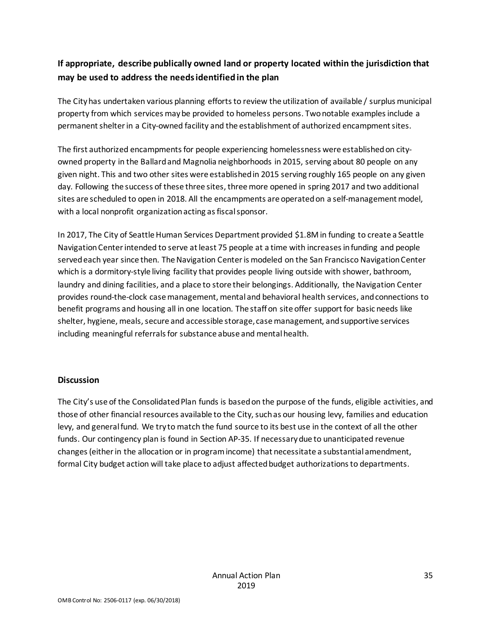## **If appropriate, describe publically owned land or property located within the jurisdiction that may be used to address the needs identified in the plan**

The City has undertaken various planning efforts to review the utilization of available / surplus municipal property from which services may be provided to homeless persons. Two notable examples include a permanent shelter in a City-owned facility and the establishment of authorized encampment sites.

The first authorized encampments for people experiencing homelessness were established on cityowned property in the Ballard and Magnolia neighborhoods in 2015, serving about 80 people on any given night. This and two other sites were established in 2015 serving roughly 165 people on any given day. Following the success of these three sites, three more opened in spring 2017 and two additional sites are scheduled to open in 2018. All the encampments are operated on a self-management model, with a local nonprofit organization acting as fiscal sponsor.

In 2017, The City of Seattle Human Services Department provided \$1.8M in funding to create a Seattle Navigation Center intended to serve at least 75 people at a time with increases in funding and people served each year since then. The Navigation Center is modeled on the San Francisco Navigation Center which is a dormitory-style living facility that provides people living outside with shower, bathroom, laundry and dining facilities, and a place to store their belongings. Additionally, the Navigation Center provides round-the-clock case management, mental and behavioral health services, and connections to benefit programs and housing all in one location. The staff on site offer support for basic needs like shelter, hygiene, meals, secure and accessible storage, case management, and supportive services including meaningful referrals for substance abuse and mental health.

#### **Discussion**

The City's use of the Consolidated Plan funds is based on the purpose of the funds, eligible activities, and those of other financial resources available to the City, such as our housing levy, families and education levy, and general fund. We try to match the fund source to its best use in the context of all the other funds. Our contingency plan is found in Section AP-35. If necessary due to unanticipated revenue changes (either in the allocation or in program income) that necessitate a substantial amendment, formal City budget action will take place to adjust affected budget authorizations to departments.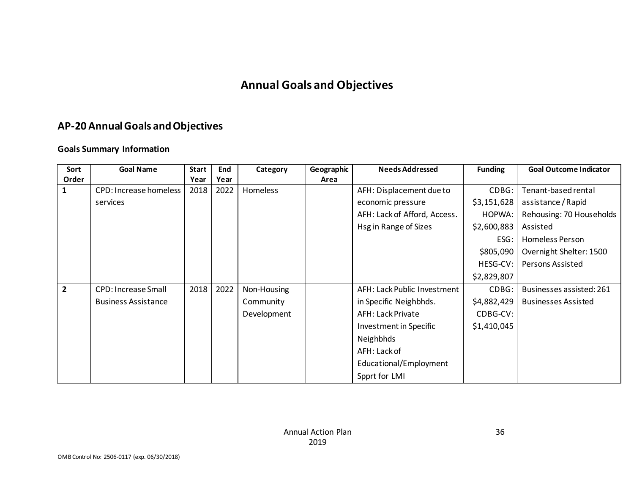# **Annual Goals and Objectives**

# **AP-20 Annual Goals and Objectives**

### **Goals Summary Information**

| Sort           | <b>Goal Name</b>           | <b>Start</b> | End  | Category    | Geographic | <b>Needs Addressed</b>       | <b>Funding</b> | <b>Goal Outcome Indicator</b> |
|----------------|----------------------------|--------------|------|-------------|------------|------------------------------|----------------|-------------------------------|
| Order          |                            | Year         | Year |             | Area       |                              |                |                               |
| $\mathbf{1}$   | CPD: Increase homeless     | 2018         | 2022 | Homeless    |            | AFH: Displacement due to     | CDBG:          | Tenant-based rental           |
|                | services                   |              |      |             |            | economic pressure            | \$3,151,628    | assistance / Rapid            |
|                |                            |              |      |             |            | AFH: Lack of Afford, Access. | HOPWA:         | Rehousing: 70 Households      |
|                |                            |              |      |             |            | Hsg in Range of Sizes        | \$2,600,883    | Assisted                      |
|                |                            |              |      |             |            |                              | ESG:           | Homeless Person               |
|                |                            |              |      |             |            |                              | \$805,090      | Overnight Shelter: 1500       |
|                |                            |              |      |             |            |                              | HESG-CV:       | Persons Assisted              |
|                |                            |              |      |             |            |                              | \$2,829,807    |                               |
| $\overline{2}$ | <b>CPD: Increase Small</b> | 2018         | 2022 | Non-Housing |            | AFH: Lack Public Investment  | CDBG:          | Businesses assisted: 261      |
|                | <b>Business Assistance</b> |              |      | Community   |            | in Specific Neighbhds.       | \$4,882,429    | <b>Businesses Assisted</b>    |
|                |                            |              |      | Development |            | <b>AFH: Lack Private</b>     | CDBG-CV:       |                               |
|                |                            |              |      |             |            | Investment in Specific       | \$1,410,045    |                               |
|                |                            |              |      |             |            | Neighbhds                    |                |                               |
|                |                            |              |      |             |            | AFH: Lack of                 |                |                               |
|                |                            |              |      |             |            | Educational/Employment       |                |                               |
|                |                            |              |      |             |            | Spprt for LMI                |                |                               |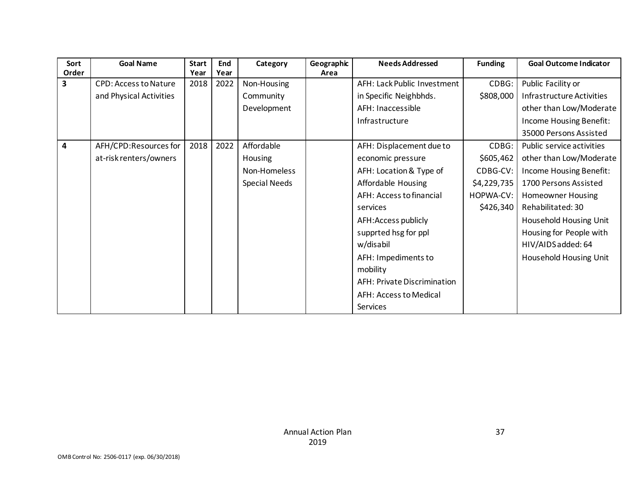| Sort                    | <b>Goal Name</b>             | <b>Start</b> | End  | Category             | Geographic | <b>Needs Addressed</b>      | <b>Funding</b> | <b>Goal Outcome Indicator</b> |
|-------------------------|------------------------------|--------------|------|----------------------|------------|-----------------------------|----------------|-------------------------------|
| Order                   |                              | Year         | Year |                      | Area       |                             |                |                               |
| 3                       | <b>CPD: Access to Nature</b> | 2018         | 2022 | Non-Housing          |            | AFH: Lack Public Investment | CDBG:          | Public Facility or            |
|                         | and Physical Activities      |              |      | Community            |            | in Specific Neighbhds.      | \$808,000      | Infrastructure Activities     |
|                         |                              |              |      | Development          |            | AFH: Inaccessible           |                | other than Low/Moderate       |
|                         |                              |              |      |                      |            | Infrastructure              |                | Income Housing Benefit:       |
|                         |                              |              |      |                      |            |                             |                | 35000 Persons Assisted        |
| $\overline{\mathbf{4}}$ | AFH/CPD:Resources for        | 2018         | 2022 | Affordable           |            | AFH: Displacement due to    | CDBG:          | Public service activities     |
|                         | at-risk renters/owners       |              |      | <b>Housing</b>       |            | economic pressure           | \$605,462      | other than Low/Moderate       |
|                         |                              |              |      | Non-Homeless         |            | AFH: Location & Type of     | CDBG-CV:       | Income Housing Benefit:       |
|                         |                              |              |      | <b>Special Needs</b> |            | Affordable Housing          | \$4,229,735    | 1700 Persons Assisted         |
|                         |                              |              |      |                      |            | AFH: Access to financial    | HOPWA-CV:      | <b>Homeowner Housing</b>      |
|                         |                              |              |      |                      |            | services                    | \$426,340      | Rehabilitated: 30             |
|                         |                              |              |      |                      |            | AFH: Access publicly        |                | Household Housing Unit        |
|                         |                              |              |      |                      |            | supprted hsg for ppl        |                | Housing for People with       |
|                         |                              |              |      |                      |            | w/disabil                   |                | HIV/AIDS added: 64            |
|                         |                              |              |      |                      |            | AFH: Impediments to         |                | Household Housing Unit        |
|                         |                              |              |      |                      |            | mobility                    |                |                               |
|                         |                              |              |      |                      |            | AFH: Private Discrimination |                |                               |
|                         |                              |              |      |                      |            | AFH: Access to Medical      |                |                               |
|                         |                              |              |      |                      |            | Services                    |                |                               |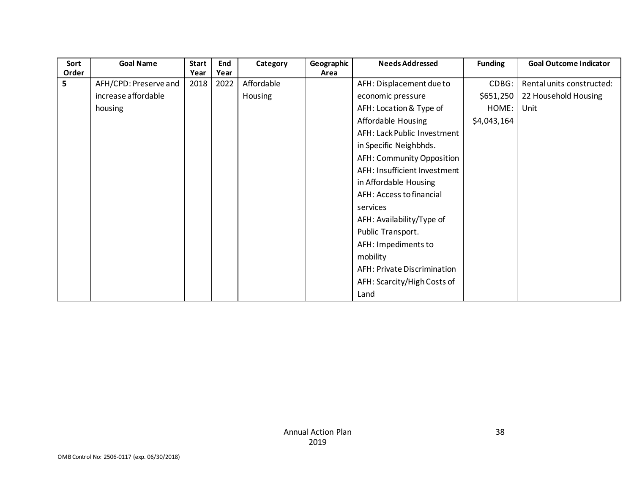| Sort  | <b>Goal Name</b>      | <b>Start</b> | End  | Category   | Geographic | <b>Needs Addressed</b>             | <b>Funding</b> | <b>Goal Outcome Indicator</b> |
|-------|-----------------------|--------------|------|------------|------------|------------------------------------|----------------|-------------------------------|
| Order |                       | Year         | Year |            | Area       |                                    |                |                               |
| 5     | AFH/CPD: Preserve and | 2018         | 2022 | Affordable |            | AFH: Displacement due to           | CDBG:          | Rental units constructed:     |
|       | increase affordable   |              |      | Housing    |            | economic pressure                  | \$651,250      | 22 Household Housing          |
|       | housing               |              |      |            |            | AFH: Location & Type of            | HOME:          | Unit                          |
|       |                       |              |      |            |            | Affordable Housing                 | \$4,043,164    |                               |
|       |                       |              |      |            |            | AFH: Lack Public Investment        |                |                               |
|       |                       |              |      |            |            | in Specific Neighbhds.             |                |                               |
|       |                       |              |      |            |            | AFH: Community Opposition          |                |                               |
|       |                       |              |      |            |            | AFH: Insufficient Investment       |                |                               |
|       |                       |              |      |            |            | in Affordable Housing              |                |                               |
|       |                       |              |      |            |            | AFH: Access to financial           |                |                               |
|       |                       |              |      |            |            | services                           |                |                               |
|       |                       |              |      |            |            | AFH: Availability/Type of          |                |                               |
|       |                       |              |      |            |            | Public Transport.                  |                |                               |
|       |                       |              |      |            |            | AFH: Impediments to                |                |                               |
|       |                       |              |      |            |            | mobility                           |                |                               |
|       |                       |              |      |            |            | <b>AFH: Private Discrimination</b> |                |                               |
|       |                       |              |      |            |            | AFH: Scarcity/High Costs of        |                |                               |
|       |                       |              |      |            |            | Land                               |                |                               |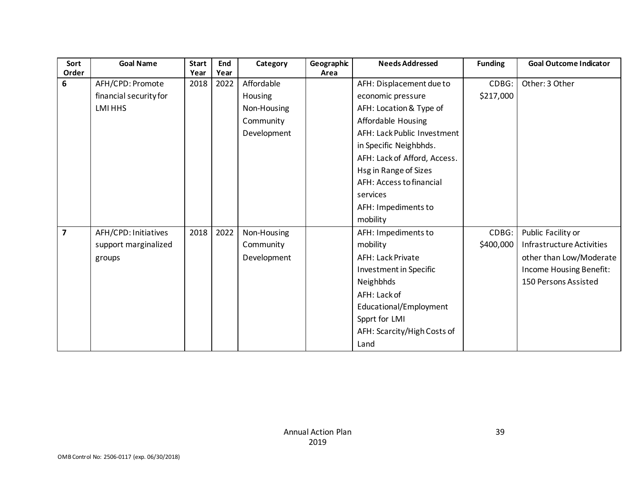| Sort<br>Order           | <b>Goal Name</b>       | <b>Start</b><br>Year | End<br>Year | Category    | Geographic<br>Area | <b>Needs Addressed</b>       | <b>Funding</b> | <b>Goal Outcome Indicator</b> |
|-------------------------|------------------------|----------------------|-------------|-------------|--------------------|------------------------------|----------------|-------------------------------|
| 6                       | AFH/CPD: Promote       | 2018                 | 2022        | Affordable  |                    | AFH: Displacement due to     | CDBG:          | Other: 3 Other                |
|                         | financial security for |                      |             | Housing     |                    | economic pressure            | \$217,000      |                               |
|                         | LMI HHS                |                      |             | Non-Housing |                    | AFH: Location & Type of      |                |                               |
|                         |                        |                      |             | Community   |                    | Affordable Housing           |                |                               |
|                         |                        |                      |             | Development |                    | AFH: Lack Public Investment  |                |                               |
|                         |                        |                      |             |             |                    | in Specific Neighbhds.       |                |                               |
|                         |                        |                      |             |             |                    | AFH: Lack of Afford, Access. |                |                               |
|                         |                        |                      |             |             |                    | Hsg in Range of Sizes        |                |                               |
|                         |                        |                      |             |             |                    | AFH: Access to financial     |                |                               |
|                         |                        |                      |             |             |                    | services                     |                |                               |
|                         |                        |                      |             |             |                    | AFH: Impediments to          |                |                               |
|                         |                        |                      |             |             |                    | mobility                     |                |                               |
| $\overline{\mathbf{z}}$ | AFH/CPD: Initiatives   | 2018                 | 2022        | Non-Housing |                    | AFH: Impediments to          | CDBG:          | Public Facility or            |
|                         | support marginalized   |                      |             | Community   |                    | mobility                     | \$400,000      | Infrastructure Activities     |
|                         | groups                 |                      |             | Development |                    | <b>AFH: Lack Private</b>     |                | other than Low/Moderate       |
|                         |                        |                      |             |             |                    | Investment in Specific       |                | Income Housing Benefit:       |
|                         |                        |                      |             |             |                    | Neighbhds                    |                | 150 Persons Assisted          |
|                         |                        |                      |             |             |                    | AFH: Lack of                 |                |                               |
|                         |                        |                      |             |             |                    | Educational/Employment       |                |                               |
|                         |                        |                      |             |             |                    | Spprt for LMI                |                |                               |
|                         |                        |                      |             |             |                    | AFH: Scarcity/High Costs of  |                |                               |
|                         |                        |                      |             |             |                    | Land                         |                |                               |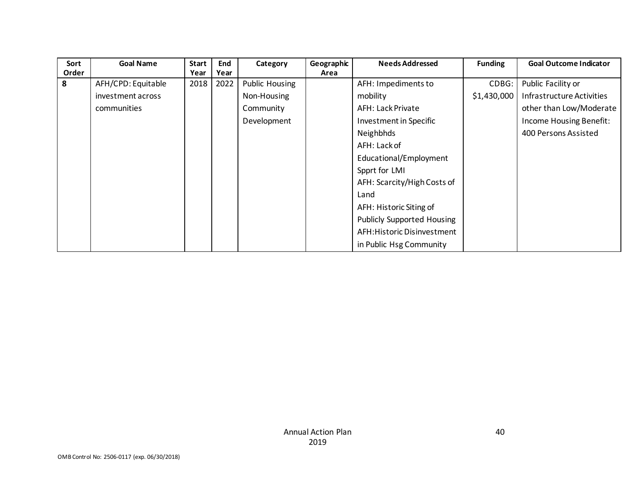| Sort  | <b>Goal Name</b>   | <b>Start</b> | End  | Category              | Geographic | <b>Needs Addressed</b>            | <b>Funding</b> | <b>Goal Outcome Indicator</b> |
|-------|--------------------|--------------|------|-----------------------|------------|-----------------------------------|----------------|-------------------------------|
| Order |                    | Year         | Year |                       | Area       |                                   |                |                               |
| 8     | AFH/CPD: Equitable | 2018         | 2022 | <b>Public Housing</b> |            | AFH: Impediments to               | CDBG:          | Public Facility or            |
|       | investment across  |              |      | Non-Housing           |            | mobility                          | \$1,430,000    | Infrastructure Activities     |
|       | communities        |              |      | Community             |            | <b>AFH: Lack Private</b>          |                | other than Low/Moderate       |
|       |                    |              |      | Development           |            | Investment in Specific            |                | Income Housing Benefit:       |
|       |                    |              |      |                       |            | Neighbhds                         |                | 400 Persons Assisted          |
|       |                    |              |      |                       |            | AFH: Lack of                      |                |                               |
|       |                    |              |      |                       |            | Educational/Employment            |                |                               |
|       |                    |              |      |                       |            | Spprt for LMI                     |                |                               |
|       |                    |              |      |                       |            | AFH: Scarcity/High Costs of       |                |                               |
|       |                    |              |      |                       |            | Land                              |                |                               |
|       |                    |              |      |                       |            | AFH: Historic Siting of           |                |                               |
|       |                    |              |      |                       |            | <b>Publicly Supported Housing</b> |                |                               |
|       |                    |              |      |                       |            | AFH: Historic Disinvestment       |                |                               |
|       |                    |              |      |                       |            | in Public Hsg Community           |                |                               |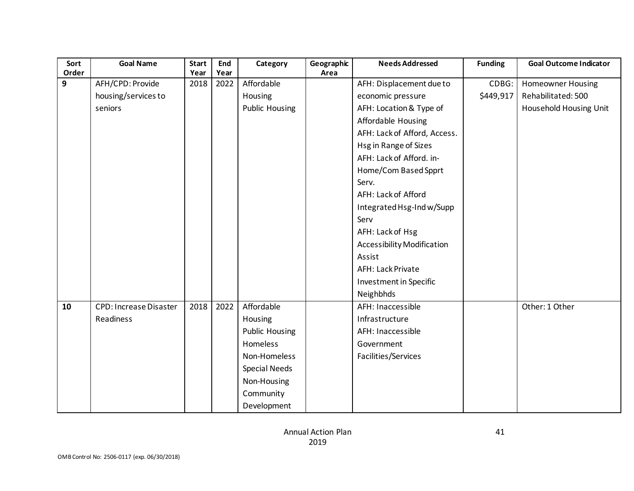| Sort         | <b>Goal Name</b>              | <b>Start</b> | End  | Category              | Geographic | <b>Needs Addressed</b>        | <b>Funding</b> | <b>Goal Outcome Indicator</b> |
|--------------|-------------------------------|--------------|------|-----------------------|------------|-------------------------------|----------------|-------------------------------|
| Order        |                               | Year         | Year |                       | Area       |                               |                |                               |
| $\mathbf{9}$ | AFH/CPD: Provide              | 2018         | 2022 | Affordable            |            | AFH: Displacement due to      | CDBG:          | <b>Homeowner Housing</b>      |
|              | housing/services to           |              |      | Housing               |            | economic pressure             | \$449,917      | Rehabilitated: 500            |
|              | seniors                       |              |      | <b>Public Housing</b> |            | AFH: Location & Type of       |                | Household Housing Unit        |
|              |                               |              |      |                       |            | Affordable Housing            |                |                               |
|              |                               |              |      |                       |            | AFH: Lack of Afford, Access.  |                |                               |
|              |                               |              |      |                       |            | Hsg in Range of Sizes         |                |                               |
|              |                               |              |      |                       |            | AFH: Lack of Afford. in-      |                |                               |
|              |                               |              |      |                       |            | Home/Com Based Spprt          |                |                               |
|              |                               |              |      |                       |            | Serv.                         |                |                               |
|              |                               |              |      |                       |            | AFH: Lack of Afford           |                |                               |
|              |                               |              |      |                       |            | Integrated Hsg-Ind w/Supp     |                |                               |
|              |                               |              |      |                       |            | Serv                          |                |                               |
|              |                               |              |      |                       |            | AFH: Lack of Hsg              |                |                               |
|              |                               |              |      |                       |            | Accessibility Modification    |                |                               |
|              |                               |              |      |                       |            | Assist                        |                |                               |
|              |                               |              |      |                       |            | AFH: Lack Private             |                |                               |
|              |                               |              |      |                       |            | <b>Investment in Specific</b> |                |                               |
|              |                               |              |      |                       |            | Neighbhds                     |                |                               |
| 10           | <b>CPD: Increase Disaster</b> | 2018         | 2022 | Affordable            |            | AFH: Inaccessible             |                | Other: 1 Other                |
|              | Readiness                     |              |      | Housing               |            | Infrastructure                |                |                               |
|              |                               |              |      | <b>Public Housing</b> |            | AFH: Inaccessible             |                |                               |
|              |                               |              |      | Homeless              |            | Government                    |                |                               |
|              |                               |              |      | Non-Homeless          |            | Facilities/Services           |                |                               |
|              |                               |              |      | <b>Special Needs</b>  |            |                               |                |                               |
|              |                               |              |      | Non-Housing           |            |                               |                |                               |
|              |                               |              |      | Community             |            |                               |                |                               |
|              |                               |              |      | Development           |            |                               |                |                               |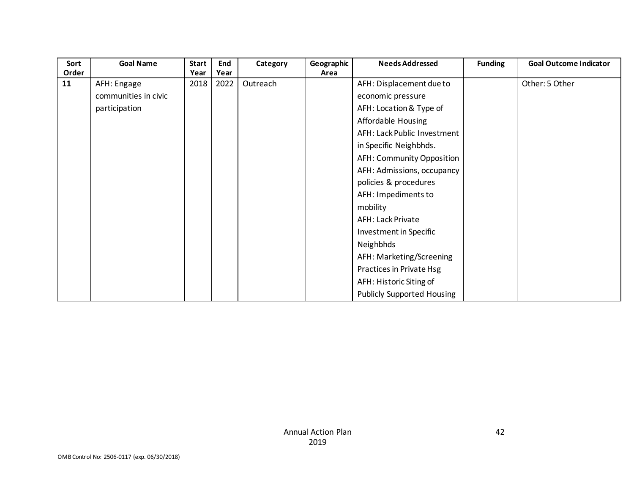| Sort  | <b>Goal Name</b>     | <b>Start</b> | End  | Category | Geographic | <b>Needs Addressed</b>            | <b>Funding</b> | <b>Goal Outcome Indicator</b> |
|-------|----------------------|--------------|------|----------|------------|-----------------------------------|----------------|-------------------------------|
| Order |                      | Year         | Year |          | Area       |                                   |                |                               |
| 11    | AFH: Engage          | 2018         | 2022 | Outreach |            | AFH: Displacement due to          |                | Other: 5 Other                |
|       | communities in civic |              |      |          |            | economic pressure                 |                |                               |
|       | participation        |              |      |          |            | AFH: Location & Type of           |                |                               |
|       |                      |              |      |          |            | Affordable Housing                |                |                               |
|       |                      |              |      |          |            | AFH: Lack Public Investment       |                |                               |
|       |                      |              |      |          |            | in Specific Neighbhds.            |                |                               |
|       |                      |              |      |          |            | AFH: Community Opposition         |                |                               |
|       |                      |              |      |          |            | AFH: Admissions, occupancy        |                |                               |
|       |                      |              |      |          |            | policies & procedures             |                |                               |
|       |                      |              |      |          |            | AFH: Impediments to               |                |                               |
|       |                      |              |      |          |            | mobility                          |                |                               |
|       |                      |              |      |          |            | AFH: Lack Private                 |                |                               |
|       |                      |              |      |          |            | Investment in Specific            |                |                               |
|       |                      |              |      |          |            | Neighbhds                         |                |                               |
|       |                      |              |      |          |            | AFH: Marketing/Screening          |                |                               |
|       |                      |              |      |          |            | Practices in Private Hsg          |                |                               |
|       |                      |              |      |          |            | AFH: Historic Siting of           |                |                               |
|       |                      |              |      |          |            | <b>Publicly Supported Housing</b> |                |                               |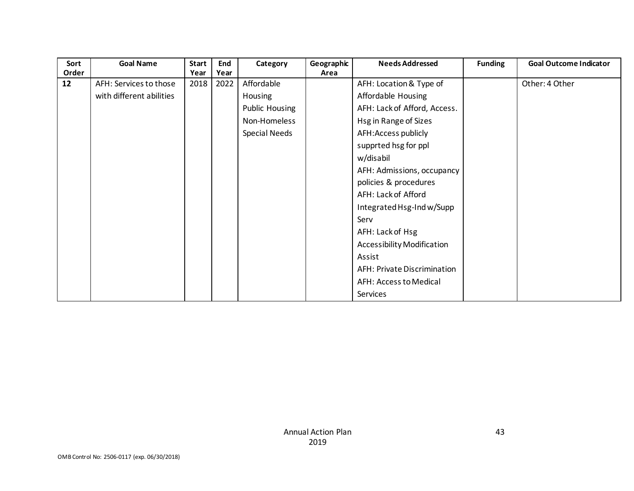| Sort  | <b>Goal Name</b>         | <b>Start</b> | End  | Category              | Geographic | <b>Needs Addressed</b>       | <b>Funding</b> | <b>Goal Outcome Indicator</b> |
|-------|--------------------------|--------------|------|-----------------------|------------|------------------------------|----------------|-------------------------------|
| Order |                          | Year         | Year |                       | Area       |                              |                |                               |
| 12    | AFH: Services to those   | 2018         | 2022 | Affordable            |            | AFH: Location & Type of      |                | Other: 4 Other                |
|       | with different abilities |              |      | Housing               |            | Affordable Housing           |                |                               |
|       |                          |              |      | <b>Public Housing</b> |            | AFH: Lack of Afford, Access. |                |                               |
|       |                          |              |      | Non-Homeless          |            | Hsg in Range of Sizes        |                |                               |
|       |                          |              |      | <b>Special Needs</b>  |            | AFH: Access publicly         |                |                               |
|       |                          |              |      |                       |            | supprted hsg for ppl         |                |                               |
|       |                          |              |      |                       |            | w/disabil                    |                |                               |
|       |                          |              |      |                       |            | AFH: Admissions, occupancy   |                |                               |
|       |                          |              |      |                       |            | policies & procedures        |                |                               |
|       |                          |              |      |                       |            | AFH: Lack of Afford          |                |                               |
|       |                          |              |      |                       |            | Integrated Hsg-Ind w/Supp    |                |                               |
|       |                          |              |      |                       |            | Serv                         |                |                               |
|       |                          |              |      |                       |            | AFH: Lack of Hsg             |                |                               |
|       |                          |              |      |                       |            | Accessibility Modification   |                |                               |
|       |                          |              |      |                       |            | Assist                       |                |                               |
|       |                          |              |      |                       |            | AFH: Private Discrimination  |                |                               |
|       |                          |              |      |                       |            | AFH: Access to Medical       |                |                               |
|       |                          |              |      |                       |            | Services                     |                |                               |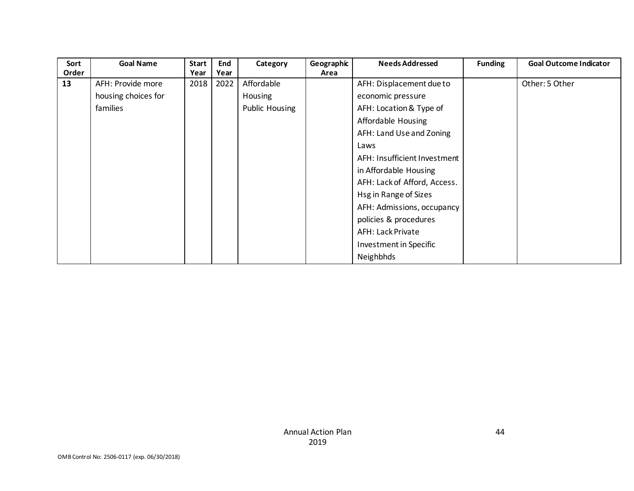| Sort  | <b>Goal Name</b>    | <b>Start</b> | End  | Category              | Geographic | <b>Needs Addressed</b>       | <b>Funding</b> | <b>Goal Outcome Indicator</b> |
|-------|---------------------|--------------|------|-----------------------|------------|------------------------------|----------------|-------------------------------|
| Order |                     | Year         | Year |                       | Area       |                              |                |                               |
| 13    | AFH: Provide more   | 2018         | 2022 | Affordable            |            | AFH: Displacement due to     |                | Other: 5 Other                |
|       | housing choices for |              |      | <b>Housing</b>        |            | economic pressure            |                |                               |
|       | families            |              |      | <b>Public Housing</b> |            | AFH: Location & Type of      |                |                               |
|       |                     |              |      |                       |            | Affordable Housing           |                |                               |
|       |                     |              |      |                       |            | AFH: Land Use and Zoning     |                |                               |
|       |                     |              |      |                       |            | Laws                         |                |                               |
|       |                     |              |      |                       |            | AFH: Insufficient Investment |                |                               |
|       |                     |              |      |                       |            | in Affordable Housing        |                |                               |
|       |                     |              |      |                       |            | AFH: Lack of Afford, Access. |                |                               |
|       |                     |              |      |                       |            | Hsg in Range of Sizes        |                |                               |
|       |                     |              |      |                       |            | AFH: Admissions, occupancy   |                |                               |
|       |                     |              |      |                       |            | policies & procedures        |                |                               |
|       |                     |              |      |                       |            | <b>AFH: Lack Private</b>     |                |                               |
|       |                     |              |      |                       |            | Investment in Specific       |                |                               |
|       |                     |              |      |                       |            | Neighbhds                    |                |                               |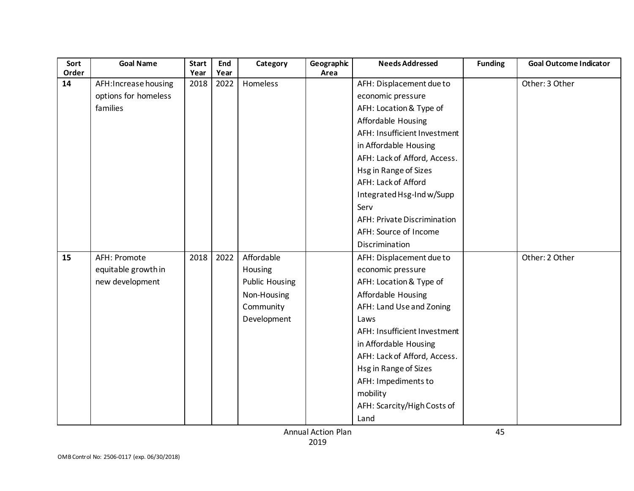| Sort<br>Order | <b>Goal Name</b>      | <b>Start</b><br>Year | End<br>Year | Category              | Geographic<br>Area | <b>Needs Addressed</b>             | <b>Funding</b> | <b>Goal Outcome Indicator</b> |
|---------------|-----------------------|----------------------|-------------|-----------------------|--------------------|------------------------------------|----------------|-------------------------------|
| 14            | AFH: Increase housing | 2018                 | 2022        | Homeless              |                    | AFH: Displacement due to           |                | Other: 3 Other                |
|               | options for homeless  |                      |             |                       |                    | economic pressure                  |                |                               |
|               | families              |                      |             |                       |                    | AFH: Location & Type of            |                |                               |
|               |                       |                      |             |                       |                    | Affordable Housing                 |                |                               |
|               |                       |                      |             |                       |                    | AFH: Insufficient Investment       |                |                               |
|               |                       |                      |             |                       |                    | in Affordable Housing              |                |                               |
|               |                       |                      |             |                       |                    | AFH: Lack of Afford, Access.       |                |                               |
|               |                       |                      |             |                       |                    | Hsg in Range of Sizes              |                |                               |
|               |                       |                      |             |                       |                    | AFH: Lack of Afford                |                |                               |
|               |                       |                      |             |                       |                    | Integrated Hsg-Ind w/Supp          |                |                               |
|               |                       |                      |             |                       |                    | Serv                               |                |                               |
|               |                       |                      |             |                       |                    | <b>AFH: Private Discrimination</b> |                |                               |
|               |                       |                      |             |                       |                    | AFH: Source of Income              |                |                               |
|               |                       |                      |             |                       |                    |                                    |                |                               |
|               |                       |                      |             |                       |                    | Discrimination                     |                |                               |
| 15            | AFH: Promote          | 2018                 | 2022        | Affordable            |                    | AFH: Displacement due to           |                | Other: 2 Other                |
|               | equitable growth in   |                      |             | Housing               |                    | economic pressure                  |                |                               |
|               | new development       |                      |             | <b>Public Housing</b> |                    | AFH: Location & Type of            |                |                               |
|               |                       |                      |             | Non-Housing           |                    | Affordable Housing                 |                |                               |
|               |                       |                      |             | Community             |                    | AFH: Land Use and Zoning           |                |                               |
|               |                       |                      |             | Development           |                    | Laws                               |                |                               |
|               |                       |                      |             |                       |                    | AFH: Insufficient Investment       |                |                               |
|               |                       |                      |             |                       |                    | in Affordable Housing              |                |                               |
|               |                       |                      |             |                       |                    | AFH: Lack of Afford, Access.       |                |                               |
|               |                       |                      |             |                       |                    | Hsg in Range of Sizes              |                |                               |
|               |                       |                      |             |                       |                    | AFH: Impediments to                |                |                               |
|               |                       |                      |             |                       |                    | mobility                           |                |                               |
|               |                       |                      |             |                       |                    | AFH: Scarcity/High Costs of        |                |                               |
|               |                       |                      |             |                       |                    | Land                               |                |                               |

Annual Action Plan 2019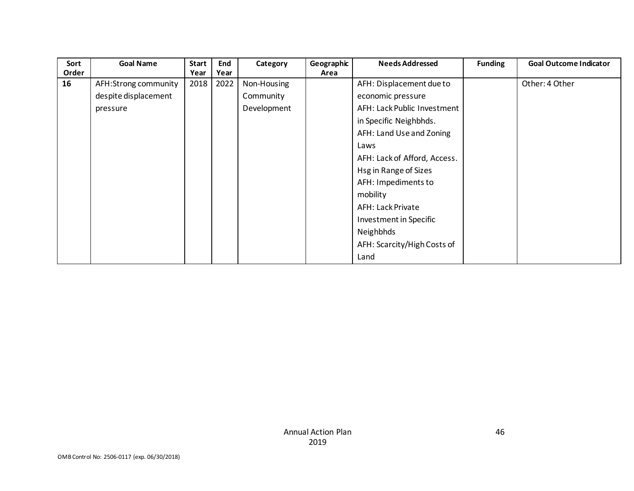| Sort<br>Order | <b>Goal Name</b>     | <b>Start</b><br>Year | End<br>Year | Category    | Geographic<br>Area | <b>Needs Addressed</b>       | <b>Funding</b> | <b>Goal Outcome Indicator</b> |
|---------------|----------------------|----------------------|-------------|-------------|--------------------|------------------------------|----------------|-------------------------------|
| 16            | AFH:Strong community | 2018                 | 2022        | Non-Housing |                    | AFH: Displacement due to     |                | Other: 4 Other                |
|               | despite displacement |                      |             | Community   |                    | economic pressure            |                |                               |
|               | pressure             |                      |             | Development |                    | AFH: Lack Public Investment  |                |                               |
|               |                      |                      |             |             |                    | in Specific Neighbhds.       |                |                               |
|               |                      |                      |             |             |                    | AFH: Land Use and Zoning     |                |                               |
|               |                      |                      |             |             |                    | Laws                         |                |                               |
|               |                      |                      |             |             |                    | AFH: Lack of Afford, Access. |                |                               |
|               |                      |                      |             |             |                    | Hsg in Range of Sizes        |                |                               |
|               |                      |                      |             |             |                    | AFH: Impediments to          |                |                               |
|               |                      |                      |             |             |                    | mobility                     |                |                               |
|               |                      |                      |             |             |                    | AFH: Lack Private            |                |                               |
|               |                      |                      |             |             |                    | Investment in Specific       |                |                               |
|               |                      |                      |             |             |                    | Neighbhds                    |                |                               |
|               |                      |                      |             |             |                    | AFH: Scarcity/High Costs of  |                |                               |
|               |                      |                      |             |             |                    | Land                         |                |                               |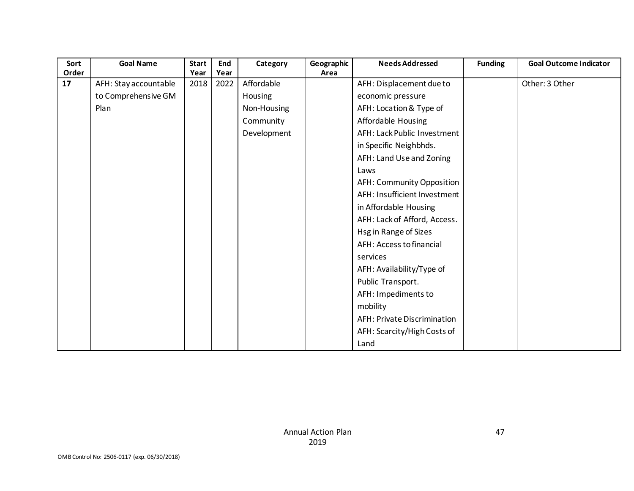| Sort<br>Order | <b>Goal Name</b>      | <b>Start</b><br>Year | End<br>Year | Category    | Geographic<br>Area | <b>Needs Addressed</b>       | <b>Funding</b> | <b>Goal Outcome Indicator</b> |
|---------------|-----------------------|----------------------|-------------|-------------|--------------------|------------------------------|----------------|-------------------------------|
| 17            | AFH: Stay accountable | 2018                 | 2022        | Affordable  |                    | AFH: Displacement due to     |                | Other: 3 Other                |
|               | to Comprehensive GM   |                      |             | Housing     |                    | economic pressure            |                |                               |
|               | Plan                  |                      |             | Non-Housing |                    | AFH: Location & Type of      |                |                               |
|               |                       |                      |             | Community   |                    | Affordable Housing           |                |                               |
|               |                       |                      |             | Development |                    | AFH: Lack Public Investment  |                |                               |
|               |                       |                      |             |             |                    | in Specific Neighbhds.       |                |                               |
|               |                       |                      |             |             |                    | AFH: Land Use and Zoning     |                |                               |
|               |                       |                      |             |             |                    | Laws                         |                |                               |
|               |                       |                      |             |             |                    | AFH: Community Opposition    |                |                               |
|               |                       |                      |             |             |                    | AFH: Insufficient Investment |                |                               |
|               |                       |                      |             |             |                    | in Affordable Housing        |                |                               |
|               |                       |                      |             |             |                    | AFH: Lack of Afford, Access. |                |                               |
|               |                       |                      |             |             |                    | Hsg in Range of Sizes        |                |                               |
|               |                       |                      |             |             |                    | AFH: Access to financial     |                |                               |
|               |                       |                      |             |             |                    | services                     |                |                               |
|               |                       |                      |             |             |                    | AFH: Availability/Type of    |                |                               |
|               |                       |                      |             |             |                    | Public Transport.            |                |                               |
|               |                       |                      |             |             |                    | AFH: Impediments to          |                |                               |
|               |                       |                      |             |             |                    | mobility                     |                |                               |
|               |                       |                      |             |             |                    | AFH: Private Discrimination  |                |                               |
|               |                       |                      |             |             |                    | AFH: Scarcity/High Costs of  |                |                               |
|               |                       |                      |             |             |                    | Land                         |                |                               |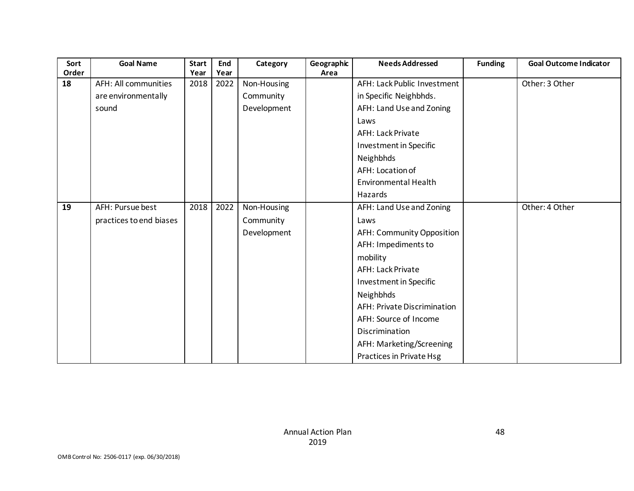| Sort<br>Order | <b>Goal Name</b>            | <b>Start</b> | End<br>Year | Category    | Geographic<br>Area | <b>Needs Addressed</b>      | <b>Funding</b> | <b>Goal Outcome Indicator</b> |
|---------------|-----------------------------|--------------|-------------|-------------|--------------------|-----------------------------|----------------|-------------------------------|
| 18            |                             | Year         |             |             |                    | AFH: Lack Public Investment |                |                               |
|               | <b>AFH: All communities</b> | 2018         | 2022        | Non-Housing |                    |                             |                | Other: 3 Other                |
|               | are environmentally         |              |             | Community   |                    | in Specific Neighbhds.      |                |                               |
|               | sound                       |              |             | Development |                    | AFH: Land Use and Zoning    |                |                               |
|               |                             |              |             |             |                    | Laws                        |                |                               |
|               |                             |              |             |             |                    | AFH: Lack Private           |                |                               |
|               |                             |              |             |             |                    | Investment in Specific      |                |                               |
|               |                             |              |             |             |                    | Neighbhds                   |                |                               |
|               |                             |              |             |             |                    | AFH: Location of            |                |                               |
|               |                             |              |             |             |                    | <b>Environmental Health</b> |                |                               |
|               |                             |              |             |             |                    | Hazards                     |                |                               |
| 19            | AFH: Pursue best            | 2018         | 2022        | Non-Housing |                    | AFH: Land Use and Zoning    |                | Other: 4 Other                |
|               | practices to end biases     |              |             | Community   |                    | Laws                        |                |                               |
|               |                             |              |             |             |                    |                             |                |                               |
|               |                             |              |             | Development |                    | AFH: Community Opposition   |                |                               |
|               |                             |              |             |             |                    | AFH: Impediments to         |                |                               |
|               |                             |              |             |             |                    | mobility                    |                |                               |
|               |                             |              |             |             |                    | AFH: Lack Private           |                |                               |
|               |                             |              |             |             |                    | Investment in Specific      |                |                               |
|               |                             |              |             |             |                    | Neighbhds                   |                |                               |
|               |                             |              |             |             |                    | AFH: Private Discrimination |                |                               |
|               |                             |              |             |             |                    | AFH: Source of Income       |                |                               |
|               |                             |              |             |             |                    | Discrimination              |                |                               |
|               |                             |              |             |             |                    | AFH: Marketing/Screening    |                |                               |
|               |                             |              |             |             |                    |                             |                |                               |
|               |                             |              |             |             |                    | Practices in Private Hsg    |                |                               |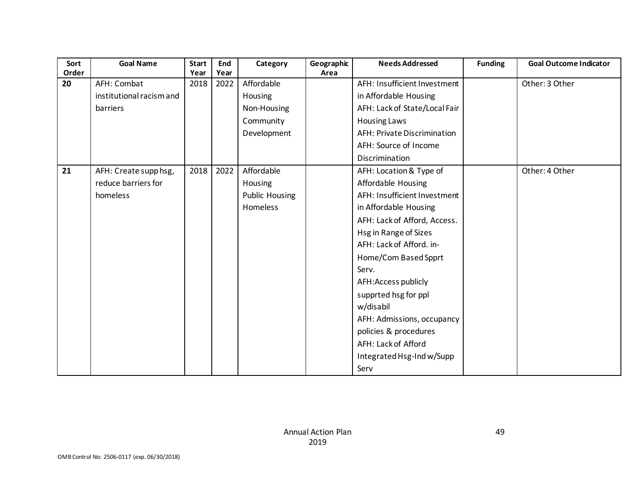| Sort  | <b>Goal Name</b>         | <b>Start</b> | End  | Category              | Geographic | <b>Needs Addressed</b>        | <b>Funding</b> | <b>Goal Outcome Indicator</b> |
|-------|--------------------------|--------------|------|-----------------------|------------|-------------------------------|----------------|-------------------------------|
| Order |                          | Year         | Year |                       | Area       |                               |                |                               |
| 20    | AFH: Combat              | 2018         | 2022 | Affordable            |            | AFH: Insufficient Investment  |                | Other: 3 Other                |
|       | institutional racism and |              |      | Housing               |            | in Affordable Housing         |                |                               |
|       | barriers                 |              |      | Non-Housing           |            | AFH: Lack of State/Local Fair |                |                               |
|       |                          |              |      | Community             |            | <b>Housing Laws</b>           |                |                               |
|       |                          |              |      | Development           |            | AFH: Private Discrimination   |                |                               |
|       |                          |              |      |                       |            | AFH: Source of Income         |                |                               |
|       |                          |              |      |                       |            | Discrimination                |                |                               |
| 21    | AFH: Create supp hsg,    | 2018         | 2022 | Affordable            |            | AFH: Location & Type of       |                | Other: 4 Other                |
|       | reduce barriers for      |              |      | Housing               |            | Affordable Housing            |                |                               |
|       | homeless                 |              |      | <b>Public Housing</b> |            | AFH: Insufficient Investment  |                |                               |
|       |                          |              |      | Homeless              |            | in Affordable Housing         |                |                               |
|       |                          |              |      |                       |            | AFH: Lack of Afford, Access.  |                |                               |
|       |                          |              |      |                       |            | Hsg in Range of Sizes         |                |                               |
|       |                          |              |      |                       |            | AFH: Lack of Afford. in-      |                |                               |
|       |                          |              |      |                       |            | Home/Com Based Spprt          |                |                               |
|       |                          |              |      |                       |            | Serv.                         |                |                               |
|       |                          |              |      |                       |            | AFH: Access publicly          |                |                               |
|       |                          |              |      |                       |            | supprted hsg for ppl          |                |                               |
|       |                          |              |      |                       |            | w/disabil                     |                |                               |
|       |                          |              |      |                       |            | AFH: Admissions, occupancy    |                |                               |
|       |                          |              |      |                       |            | policies & procedures         |                |                               |
|       |                          |              |      |                       |            | AFH: Lack of Afford           |                |                               |
|       |                          |              |      |                       |            | Integrated Hsg-Ind w/Supp     |                |                               |
|       |                          |              |      |                       |            | Serv                          |                |                               |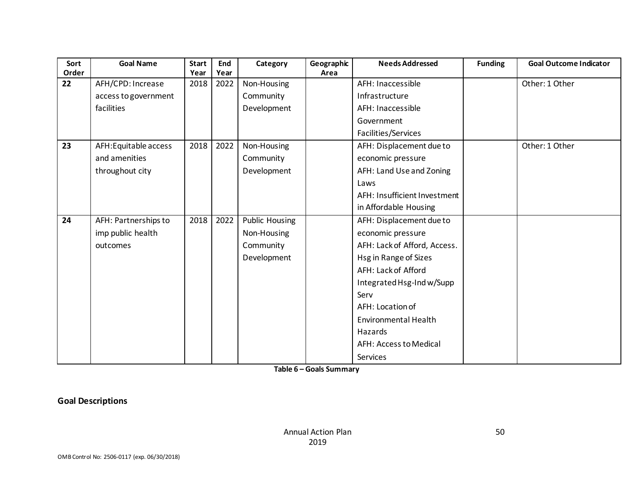| Sort<br>Order | <b>Goal Name</b>      | <b>Start</b><br>Year | End<br>Year | Category              | Geographic<br>Area | <b>Needs Addressed</b>       | <b>Funding</b> | <b>Goal Outcome Indicator</b> |
|---------------|-----------------------|----------------------|-------------|-----------------------|--------------------|------------------------------|----------------|-------------------------------|
| 22            | AFH/CPD: Increase     | 2018                 | 2022        | Non-Housing           |                    | AFH: Inaccessible            |                | Other: 1 Other                |
|               |                       |                      |             |                       |                    | Infrastructure               |                |                               |
|               | access to government  |                      |             | Community             |                    |                              |                |                               |
|               | facilities            |                      |             | Development           |                    | AFH: Inaccessible            |                |                               |
|               |                       |                      |             |                       |                    | Government                   |                |                               |
|               |                       |                      |             |                       |                    | Facilities/Services          |                |                               |
| 23            | AFH: Equitable access | 2018                 | 2022        | Non-Housing           |                    | AFH: Displacement due to     |                | Other: 1 Other                |
|               | and amenities         |                      |             | Community             |                    | economic pressure            |                |                               |
|               | throughout city       |                      |             | Development           |                    | AFH: Land Use and Zoning     |                |                               |
|               |                       |                      |             |                       |                    | Laws                         |                |                               |
|               |                       |                      |             |                       |                    | AFH: Insufficient Investment |                |                               |
|               |                       |                      |             |                       |                    | in Affordable Housing        |                |                               |
| 24            | AFH: Partnerships to  | 2018                 | 2022        | <b>Public Housing</b> |                    | AFH: Displacement due to     |                |                               |
|               | imp public health     |                      |             | Non-Housing           |                    | economic pressure            |                |                               |
|               | outcomes              |                      |             | Community             |                    | AFH: Lack of Afford, Access. |                |                               |
|               |                       |                      |             | Development           |                    | Hsg in Range of Sizes        |                |                               |
|               |                       |                      |             |                       |                    | AFH: Lack of Afford          |                |                               |
|               |                       |                      |             |                       |                    | Integrated Hsg-Ind w/Supp    |                |                               |
|               |                       |                      |             |                       |                    | Serv                         |                |                               |
|               |                       |                      |             |                       |                    | AFH: Location of             |                |                               |
|               |                       |                      |             |                       |                    | <b>Environmental Health</b>  |                |                               |
|               |                       |                      |             |                       |                    | Hazards                      |                |                               |
|               |                       |                      |             |                       |                    | AFH: Access to Medical       |                |                               |
|               |                       |                      |             |                       |                    | Services                     |                |                               |

**Table 6 – Goals Summary**

**Goal Descriptions**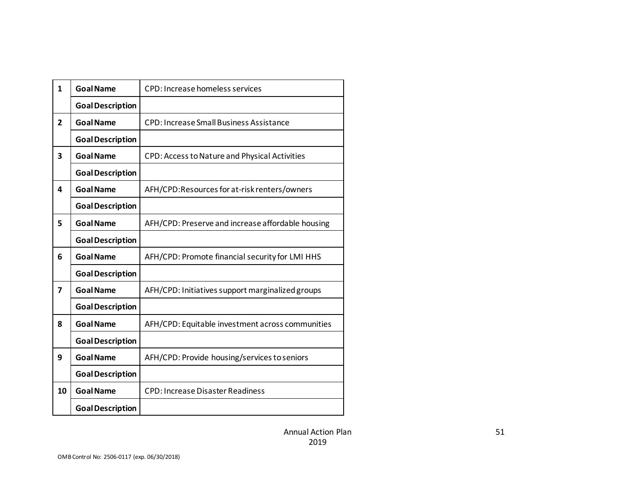| $\mathbf{1}$   | <b>Goal Name</b>        | CPD: Increase homeless services                   |
|----------------|-------------------------|---------------------------------------------------|
|                | <b>Goal Description</b> |                                                   |
| $\overline{2}$ | <b>Goal Name</b>        | <b>CPD: Increase Small Business Assistance</b>    |
|                | <b>Goal Description</b> |                                                   |
| 3              | <b>Goal Name</b>        | CPD: Access to Nature and Physical Activities     |
|                | <b>Goal Description</b> |                                                   |
| 4              | <b>Goal Name</b>        | AFH/CPD:Resources for at-risk renters/owners      |
|                | <b>Goal Description</b> |                                                   |
| 5              | <b>Goal Name</b>        | AFH/CPD: Preserve and increase affordable housing |
|                | <b>Goal Description</b> |                                                   |
| 6              | <b>Goal Name</b>        | AFH/CPD: Promote financial security for LMI HHS   |
|                | <b>Goal Description</b> |                                                   |
| 7              | <b>Goal Name</b>        | AFH/CPD: Initiatives support marginalized groups  |
|                | <b>Goal Description</b> |                                                   |
| 8              | <b>Goal Name</b>        | AFH/CPD: Equitable investment across communities  |
|                | <b>Goal Description</b> |                                                   |
| 9              | <b>Goal Name</b>        | AFH/CPD: Provide housing/services to seniors      |
|                | <b>Goal Description</b> |                                                   |
| 10             | <b>Goal Name</b>        | <b>CPD: Increase Disaster Readiness</b>           |
|                | <b>Goal Description</b> |                                                   |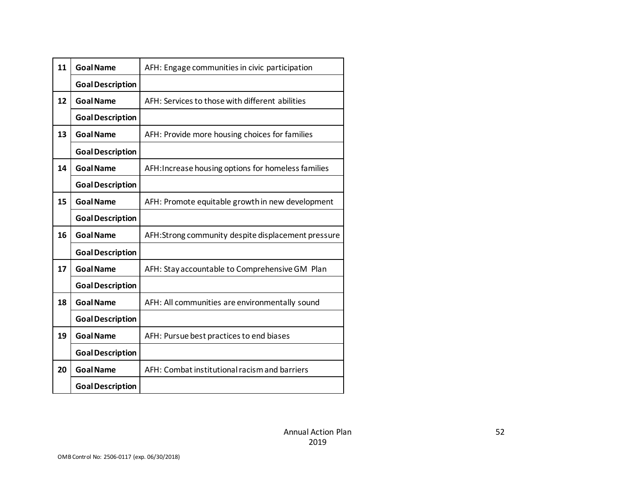| 11 | <b>Goal Name</b>        | AFH: Engage communities in civic participation      |
|----|-------------------------|-----------------------------------------------------|
|    | <b>Goal Description</b> |                                                     |
| 12 | <b>Goal Name</b>        | AFH: Services to those with different abilities     |
|    | <b>Goal Description</b> |                                                     |
| 13 | <b>Goal Name</b>        | AFH: Provide more housing choices for families      |
|    | <b>Goal Description</b> |                                                     |
| 14 | <b>Goal Name</b>        | AFH: Increase housing options for homeless families |
|    | <b>Goal Description</b> |                                                     |
| 15 | <b>Goal Name</b>        | AFH: Promote equitable growth in new development    |
|    | <b>Goal Description</b> |                                                     |
| 16 | <b>Goal Name</b>        | AFH:Strong community despite displacement pressure  |
|    | <b>Goal Description</b> |                                                     |
| 17 | <b>Goal Name</b>        | AFH: Stay accountable to Comprehensive GM Plan      |
|    | <b>Goal Description</b> |                                                     |
| 18 | <b>Goal Name</b>        | AFH: All communities are environmentally sound      |
|    | <b>Goal Description</b> |                                                     |
| 19 | <b>Goal Name</b>        | AFH: Pursue best practices to end biases            |
|    | <b>Goal Description</b> |                                                     |
| 20 | <b>Goal Name</b>        | AFH: Combat institutional racism and barriers       |
|    | <b>Goal Description</b> |                                                     |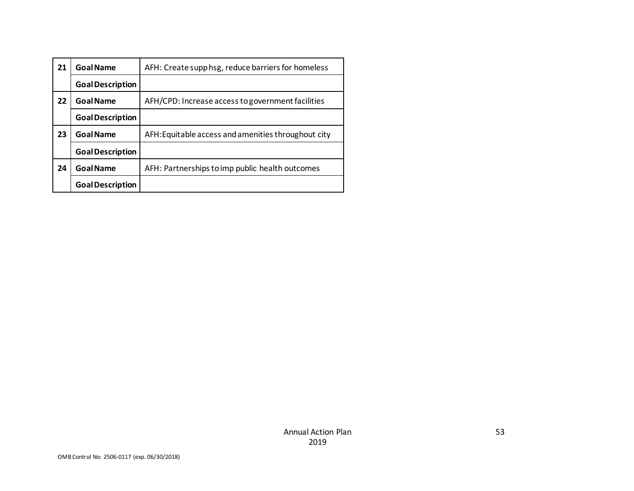| 21 | <b>Goal Name</b>        | AFH: Create supp hsg, reduce barriers for homeless  |
|----|-------------------------|-----------------------------------------------------|
|    | <b>Goal Description</b> |                                                     |
| 22 | <b>Goal Name</b>        | AFH/CPD: Increase access to government facilities   |
|    | <b>Goal Description</b> |                                                     |
| 23 | <b>Goal Name</b>        | AFH: Equitable access and amenities throughout city |
|    | <b>Goal Description</b> |                                                     |
| 24 | <b>Goal Name</b>        | AFH: Partnerships to imp public health outcomes     |
|    | <b>Goal Description</b> |                                                     |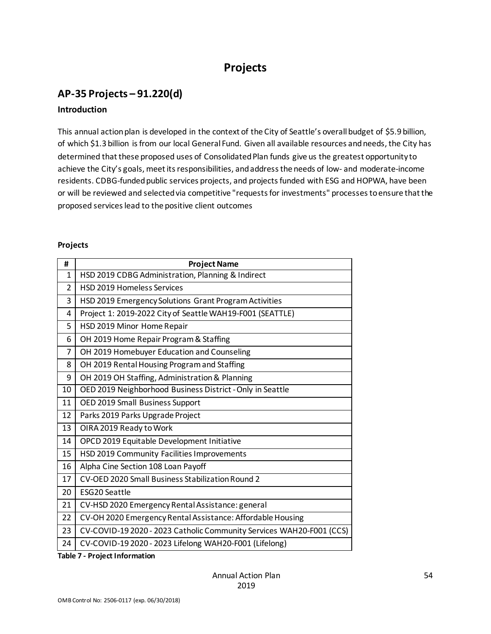## **Projects**

### **AP-35 Projects – 91.220(d)**

#### **Introduction**

This annual action plan is developed in the context of the City of Seattle's overall budget of \$5.9 billion, of which \$1.3 billion is from our local General Fund. Given all available resources and needs, the City has determined that these proposed uses of Consolidated Plan funds give us the greatest opportunity to achieve the City's goals, meet its responsibilities, and address the needs of low- and moderate-income residents. CDBG-funded public services projects, and projects funded with ESG and HOPWA, have been or will be reviewed and selected via competitive "requests for investments" processes to ensure that the proposed services lead to the positive client outcomes

#### **Projects**

| #  | <b>Project Name</b>                                                  |
|----|----------------------------------------------------------------------|
| 1  | HSD 2019 CDBG Administration, Planning & Indirect                    |
| 2  | HSD 2019 Homeless Services                                           |
| 3  | HSD 2019 Emergency Solutions Grant Program Activities                |
| 4  | Project 1: 2019-2022 City of Seattle WAH19-F001 (SEATTLE)            |
| 5  | HSD 2019 Minor Home Repair                                           |
| 6  | OH 2019 Home Repair Program & Staffing                               |
| 7  | OH 2019 Homebuyer Education and Counseling                           |
| 8  | OH 2019 Rental Housing Program and Staffing                          |
| 9  | OH 2019 OH Staffing, Administration & Planning                       |
| 10 | OED 2019 Neighborhood Business District - Only in Seattle            |
| 11 | OED 2019 Small Business Support                                      |
| 12 | Parks 2019 Parks Upgrade Project                                     |
| 13 | OIRA 2019 Ready to Work                                              |
| 14 | OPCD 2019 Equitable Development Initiative                           |
| 15 | HSD 2019 Community Facilities Improvements                           |
| 16 | Alpha Cine Section 108 Loan Payoff                                   |
| 17 | CV-OED 2020 Small Business Stabilization Round 2                     |
| 20 | <b>ESG20 Seattle</b>                                                 |
| 21 | CV-HSD 2020 Emergency Rental Assistance: general                     |
| 22 | CV-OH 2020 Emergency Rental Assistance: Affordable Housing           |
| 23 | CV-COVID-19 2020 - 2023 Catholic Community Services WAH20-F001 (CCS) |
| 24 | CV-COVID-19 2020 - 2023 Lifelong WAH20-F001 (Lifelong)               |

**Table 7 - Project Information**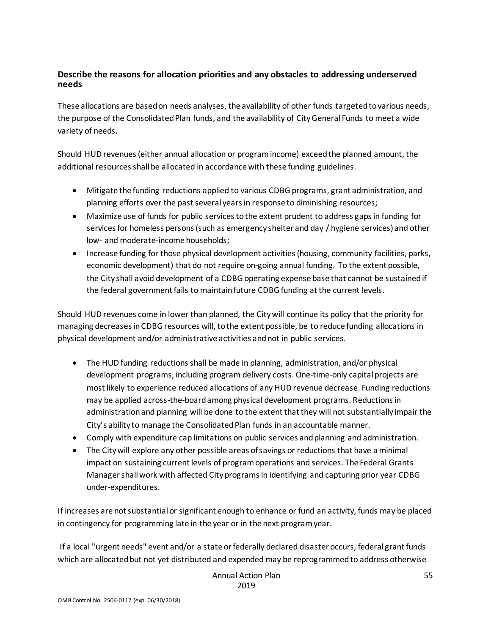#### **Describe the reasons for allocation priorities and any obstacles to addressing underserved needs**

These allocations are based on needs analyses, the availability of other funds targeted to various needs, the purpose of the Consolidated Plan funds, and the availability of City General Funds to meet a wide variety of needs.

Should HUD revenues (either annual allocation or program income) exceed the planned amount, the additional resources shall be allocated in accordance with these funding guidelines.

- Mitigate the funding reductions applied to various CDBG programs, grant administration, and planning efforts over the past several years in response to diminishing resources;
- Maximize use of funds for public services to the extent prudent to address gaps in funding for services for homeless persons (such as emergency shelter and day / hygiene services) and other low- and moderate-income households;
- Increase funding for those physical development activities (housing, community facilities, parks, economic development) that do not require on-going annual funding. To the extent possible, the City shall avoid development of a CDBG operating expense base that cannot be sustained if the federal government fails to maintain future CDBG funding at the current levels.

Should HUD revenues come in lower than planned, the City will continue its policy that the priority for managing decreases in CDBG resources will, to the extent possible, be to reduce funding allocations in physical development and/or administrative activities and not in public services.

- The HUD funding reductions shall be made in planning, administration, and/or physical development programs, including program delivery costs. One-time-only capital projects are most likely to experience reduced allocations of any HUD revenue decrease. Funding reductions may be applied across-the-board among physical development programs. Reductions in administration and planning will be done to the extent that they will not substantially impair the City's ability to manage the Consolidated Plan funds in an accountable manner.
- Comply with expenditure cap limitations on public services and planning and administration.
- The City will explore any other possible areas of savings or reductions that have a minimal impact on sustaining current levels of program operations and services. The Federal Grants Manager shall work with affected City programs in identifying and capturing prior year CDBG under-expenditures.

If increases are not substantial or significant enough to enhance or fund an activity, funds may be placed in contingency for programming late in the year or in the next program year.

If a local "urgent needs" event and/or a state or federally declared disaster occurs, federal grant funds which are allocated but not yet distributed and expended may be reprogrammed to address otherwise

> Annual Action Plan 2019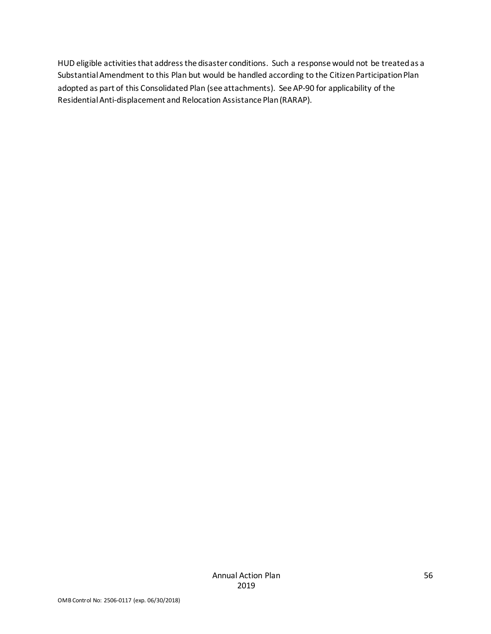HUD eligible activities that address the disaster conditions. Such a response would not be treated as a Substantial Amendment to this Plan but would be handled according to the Citizen Participation Plan adopted as part of this Consolidated Plan (see attachments). See AP-90 for applicability of the Residential Anti-displacement and Relocation Assistance Plan (RARAP).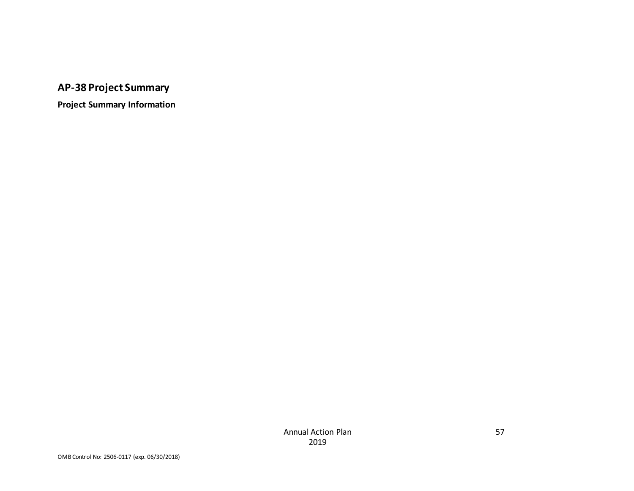# **AP-38 Project Summary**

**Project Summary Information**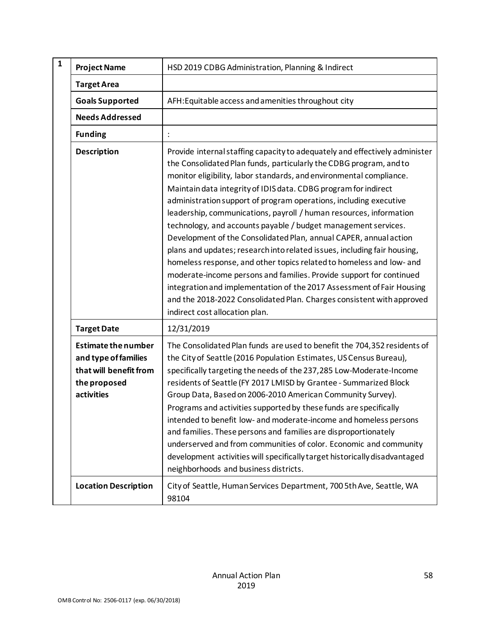| $\mathbf{1}$ | <b>Project Name</b>                                                                                        | HSD 2019 CDBG Administration, Planning & Indirect                                                                                                                                                                                                                                                                                                                                                                                                                                                                                                                                                                                                                                                                                                                                                                                                                                                                                                                                            |
|--------------|------------------------------------------------------------------------------------------------------------|----------------------------------------------------------------------------------------------------------------------------------------------------------------------------------------------------------------------------------------------------------------------------------------------------------------------------------------------------------------------------------------------------------------------------------------------------------------------------------------------------------------------------------------------------------------------------------------------------------------------------------------------------------------------------------------------------------------------------------------------------------------------------------------------------------------------------------------------------------------------------------------------------------------------------------------------------------------------------------------------|
|              | <b>Target Area</b>                                                                                         |                                                                                                                                                                                                                                                                                                                                                                                                                                                                                                                                                                                                                                                                                                                                                                                                                                                                                                                                                                                              |
|              | <b>Goals Supported</b>                                                                                     | AFH: Equitable access and amenities throughout city                                                                                                                                                                                                                                                                                                                                                                                                                                                                                                                                                                                                                                                                                                                                                                                                                                                                                                                                          |
|              | <b>Needs Addressed</b>                                                                                     |                                                                                                                                                                                                                                                                                                                                                                                                                                                                                                                                                                                                                                                                                                                                                                                                                                                                                                                                                                                              |
|              | <b>Funding</b>                                                                                             |                                                                                                                                                                                                                                                                                                                                                                                                                                                                                                                                                                                                                                                                                                                                                                                                                                                                                                                                                                                              |
|              | <b>Description</b>                                                                                         | Provide internal staffing capacity to adequately and effectively administer<br>the Consolidated Plan funds, particularly the CDBG program, and to<br>monitor eligibility, labor standards, and environmental compliance.<br>Maintain data integrity of IDIS data. CDBG program for indirect<br>administration support of program operations, including executive<br>leadership, communications, payroll / human resources, information<br>technology, and accounts payable / budget management services.<br>Development of the Consolidated Plan, annual CAPER, annual action<br>plans and updates; research into related issues, including fair housing,<br>homeless response, and other topics related to homeless and low- and<br>moderate-income persons and families. Provide support for continued<br>integration and implementation of the 2017 Assessment of Fair Housing<br>and the 2018-2022 Consolidated Plan. Charges consistent with approved<br>indirect cost allocation plan. |
|              | <b>Target Date</b>                                                                                         | 12/31/2019                                                                                                                                                                                                                                                                                                                                                                                                                                                                                                                                                                                                                                                                                                                                                                                                                                                                                                                                                                                   |
|              | <b>Estimate the number</b><br>and type of families<br>that will benefit from<br>the proposed<br>activities | The Consolidated Plan funds are used to benefit the 704,352 residents of<br>the City of Seattle (2016 Population Estimates, US Census Bureau),<br>specifically targeting the needs of the 237,285 Low-Moderate-Income<br>residents of Seattle (FY 2017 LMISD by Grantee - Summarized Block<br>Group Data, Based on 2006-2010 American Community Survey).<br>Programs and activities supported by these funds are specifically<br>intended to benefit low- and moderate-income and homeless persons<br>and families. These persons and families are disproportionately<br>underserved and from communities of color. Economic and community<br>development activities will specifically target historically disadvantaged<br>neighborhoods and business districts.                                                                                                                                                                                                                            |
|              | <b>Location Description</b>                                                                                | City of Seattle, Human Services Department, 700 5th Ave, Seattle, WA<br>98104                                                                                                                                                                                                                                                                                                                                                                                                                                                                                                                                                                                                                                                                                                                                                                                                                                                                                                                |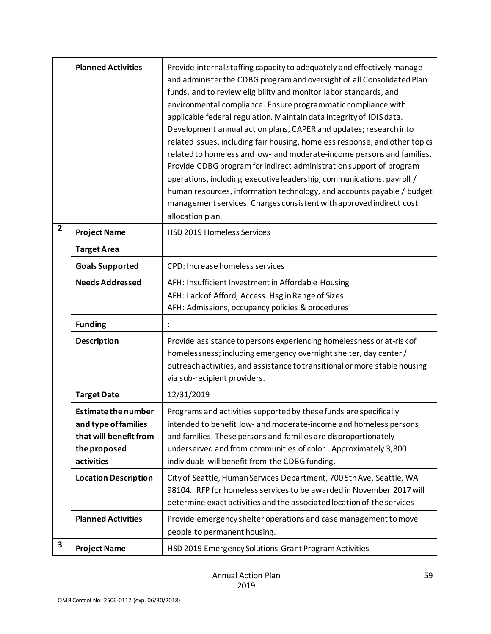|                | <b>Planned Activities</b>                                                                                  | Provide internal staffing capacity to adequately and effectively manage<br>and administer the CDBG program and oversight of all Consolidated Plan<br>funds, and to review eligibility and monitor labor standards, and<br>environmental compliance. Ensure programmatic compliance with<br>applicable federal regulation. Maintain data integrity of IDIS data.<br>Development annual action plans, CAPER and updates; research into<br>related issues, including fair housing, homeless response, and other topics<br>related to homeless and low- and moderate-income persons and families.<br>Provide CDBG program for indirect administration support of program<br>operations, including executive leadership, communications, payroll /<br>human resources, information technology, and accounts payable / budget<br>management services. Charges consistent with approved indirect cost<br>allocation plan. |
|----------------|------------------------------------------------------------------------------------------------------------|--------------------------------------------------------------------------------------------------------------------------------------------------------------------------------------------------------------------------------------------------------------------------------------------------------------------------------------------------------------------------------------------------------------------------------------------------------------------------------------------------------------------------------------------------------------------------------------------------------------------------------------------------------------------------------------------------------------------------------------------------------------------------------------------------------------------------------------------------------------------------------------------------------------------|
| $\overline{2}$ | <b>Project Name</b>                                                                                        | <b>HSD 2019 Homeless Services</b>                                                                                                                                                                                                                                                                                                                                                                                                                                                                                                                                                                                                                                                                                                                                                                                                                                                                                  |
|                | <b>Target Area</b>                                                                                         |                                                                                                                                                                                                                                                                                                                                                                                                                                                                                                                                                                                                                                                                                                                                                                                                                                                                                                                    |
|                | <b>Goals Supported</b>                                                                                     | CPD: Increase homeless services                                                                                                                                                                                                                                                                                                                                                                                                                                                                                                                                                                                                                                                                                                                                                                                                                                                                                    |
|                | <b>Needs Addressed</b>                                                                                     | AFH: Insufficient Investment in Affordable Housing                                                                                                                                                                                                                                                                                                                                                                                                                                                                                                                                                                                                                                                                                                                                                                                                                                                                 |
|                |                                                                                                            | AFH: Lack of Afford, Access. Hsg in Range of Sizes                                                                                                                                                                                                                                                                                                                                                                                                                                                                                                                                                                                                                                                                                                                                                                                                                                                                 |
|                |                                                                                                            | AFH: Admissions, occupancy policies & procedures                                                                                                                                                                                                                                                                                                                                                                                                                                                                                                                                                                                                                                                                                                                                                                                                                                                                   |
|                | <b>Funding</b>                                                                                             |                                                                                                                                                                                                                                                                                                                                                                                                                                                                                                                                                                                                                                                                                                                                                                                                                                                                                                                    |
|                | <b>Description</b>                                                                                         | Provide assistance to persons experiencing homelessness or at-risk of<br>homelessness; including emergency overnight shelter, day center /<br>outreach activities, and assistance to transitional or more stable housing<br>via sub-recipient providers.                                                                                                                                                                                                                                                                                                                                                                                                                                                                                                                                                                                                                                                           |
|                | <b>Target Date</b>                                                                                         | 12/31/2019                                                                                                                                                                                                                                                                                                                                                                                                                                                                                                                                                                                                                                                                                                                                                                                                                                                                                                         |
|                | <b>Estimate the number</b><br>and type of families<br>that will benefit from<br>the proposed<br>activities | Programs and activities supported by these funds are specifically<br>intended to benefit low- and moderate-income and homeless persons<br>and families. These persons and families are disproportionately<br>underserved and from communities of color. Approximately 3,800<br>individuals will benefit from the CDBG funding.                                                                                                                                                                                                                                                                                                                                                                                                                                                                                                                                                                                     |
|                | <b>Location Description</b>                                                                                | City of Seattle, Human Services Department, 700 5th Ave, Seattle, WA<br>98104. RFP for homeless services to be awarded in November 2017 will<br>determine exact activities and the associated location of the services                                                                                                                                                                                                                                                                                                                                                                                                                                                                                                                                                                                                                                                                                             |
|                | <b>Planned Activities</b>                                                                                  | Provide emergency shelter operations and case management to move<br>people to permanent housing.                                                                                                                                                                                                                                                                                                                                                                                                                                                                                                                                                                                                                                                                                                                                                                                                                   |
| 3              | <b>Project Name</b>                                                                                        | HSD 2019 Emergency Solutions Grant Program Activities                                                                                                                                                                                                                                                                                                                                                                                                                                                                                                                                                                                                                                                                                                                                                                                                                                                              |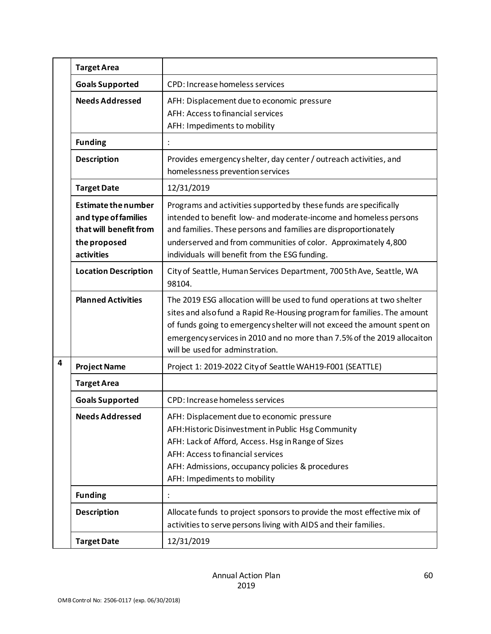|   | <b>Target Area</b>                                                                                         |                                                                                                                                                                                                                                                                                                                                             |
|---|------------------------------------------------------------------------------------------------------------|---------------------------------------------------------------------------------------------------------------------------------------------------------------------------------------------------------------------------------------------------------------------------------------------------------------------------------------------|
|   | <b>Goals Supported</b>                                                                                     | CPD: Increase homeless services                                                                                                                                                                                                                                                                                                             |
|   | <b>Needs Addressed</b>                                                                                     | AFH: Displacement due to economic pressure<br>AFH: Access to financial services<br>AFH: Impediments to mobility                                                                                                                                                                                                                             |
|   | <b>Funding</b>                                                                                             |                                                                                                                                                                                                                                                                                                                                             |
|   | <b>Description</b>                                                                                         | Provides emergency shelter, day center / outreach activities, and<br>homelessness prevention services                                                                                                                                                                                                                                       |
|   | <b>Target Date</b>                                                                                         | 12/31/2019                                                                                                                                                                                                                                                                                                                                  |
|   | <b>Estimate the number</b><br>and type of families<br>that will benefit from<br>the proposed<br>activities | Programs and activities supported by these funds are specifically<br>intended to benefit low- and moderate-income and homeless persons<br>and families. These persons and families are disproportionately<br>underserved and from communities of color. Approximately 4,800<br>individuals will benefit from the ESG funding.               |
|   | <b>Location Description</b>                                                                                | City of Seattle, Human Services Department, 700 5th Ave, Seattle, WA<br>98104.                                                                                                                                                                                                                                                              |
|   | <b>Planned Activities</b>                                                                                  | The 2019 ESG allocation willl be used to fund operations at two shelter<br>sites and also fund a Rapid Re-Housing program for families. The amount<br>of funds going to emergency shelter will not exceed the amount spent on<br>emergency services in 2010 and no more than 7.5% of the 2019 allocaiton<br>will be used for adminstration. |
| 4 | <b>Project Name</b>                                                                                        | Project 1: 2019-2022 City of Seattle WAH19-F001 (SEATTLE)                                                                                                                                                                                                                                                                                   |
|   | <b>Target Area</b>                                                                                         |                                                                                                                                                                                                                                                                                                                                             |
|   | <b>Goals Supported</b>                                                                                     | CPD: Increase homeless services                                                                                                                                                                                                                                                                                                             |
|   | <b>Needs Addressed</b>                                                                                     | AFH: Displacement due to economic pressure<br>AFH: Historic Disinvestment in Public Hsg Community<br>AFH: Lack of Afford, Access. Hsg in Range of Sizes<br>AFH: Access to financial services<br>AFH: Admissions, occupancy policies & procedures<br>AFH: Impediments to mobility                                                            |
|   | <b>Funding</b>                                                                                             | $\ddot{\cdot}$                                                                                                                                                                                                                                                                                                                              |
|   | <b>Description</b>                                                                                         | Allocate funds to project sponsors to provide the most effective mix of<br>activities to serve persons living with AIDS and their families.                                                                                                                                                                                                 |
|   | <b>Target Date</b>                                                                                         | 12/31/2019                                                                                                                                                                                                                                                                                                                                  |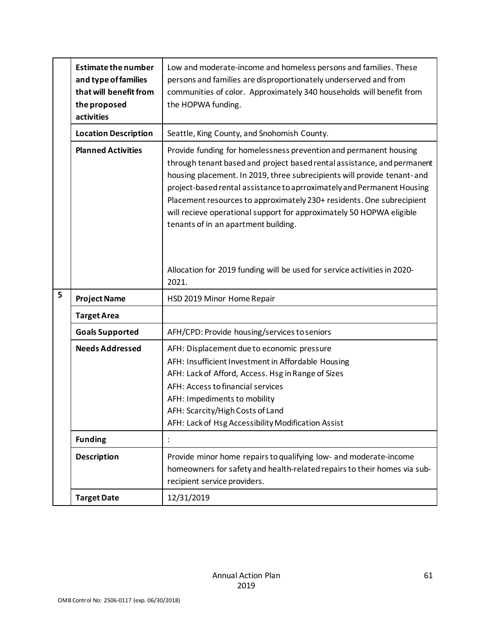|   | <b>Estimate the number</b><br>and type of families<br>that will benefit from<br>the proposed<br>activities | Low and moderate-income and homeless persons and families. These<br>persons and families are disproportionately underserved and from<br>communities of color. Approximately 340 households will benefit from<br>the HOPWA funding.                                                                                                                                                                                                                                                         |
|---|------------------------------------------------------------------------------------------------------------|--------------------------------------------------------------------------------------------------------------------------------------------------------------------------------------------------------------------------------------------------------------------------------------------------------------------------------------------------------------------------------------------------------------------------------------------------------------------------------------------|
|   | <b>Location Description</b>                                                                                | Seattle, King County, and Snohomish County.                                                                                                                                                                                                                                                                                                                                                                                                                                                |
|   | <b>Planned Activities</b>                                                                                  | Provide funding for homelessness prevention and permanent housing<br>through tenant based and project based rental assistance, and permanent<br>housing placement. In 2019, three subrecipients will provide tenant-and<br>project-based rental assistance to aprroximately and Permanent Housing<br>Placement resources to approximately 230+ residents. One subrecipient<br>will recieve operational support for approximately 50 HOPWA eligible<br>tenants of in an apartment building. |
|   |                                                                                                            | Allocation for 2019 funding will be used for service activities in 2020-<br>2021.                                                                                                                                                                                                                                                                                                                                                                                                          |
| 5 | <b>Project Name</b>                                                                                        | HSD 2019 Minor Home Repair                                                                                                                                                                                                                                                                                                                                                                                                                                                                 |
|   | <b>Target Area</b>                                                                                         |                                                                                                                                                                                                                                                                                                                                                                                                                                                                                            |
|   | <b>Goals Supported</b>                                                                                     | AFH/CPD: Provide housing/services to seniors                                                                                                                                                                                                                                                                                                                                                                                                                                               |
|   | <b>Needs Addressed</b>                                                                                     | AFH: Displacement due to economic pressure<br>AFH: Insufficient Investment in Affordable Housing<br>AFH: Lack of Afford, Access. Hsg in Range of Sizes<br>AFH: Access to financial services<br>AFH: Impediments to mobility<br>AFH: Scarcity/High Costs of Land<br>AFH: Lack of Hsg Accessibility Modification Assist                                                                                                                                                                      |
|   | <b>Funding</b>                                                                                             | :                                                                                                                                                                                                                                                                                                                                                                                                                                                                                          |
|   | <b>Description</b>                                                                                         | Provide minor home repairs to qualifying low- and moderate-income<br>homeowners for safety and health-related repairs to their homes via sub-<br>recipient service providers.                                                                                                                                                                                                                                                                                                              |
|   | <b>Target Date</b>                                                                                         | 12/31/2019                                                                                                                                                                                                                                                                                                                                                                                                                                                                                 |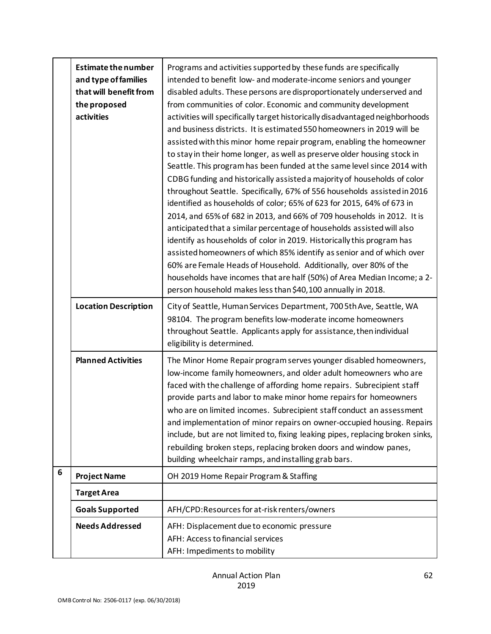|                 | <b>Estimate the number</b><br>and type of families<br>that will benefit from<br>the proposed<br>activities | Programs and activities supported by these funds are specifically<br>intended to benefit low- and moderate-income seniors and younger<br>disabled adults. These persons are disproportionately underserved and<br>from communities of color. Economic and community development<br>activities will specifically target historically disadvantaged neighborhoods<br>and business districts. It is estimated 550 homeowners in 2019 will be<br>assisted with this minor home repair program, enabling the homeowner<br>to stay in their home longer, as well as preserve older housing stock in<br>Seattle. This program has been funded at the same level since 2014 with<br>CDBG funding and historically assisted a majority of households of color<br>throughout Seattle. Specifically, 67% of 556 households assisted in 2016<br>identified as households of color; 65% of 623 for 2015, 64% of 673 in<br>2014, and 65% of 682 in 2013, and 66% of 709 households in 2012. It is<br>anticipated that a similar percentage of households assisted will also<br>identify as households of color in 2019. Historically this program has<br>assisted homeowners of which 85% identify as senior and of which over<br>60% are Female Heads of Household. Additionally, over 80% of the<br>households have incomes that are half (50%) of Area Median Income; a 2-<br>person household makes less than \$40,100 annually in 2018. |
|-----------------|------------------------------------------------------------------------------------------------------------|--------------------------------------------------------------------------------------------------------------------------------------------------------------------------------------------------------------------------------------------------------------------------------------------------------------------------------------------------------------------------------------------------------------------------------------------------------------------------------------------------------------------------------------------------------------------------------------------------------------------------------------------------------------------------------------------------------------------------------------------------------------------------------------------------------------------------------------------------------------------------------------------------------------------------------------------------------------------------------------------------------------------------------------------------------------------------------------------------------------------------------------------------------------------------------------------------------------------------------------------------------------------------------------------------------------------------------------------------------------------------------------------------------------------------------|
|                 | <b>Location Description</b>                                                                                | City of Seattle, Human Services Department, 700 5th Ave, Seattle, WA<br>98104. The program benefits low-moderate income homeowners<br>throughout Seattle. Applicants apply for assistance, then individual<br>eligibility is determined.                                                                                                                                                                                                                                                                                                                                                                                                                                                                                                                                                                                                                                                                                                                                                                                                                                                                                                                                                                                                                                                                                                                                                                                       |
|                 | <b>Planned Activities</b>                                                                                  | The Minor Home Repair program serves younger disabled homeowners,<br>low-income family homeowners, and older adult homeowners who are<br>faced with the challenge of affording home repairs. Subrecipient staff<br>provide parts and labor to make minor home repairs for homeowners<br>who are on limited incomes. Subrecipient staff conduct an assessment<br>and implementation of minor repairs on owner-occupied housing. Repairs<br>include, but are not limited to, fixing leaking pipes, replacing broken sinks,<br>rebuilding broken steps, replacing broken doors and window panes,<br>building wheelchair ramps, and installing grab bars.                                                                                                                                                                                                                                                                                                                                                                                                                                                                                                                                                                                                                                                                                                                                                                          |
| $6\phantom{1}6$ | <b>Project Name</b>                                                                                        | OH 2019 Home Repair Program & Staffing                                                                                                                                                                                                                                                                                                                                                                                                                                                                                                                                                                                                                                                                                                                                                                                                                                                                                                                                                                                                                                                                                                                                                                                                                                                                                                                                                                                         |
|                 | <b>Target Area</b>                                                                                         |                                                                                                                                                                                                                                                                                                                                                                                                                                                                                                                                                                                                                                                                                                                                                                                                                                                                                                                                                                                                                                                                                                                                                                                                                                                                                                                                                                                                                                |
|                 | <b>Goals Supported</b>                                                                                     | AFH/CPD:Resources for at-risk renters/owners                                                                                                                                                                                                                                                                                                                                                                                                                                                                                                                                                                                                                                                                                                                                                                                                                                                                                                                                                                                                                                                                                                                                                                                                                                                                                                                                                                                   |
|                 | <b>Needs Addressed</b>                                                                                     | AFH: Displacement due to economic pressure<br>AFH: Access to financial services<br>AFH: Impediments to mobility                                                                                                                                                                                                                                                                                                                                                                                                                                                                                                                                                                                                                                                                                                                                                                                                                                                                                                                                                                                                                                                                                                                                                                                                                                                                                                                |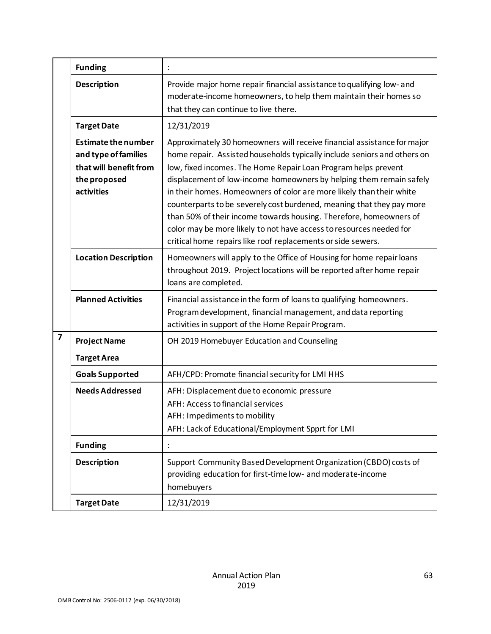|   | <b>Funding</b>                                                                                             |                                                                                                                                                                                                                                                                                                                                                                                                                                                                                                                                                                                                                                                            |
|---|------------------------------------------------------------------------------------------------------------|------------------------------------------------------------------------------------------------------------------------------------------------------------------------------------------------------------------------------------------------------------------------------------------------------------------------------------------------------------------------------------------------------------------------------------------------------------------------------------------------------------------------------------------------------------------------------------------------------------------------------------------------------------|
|   | <b>Description</b>                                                                                         | Provide major home repair financial assistance to qualifying low- and<br>moderate-income homeowners, to help them maintain their homes so<br>that they can continue to live there.                                                                                                                                                                                                                                                                                                                                                                                                                                                                         |
|   | <b>Target Date</b>                                                                                         | 12/31/2019                                                                                                                                                                                                                                                                                                                                                                                                                                                                                                                                                                                                                                                 |
|   | <b>Estimate the number</b><br>and type of families<br>that will benefit from<br>the proposed<br>activities | Approximately 30 homeowners will receive financial assistance for major<br>home repair. Assisted households typically include seniors and others on<br>low, fixed incomes. The Home Repair Loan Program helps prevent<br>displacement of low-income homeowners by helping them remain safely<br>in their homes. Homeowners of color are more likely than their white<br>counterparts to be severely cost burdened, meaning that they pay more<br>than 50% of their income towards housing. Therefore, homeowners of<br>color may be more likely to not have access to resources needed for<br>critical home repairs like roof replacements or side sewers. |
|   | <b>Location Description</b>                                                                                | Homeowners will apply to the Office of Housing for home repair loans<br>throughout 2019. Project locations will be reported after home repair<br>loans are completed.                                                                                                                                                                                                                                                                                                                                                                                                                                                                                      |
|   | <b>Planned Activities</b>                                                                                  | Financial assistance in the form of loans to qualifying homeowners.<br>Program development, financial management, and data reporting<br>activities in support of the Home Repair Program.                                                                                                                                                                                                                                                                                                                                                                                                                                                                  |
| 7 | <b>Project Name</b>                                                                                        | OH 2019 Homebuyer Education and Counseling                                                                                                                                                                                                                                                                                                                                                                                                                                                                                                                                                                                                                 |
|   | <b>Target Area</b>                                                                                         |                                                                                                                                                                                                                                                                                                                                                                                                                                                                                                                                                                                                                                                            |
|   | <b>Goals Supported</b>                                                                                     | AFH/CPD: Promote financial security for LMI HHS                                                                                                                                                                                                                                                                                                                                                                                                                                                                                                                                                                                                            |
|   | <b>Needs Addressed</b>                                                                                     | AFH: Displacement due to economic pressure<br>AFH: Access to financial services<br>AFH: Impediments to mobility<br>AFH: Lack of Educational/Employment Spprt for LMI                                                                                                                                                                                                                                                                                                                                                                                                                                                                                       |
|   | <b>Funding</b>                                                                                             |                                                                                                                                                                                                                                                                                                                                                                                                                                                                                                                                                                                                                                                            |
|   | <b>Description</b>                                                                                         | Support Community Based Development Organization (CBDO) costs of<br>providing education for first-time low- and moderate-income<br>homebuyers                                                                                                                                                                                                                                                                                                                                                                                                                                                                                                              |
|   | <b>Target Date</b>                                                                                         | 12/31/2019                                                                                                                                                                                                                                                                                                                                                                                                                                                                                                                                                                                                                                                 |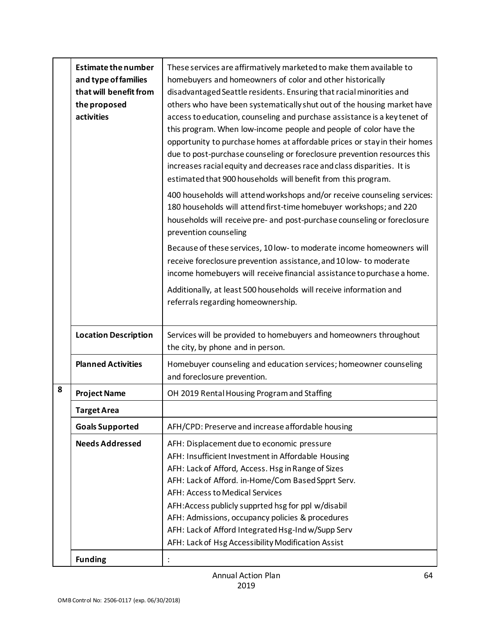|   | <b>Estimate the number</b><br>and type of families<br>that will benefit from<br>the proposed<br>activities | These services are affirmatively marketed to make them available to<br>homebuyers and homeowners of color and other historically<br>disadvantaged Seattle residents. Ensuring that racial minorities and<br>others who have been systematically shut out of the housing market have<br>access to education, counseling and purchase assistance is a key tenet of<br>this program. When low-income people and people of color have the<br>opportunity to purchase homes at affordable prices or stay in their homes<br>due to post-purchase counseling or foreclosure prevention resources this<br>increases racial equity and decreases race and class disparities. It is<br>estimated that 900 households will benefit from this program.<br>400 households will attend workshops and/or receive counseling services:<br>180 households will attend first-time homebuyer workshops; and 220<br>households will receive pre- and post-purchase counseling or foreclosure<br>prevention counseling<br>Because of these services, 10 low- to moderate income homeowners will<br>receive foreclosure prevention assistance, and 10 low- to moderate<br>income homebuyers will receive financial assistance to purchase a home.<br>Additionally, at least 500 households will receive information and<br>referrals regarding homeownership. |
|---|------------------------------------------------------------------------------------------------------------|-----------------------------------------------------------------------------------------------------------------------------------------------------------------------------------------------------------------------------------------------------------------------------------------------------------------------------------------------------------------------------------------------------------------------------------------------------------------------------------------------------------------------------------------------------------------------------------------------------------------------------------------------------------------------------------------------------------------------------------------------------------------------------------------------------------------------------------------------------------------------------------------------------------------------------------------------------------------------------------------------------------------------------------------------------------------------------------------------------------------------------------------------------------------------------------------------------------------------------------------------------------------------------------------------------------------------------------------|
|   | <b>Location Description</b>                                                                                | Services will be provided to homebuyers and homeowners throughout                                                                                                                                                                                                                                                                                                                                                                                                                                                                                                                                                                                                                                                                                                                                                                                                                                                                                                                                                                                                                                                                                                                                                                                                                                                                       |
|   | <b>Planned Activities</b>                                                                                  | the city, by phone and in person.<br>Homebuyer counseling and education services; homeowner counseling<br>and foreclosure prevention.                                                                                                                                                                                                                                                                                                                                                                                                                                                                                                                                                                                                                                                                                                                                                                                                                                                                                                                                                                                                                                                                                                                                                                                                   |
| 8 | <b>Project Name</b>                                                                                        | OH 2019 Rental Housing Program and Staffing                                                                                                                                                                                                                                                                                                                                                                                                                                                                                                                                                                                                                                                                                                                                                                                                                                                                                                                                                                                                                                                                                                                                                                                                                                                                                             |
|   | <b>Target Area</b>                                                                                         |                                                                                                                                                                                                                                                                                                                                                                                                                                                                                                                                                                                                                                                                                                                                                                                                                                                                                                                                                                                                                                                                                                                                                                                                                                                                                                                                         |
|   | <b>Goals Supported</b>                                                                                     | AFH/CPD: Preserve and increase affordable housing                                                                                                                                                                                                                                                                                                                                                                                                                                                                                                                                                                                                                                                                                                                                                                                                                                                                                                                                                                                                                                                                                                                                                                                                                                                                                       |
|   | <b>Needs Addressed</b>                                                                                     | AFH: Displacement due to economic pressure<br>AFH: Insufficient Investment in Affordable Housing<br>AFH: Lack of Afford, Access. Hsg in Range of Sizes<br>AFH: Lack of Afford. in-Home/Com Based Spprt Serv.<br><b>AFH: Access to Medical Services</b><br>AFH: Access publicly supprted hsg for ppl w/disabil<br>AFH: Admissions, occupancy policies & procedures<br>AFH: Lack of Afford Integrated Hsg-Ind w/Supp Serv<br>AFH: Lack of Hsg Accessibility Modification Assist                                                                                                                                                                                                                                                                                                                                                                                                                                                                                                                                                                                                                                                                                                                                                                                                                                                           |
|   | <b>Funding</b>                                                                                             |                                                                                                                                                                                                                                                                                                                                                                                                                                                                                                                                                                                                                                                                                                                                                                                                                                                                                                                                                                                                                                                                                                                                                                                                                                                                                                                                         |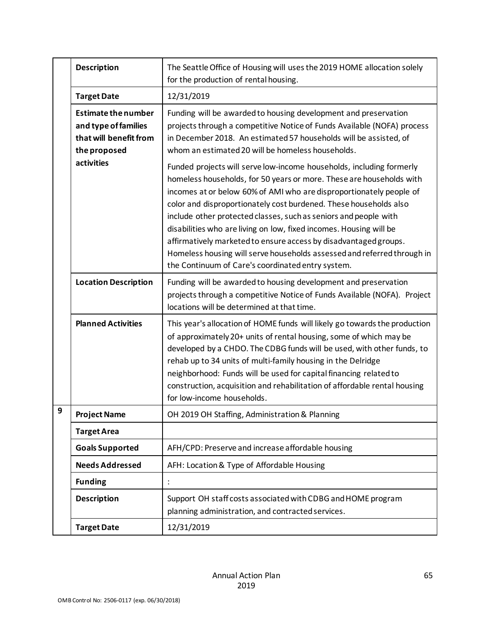|   | <b>Description</b>                                                                           | The Seattle Office of Housing will uses the 2019 HOME allocation solely<br>for the production of rental housing.                                                                                                                                                                                                                                                                                                                                                                                                                                                                                                                       |
|---|----------------------------------------------------------------------------------------------|----------------------------------------------------------------------------------------------------------------------------------------------------------------------------------------------------------------------------------------------------------------------------------------------------------------------------------------------------------------------------------------------------------------------------------------------------------------------------------------------------------------------------------------------------------------------------------------------------------------------------------------|
|   | <b>Target Date</b>                                                                           | 12/31/2019                                                                                                                                                                                                                                                                                                                                                                                                                                                                                                                                                                                                                             |
|   | <b>Estimate the number</b><br>and type of families<br>that will benefit from<br>the proposed | Funding will be awarded to housing development and preservation<br>projects through a competitive Notice of Funds Available (NOFA) process<br>in December 2018. An estimated 57 households will be assisted, of<br>whom an estimated 20 will be homeless households.                                                                                                                                                                                                                                                                                                                                                                   |
|   | activities                                                                                   | Funded projects will serve low-income households, including formerly<br>homeless households, for 50 years or more. These are households with<br>incomes at or below 60% of AMI who are disproportionately people of<br>color and disproportionately cost burdened. These households also<br>include other protected classes, such as seniors and people with<br>disabilities who are living on low, fixed incomes. Housing will be<br>affirmatively marketed to ensure access by disadvantaged groups.<br>Homeless housing will serve households assessed and referred through in<br>the Continuum of Care's coordinated entry system. |
|   | <b>Location Description</b>                                                                  | Funding will be awarded to housing development and preservation<br>projects through a competitive Notice of Funds Available (NOFA). Project<br>locations will be determined at that time.                                                                                                                                                                                                                                                                                                                                                                                                                                              |
|   | <b>Planned Activities</b>                                                                    | This year's allocation of HOME funds will likely go towards the production<br>of approximately 20+ units of rental housing, some of which may be<br>developed by a CHDO. The CDBG funds will be used, with other funds, to<br>rehab up to 34 units of multi-family housing in the Delridge<br>neighborhood: Funds will be used for capital financing related to<br>construction, acquisition and rehabilitation of affordable rental housing<br>for low-income households.                                                                                                                                                             |
| 9 | <b>Project Name</b>                                                                          | OH 2019 OH Staffing, Administration & Planning                                                                                                                                                                                                                                                                                                                                                                                                                                                                                                                                                                                         |
|   | <b>Target Area</b>                                                                           |                                                                                                                                                                                                                                                                                                                                                                                                                                                                                                                                                                                                                                        |
|   | <b>Goals Supported</b>                                                                       | AFH/CPD: Preserve and increase affordable housing                                                                                                                                                                                                                                                                                                                                                                                                                                                                                                                                                                                      |
|   | <b>Needs Addressed</b>                                                                       | AFH: Location & Type of Affordable Housing                                                                                                                                                                                                                                                                                                                                                                                                                                                                                                                                                                                             |
|   | <b>Funding</b>                                                                               |                                                                                                                                                                                                                                                                                                                                                                                                                                                                                                                                                                                                                                        |
|   | <b>Description</b>                                                                           | Support OH staff costs associated with CDBG and HOME program<br>planning administration, and contracted services.                                                                                                                                                                                                                                                                                                                                                                                                                                                                                                                      |
|   | <b>Target Date</b>                                                                           | 12/31/2019                                                                                                                                                                                                                                                                                                                                                                                                                                                                                                                                                                                                                             |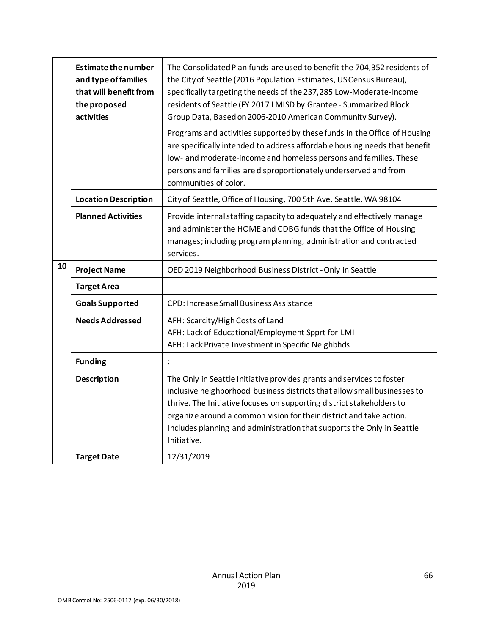|    | <b>Estimate the number</b><br>and type of families<br>that will benefit from<br>the proposed<br>activities | The Consolidated Plan funds are used to benefit the 704,352 residents of<br>the City of Seattle (2016 Population Estimates, US Census Bureau),<br>specifically targeting the needs of the 237,285 Low-Moderate-Income<br>residents of Seattle (FY 2017 LMISD by Grantee - Summarized Block<br>Group Data, Based on 2006-2010 American Community Survey).                                   |
|----|------------------------------------------------------------------------------------------------------------|--------------------------------------------------------------------------------------------------------------------------------------------------------------------------------------------------------------------------------------------------------------------------------------------------------------------------------------------------------------------------------------------|
|    |                                                                                                            | Programs and activities supported by these funds in the Office of Housing<br>are specifically intended to address affordable housing needs that benefit<br>low- and moderate-income and homeless persons and families. These<br>persons and families are disproportionately underserved and from<br>communities of color.                                                                  |
|    | <b>Location Description</b>                                                                                | City of Seattle, Office of Housing, 700 5th Ave, Seattle, WA 98104                                                                                                                                                                                                                                                                                                                         |
|    | <b>Planned Activities</b>                                                                                  | Provide internal staffing capacity to adequately and effectively manage<br>and administer the HOME and CDBG funds that the Office of Housing<br>manages; including program planning, administration and contracted<br>services.                                                                                                                                                            |
| 10 | <b>Project Name</b>                                                                                        | OED 2019 Neighborhood Business District - Only in Seattle                                                                                                                                                                                                                                                                                                                                  |
|    | <b>Target Area</b>                                                                                         |                                                                                                                                                                                                                                                                                                                                                                                            |
|    | <b>Goals Supported</b>                                                                                     | CPD: Increase Small Business Assistance                                                                                                                                                                                                                                                                                                                                                    |
|    | <b>Needs Addressed</b>                                                                                     | AFH: Scarcity/High Costs of Land<br>AFH: Lack of Educational/Employment Spprt for LMI<br>AFH: Lack Private Investment in Specific Neighbhds                                                                                                                                                                                                                                                |
|    | <b>Funding</b>                                                                                             |                                                                                                                                                                                                                                                                                                                                                                                            |
|    | <b>Description</b>                                                                                         | The Only in Seattle Initiative provides grants and services to foster<br>inclusive neighborhood business districts that allow small businesses to<br>thrive. The Initiative focuses on supporting district stakeholders to<br>organize around a common vision for their district and take action.<br>Includes planning and administration that supports the Only in Seattle<br>Initiative. |
|    | <b>Target Date</b>                                                                                         | 12/31/2019                                                                                                                                                                                                                                                                                                                                                                                 |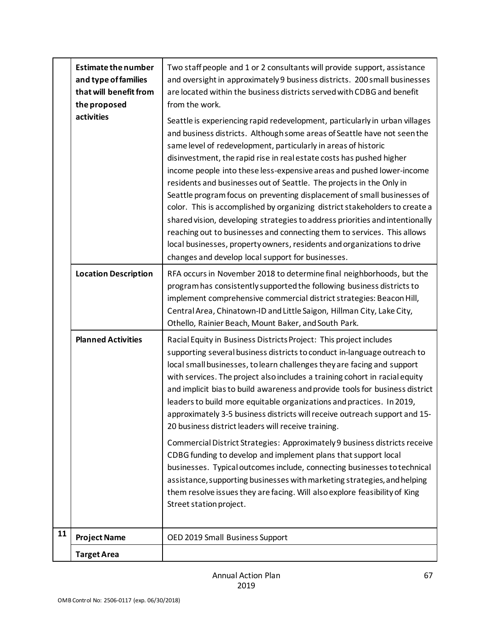|    | <b>Estimate the number</b><br>and type of families<br>that will benefit from<br>the proposed<br>activities | Two staff people and 1 or 2 consultants will provide support, assistance<br>and oversight in approximately 9 business districts. 200 small businesses<br>are located within the business districts served with CDBG and benefit<br>from the work.<br>Seattle is experiencing rapid redevelopment, particularly in urban villages<br>and business districts. Although some areas of Seattle have not seen the<br>same level of redevelopment, particularly in areas of historic<br>disinvestment, the rapid rise in real estate costs has pushed higher<br>income people into these less-expensive areas and pushed lower-income<br>residents and businesses out of Seattle. The projects in the Only in<br>Seattle program focus on preventing displacement of small businesses of<br>color. This is accomplished by organizing district stakeholders to create a<br>shared vision, developing strategies to address priorities and intentionally<br>reaching out to businesses and connecting them to services. This allows<br>local businesses, property owners, residents and organizations to drive |
|----|------------------------------------------------------------------------------------------------------------|---------------------------------------------------------------------------------------------------------------------------------------------------------------------------------------------------------------------------------------------------------------------------------------------------------------------------------------------------------------------------------------------------------------------------------------------------------------------------------------------------------------------------------------------------------------------------------------------------------------------------------------------------------------------------------------------------------------------------------------------------------------------------------------------------------------------------------------------------------------------------------------------------------------------------------------------------------------------------------------------------------------------------------------------------------------------------------------------------------|
|    | <b>Location Description</b>                                                                                | changes and develop local support for businesses.<br>RFA occurs in November 2018 to determine final neighborhoods, but the<br>program has consistently supported the following business districts to                                                                                                                                                                                                                                                                                                                                                                                                                                                                                                                                                                                                                                                                                                                                                                                                                                                                                                    |
|    |                                                                                                            | implement comprehensive commercial district strategies: Beacon Hill,<br>Central Area, Chinatown-ID and Little Saigon, Hillman City, Lake City,<br>Othello, Rainier Beach, Mount Baker, and South Park.                                                                                                                                                                                                                                                                                                                                                                                                                                                                                                                                                                                                                                                                                                                                                                                                                                                                                                  |
|    | <b>Planned Activities</b>                                                                                  | Racial Equity in Business Districts Project: This project includes<br>supporting several business districts to conduct in-language outreach to<br>local small businesses, to learn challenges they are facing and support<br>with services. The project also includes a training cohort in racial equity<br>and implicit bias to build awareness and provide tools for business district<br>leaders to build more equitable organizations and practices. In 2019,<br>approximately 3-5 business districts will receive outreach support and 15-<br>20 business district leaders will receive training.                                                                                                                                                                                                                                                                                                                                                                                                                                                                                                  |
|    |                                                                                                            | Commercial District Strategies: Approximately 9 business districts receive<br>CDBG funding to develop and implement plans that support local<br>businesses. Typical outcomes include, connecting businesses to technical<br>assistance, supporting businesses with marketing strategies, and helping<br>them resolve issues they are facing. Will also explore feasibility of King<br>Street station project.                                                                                                                                                                                                                                                                                                                                                                                                                                                                                                                                                                                                                                                                                           |
| 11 | <b>Project Name</b>                                                                                        | OED 2019 Small Business Support                                                                                                                                                                                                                                                                                                                                                                                                                                                                                                                                                                                                                                                                                                                                                                                                                                                                                                                                                                                                                                                                         |
|    | <b>Target Area</b>                                                                                         |                                                                                                                                                                                                                                                                                                                                                                                                                                                                                                                                                                                                                                                                                                                                                                                                                                                                                                                                                                                                                                                                                                         |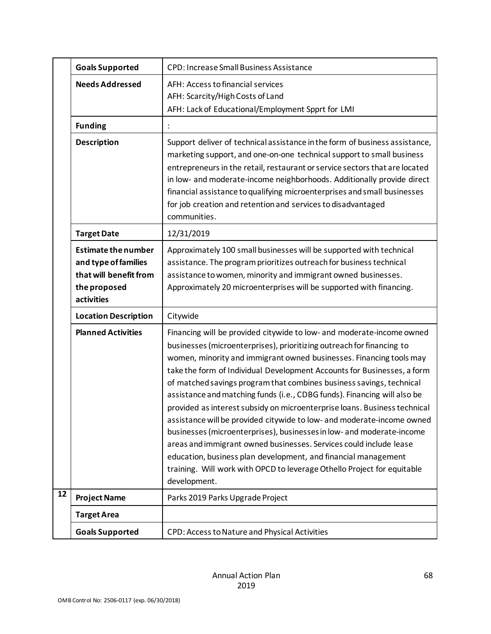|              | <b>Goals Supported</b>                                                                                     | <b>CPD: Increase Small Business Assistance</b>                                                                                                                                                                                                                                                                                                                                                                                                                                                                                                                                                                                                                                                                                                                                                                                                                                                                          |
|--------------|------------------------------------------------------------------------------------------------------------|-------------------------------------------------------------------------------------------------------------------------------------------------------------------------------------------------------------------------------------------------------------------------------------------------------------------------------------------------------------------------------------------------------------------------------------------------------------------------------------------------------------------------------------------------------------------------------------------------------------------------------------------------------------------------------------------------------------------------------------------------------------------------------------------------------------------------------------------------------------------------------------------------------------------------|
|              | <b>Needs Addressed</b>                                                                                     | AFH: Access to financial services<br>AFH: Scarcity/High Costs of Land<br>AFH: Lack of Educational/Employment Spprt for LMI                                                                                                                                                                                                                                                                                                                                                                                                                                                                                                                                                                                                                                                                                                                                                                                              |
|              | <b>Funding</b>                                                                                             |                                                                                                                                                                                                                                                                                                                                                                                                                                                                                                                                                                                                                                                                                                                                                                                                                                                                                                                         |
|              | <b>Description</b>                                                                                         | Support deliver of technical assistance in the form of business assistance,<br>marketing support, and one-on-one technical support to small business<br>entrepreneurs in the retail, restaurant or service sectors that are located<br>in low- and moderate-income neighborhoods. Additionally provide direct<br>financial assistance to qualifying microenterprises and small businesses<br>for job creation and retention and services to disadvantaged<br>communities.                                                                                                                                                                                                                                                                                                                                                                                                                                               |
|              | <b>Target Date</b>                                                                                         | 12/31/2019                                                                                                                                                                                                                                                                                                                                                                                                                                                                                                                                                                                                                                                                                                                                                                                                                                                                                                              |
|              | <b>Estimate the number</b><br>and type of families<br>that will benefit from<br>the proposed<br>activities | Approximately 100 small businesses will be supported with technical<br>assistance. The program prioritizes outreach for business technical<br>assistance to women, minority and immigrant owned businesses.<br>Approximately 20 microenterprises will be supported with financing.                                                                                                                                                                                                                                                                                                                                                                                                                                                                                                                                                                                                                                      |
|              | <b>Location Description</b>                                                                                | Citywide                                                                                                                                                                                                                                                                                                                                                                                                                                                                                                                                                                                                                                                                                                                                                                                                                                                                                                                |
|              | <b>Planned Activities</b>                                                                                  | Financing will be provided citywide to low- and moderate-income owned<br>businesses (microenterprises), prioritizing outreach for financing to<br>women, minority and immigrant owned businesses. Financing tools may<br>take the form of Individual Development Accounts for Businesses, a form<br>of matched savings program that combines business savings, technical<br>assistance and matching funds (i.e., CDBG funds). Financing will also be<br>provided as interest subsidy on microenterprise loans. Business technical<br>assistance will be provided citywide to low- and moderate-income owned<br>businesses (microenterprises), businesses in low- and moderate-income<br>areas and immigrant owned businesses. Services could include lease<br>education, business plan development, and financial management<br>training. Will work with OPCD to leverage Othello Project for equitable<br>development. |
| $\boxed{12}$ | <b>Project Name</b>                                                                                        | Parks 2019 Parks Upgrade Project                                                                                                                                                                                                                                                                                                                                                                                                                                                                                                                                                                                                                                                                                                                                                                                                                                                                                        |
|              | <b>Target Area</b>                                                                                         |                                                                                                                                                                                                                                                                                                                                                                                                                                                                                                                                                                                                                                                                                                                                                                                                                                                                                                                         |
|              | <b>Goals Supported</b>                                                                                     | CPD: Access to Nature and Physical Activities                                                                                                                                                                                                                                                                                                                                                                                                                                                                                                                                                                                                                                                                                                                                                                                                                                                                           |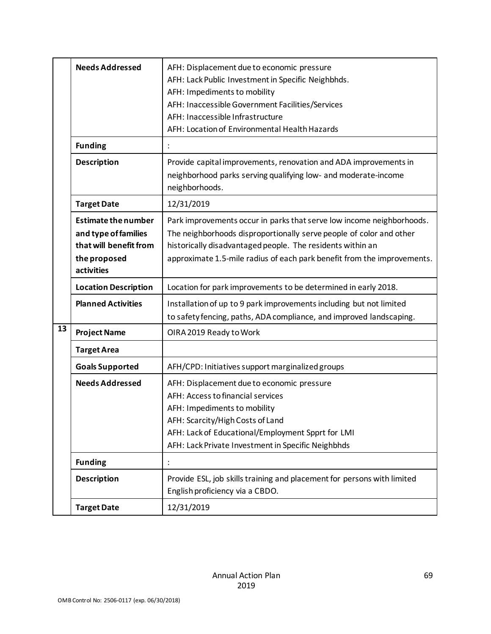|    | <b>Needs Addressed</b>                                                                                     | AFH: Displacement due to economic pressure<br>AFH: Lack Public Investment in Specific Neighbhds.<br>AFH: Impediments to mobility<br>AFH: Inaccessible Government Facilities/Services<br>AFH: Inaccessible Infrastructure<br>AFH: Location of Environmental Health Hazards             |
|----|------------------------------------------------------------------------------------------------------------|---------------------------------------------------------------------------------------------------------------------------------------------------------------------------------------------------------------------------------------------------------------------------------------|
|    | <b>Funding</b>                                                                                             | $\ddot{\cdot}$                                                                                                                                                                                                                                                                        |
|    | <b>Description</b>                                                                                         | Provide capital improvements, renovation and ADA improvements in<br>neighborhood parks serving qualifying low- and moderate-income<br>neighborhoods.                                                                                                                                  |
|    | <b>Target Date</b>                                                                                         | 12/31/2019                                                                                                                                                                                                                                                                            |
|    | <b>Estimate the number</b><br>and type of families<br>that will benefit from<br>the proposed<br>activities | Park improvements occur in parks that serve low income neighborhoods.<br>The neighborhoods disproportionally serve people of color and other<br>historically disadvantaged people. The residents within an<br>approximate 1.5-mile radius of each park benefit from the improvements. |
|    | <b>Location Description</b>                                                                                | Location for park improvements to be determined in early 2018.                                                                                                                                                                                                                        |
|    | <b>Planned Activities</b>                                                                                  | Installation of up to 9 park improvements including but not limited<br>to safety fencing, paths, ADA compliance, and improved landscaping.                                                                                                                                            |
| 13 | <b>Project Name</b>                                                                                        | OIRA 2019 Ready to Work                                                                                                                                                                                                                                                               |
|    | <b>Target Area</b>                                                                                         |                                                                                                                                                                                                                                                                                       |
|    | <b>Goals Supported</b>                                                                                     | AFH/CPD: Initiatives support marginalized groups                                                                                                                                                                                                                                      |
|    | <b>Needs Addressed</b>                                                                                     | AFH: Displacement due to economic pressure<br>AFH: Access to financial services<br>AFH: Impediments to mobility<br>AFH: Scarcity/High Costs of Land<br>AFH: Lack of Educational/Employment Spprt for LMI<br>AFH: Lack Private Investment in Specific Neighbhds                        |
|    | <b>Funding</b>                                                                                             |                                                                                                                                                                                                                                                                                       |
|    | <b>Description</b>                                                                                         | Provide ESL, job skills training and placement for persons with limited<br>English proficiency via a CBDO.                                                                                                                                                                            |
|    | <b>Target Date</b>                                                                                         | 12/31/2019                                                                                                                                                                                                                                                                            |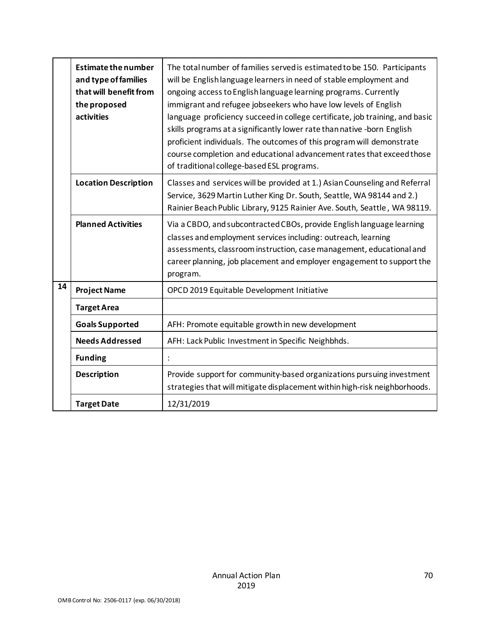|    | <b>Estimate the number</b><br>and type of families<br>that will benefit from<br>the proposed<br>activities | The total number of families served is estimated to be 150. Participants<br>will be English language learners in need of stable employment and<br>ongoing access to English language learning programs. Currently<br>immigrant and refugee jobseekers who have low levels of English<br>language proficiency succeed in college certificate, job training, and basic<br>skills programs at a significantly lower rate than native -born English<br>proficient individuals. The outcomes of this program will demonstrate<br>course completion and educational advancement rates that exceed those<br>of traditional college-based ESL programs. |
|----|------------------------------------------------------------------------------------------------------------|-------------------------------------------------------------------------------------------------------------------------------------------------------------------------------------------------------------------------------------------------------------------------------------------------------------------------------------------------------------------------------------------------------------------------------------------------------------------------------------------------------------------------------------------------------------------------------------------------------------------------------------------------|
|    | <b>Location Description</b>                                                                                | Classes and services will be provided at 1.) Asian Counseling and Referral<br>Service, 3629 Martin Luther King Dr. South, Seattle, WA 98144 and 2.)<br>Rainier Beach Public Library, 9125 Rainier Ave. South, Seattle, WA 98119.                                                                                                                                                                                                                                                                                                                                                                                                                |
|    | <b>Planned Activities</b>                                                                                  | Via a CBDO, and subcontracted CBOs, provide English language learning<br>classes and employment services including: outreach, learning<br>assessments, classroom instruction, case management, educational and<br>career planning, job placement and employer engagement to support the<br>program.                                                                                                                                                                                                                                                                                                                                             |
| 14 | <b>Project Name</b>                                                                                        | OPCD 2019 Equitable Development Initiative                                                                                                                                                                                                                                                                                                                                                                                                                                                                                                                                                                                                      |
|    | <b>Target Area</b>                                                                                         |                                                                                                                                                                                                                                                                                                                                                                                                                                                                                                                                                                                                                                                 |
|    | <b>Goals Supported</b>                                                                                     | AFH: Promote equitable growth in new development                                                                                                                                                                                                                                                                                                                                                                                                                                                                                                                                                                                                |
|    | <b>Needs Addressed</b>                                                                                     | AFH: Lack Public Investment in Specific Neighbhds.                                                                                                                                                                                                                                                                                                                                                                                                                                                                                                                                                                                              |
|    | <b>Funding</b>                                                                                             |                                                                                                                                                                                                                                                                                                                                                                                                                                                                                                                                                                                                                                                 |
|    | <b>Description</b>                                                                                         | Provide support for community-based organizations pursuing investment<br>strategies that will mitigate displacement within high-risk neighborhoods.                                                                                                                                                                                                                                                                                                                                                                                                                                                                                             |
|    | <b>Target Date</b>                                                                                         | 12/31/2019                                                                                                                                                                                                                                                                                                                                                                                                                                                                                                                                                                                                                                      |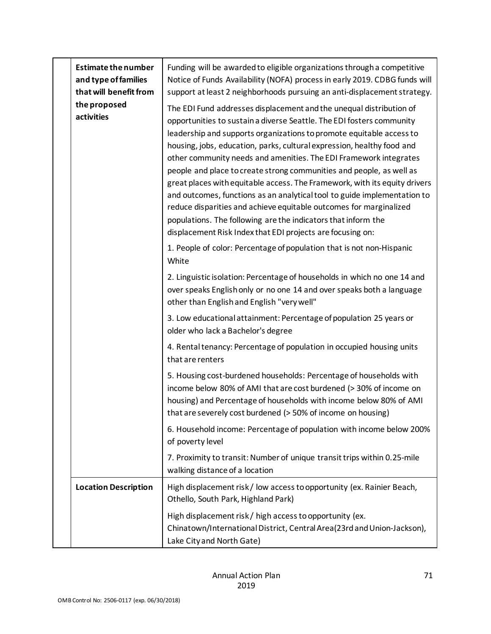| <b>Estimate the number</b><br>and type of families<br>that will benefit from<br>the proposed<br>activities | Funding will be awarded to eligible organizations through a competitive<br>Notice of Funds Availability (NOFA) process in early 2019. CDBG funds will<br>support at least 2 neighborhoods pursuing an anti-displacement strategy.<br>The EDI Fund addresses displacement and the unequal distribution of<br>opportunities to sustain a diverse Seattle. The EDI fosters community<br>leadership and supports organizations to promote equitable access to<br>housing, jobs, education, parks, cultural expression, healthy food and<br>other community needs and amenities. The EDI Framework integrates<br>people and place to create strong communities and people, as well as<br>great places with equitable access. The Framework, with its equity drivers<br>and outcomes, functions as an analytical tool to guide implementation to<br>reduce disparities and achieve equitable outcomes for marginalized<br>populations. The following are the indicators that inform the<br>displacement Risk Index that EDI projects are focusing on:<br>1. People of color: Percentage of population that is not non-Hispanic<br>White |
|------------------------------------------------------------------------------------------------------------|-----------------------------------------------------------------------------------------------------------------------------------------------------------------------------------------------------------------------------------------------------------------------------------------------------------------------------------------------------------------------------------------------------------------------------------------------------------------------------------------------------------------------------------------------------------------------------------------------------------------------------------------------------------------------------------------------------------------------------------------------------------------------------------------------------------------------------------------------------------------------------------------------------------------------------------------------------------------------------------------------------------------------------------------------------------------------------------------------------------------------------------|
|                                                                                                            | 2. Linguistic isolation: Percentage of households in which no one 14 and<br>over speaks English only or no one 14 and over speaks both a language<br>other than English and English "very well"                                                                                                                                                                                                                                                                                                                                                                                                                                                                                                                                                                                                                                                                                                                                                                                                                                                                                                                                   |
|                                                                                                            | 3. Low educational attainment: Percentage of population 25 years or<br>older who lack a Bachelor's degree                                                                                                                                                                                                                                                                                                                                                                                                                                                                                                                                                                                                                                                                                                                                                                                                                                                                                                                                                                                                                         |
|                                                                                                            | 4. Rental tenancy: Percentage of population in occupied housing units<br>that are renters                                                                                                                                                                                                                                                                                                                                                                                                                                                                                                                                                                                                                                                                                                                                                                                                                                                                                                                                                                                                                                         |
|                                                                                                            | 5. Housing cost-burdened households: Percentage of households with<br>income below 80% of AMI that are cost burdened (> 30% of income on<br>housing) and Percentage of households with income below 80% of AMI<br>that are severely cost burdened (> 50% of income on housing)                                                                                                                                                                                                                                                                                                                                                                                                                                                                                                                                                                                                                                                                                                                                                                                                                                                    |
|                                                                                                            | 6. Household income: Percentage of population with income below 200%<br>of poverty level                                                                                                                                                                                                                                                                                                                                                                                                                                                                                                                                                                                                                                                                                                                                                                                                                                                                                                                                                                                                                                          |
|                                                                                                            | 7. Proximity to transit: Number of unique transit trips within 0.25-mile<br>walking distance of a location                                                                                                                                                                                                                                                                                                                                                                                                                                                                                                                                                                                                                                                                                                                                                                                                                                                                                                                                                                                                                        |
| <b>Location Description</b>                                                                                | High displacement risk/low access to opportunity (ex. Rainier Beach,<br>Othello, South Park, Highland Park)                                                                                                                                                                                                                                                                                                                                                                                                                                                                                                                                                                                                                                                                                                                                                                                                                                                                                                                                                                                                                       |
|                                                                                                            | High displacement risk / high access to opportunity (ex.<br>Chinatown/International District, Central Area (23rd and Union-Jackson),<br>Lake City and North Gate)                                                                                                                                                                                                                                                                                                                                                                                                                                                                                                                                                                                                                                                                                                                                                                                                                                                                                                                                                                 |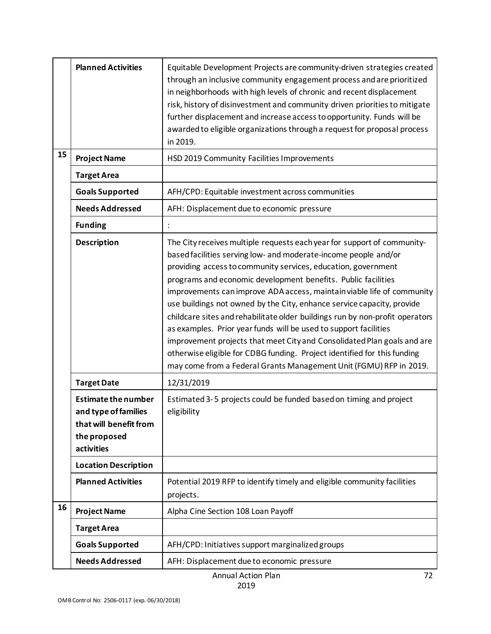|    | <b>Planned Activities</b>                                                                                  | Equitable Development Projects are community-driven strategies created<br>through an inclusive community engagement process and are prioritized<br>in neighborhoods with high levels of chronic and recent displacement<br>risk, history of disinvestment and community driven priorities to mitigate<br>further displacement and increase access to opportunity. Funds will be<br>awarded to eligible organizations through a request for proposal process<br>in 2019.                                                                                                                                                                                                                                                                                                                                           |
|----|------------------------------------------------------------------------------------------------------------|-------------------------------------------------------------------------------------------------------------------------------------------------------------------------------------------------------------------------------------------------------------------------------------------------------------------------------------------------------------------------------------------------------------------------------------------------------------------------------------------------------------------------------------------------------------------------------------------------------------------------------------------------------------------------------------------------------------------------------------------------------------------------------------------------------------------|
| 15 | <b>Project Name</b>                                                                                        | HSD 2019 Community Facilities Improvements                                                                                                                                                                                                                                                                                                                                                                                                                                                                                                                                                                                                                                                                                                                                                                        |
|    | <b>Target Area</b>                                                                                         |                                                                                                                                                                                                                                                                                                                                                                                                                                                                                                                                                                                                                                                                                                                                                                                                                   |
|    | <b>Goals Supported</b>                                                                                     | AFH/CPD: Equitable investment across communities                                                                                                                                                                                                                                                                                                                                                                                                                                                                                                                                                                                                                                                                                                                                                                  |
|    | <b>Needs Addressed</b>                                                                                     | AFH: Displacement due to economic pressure                                                                                                                                                                                                                                                                                                                                                                                                                                                                                                                                                                                                                                                                                                                                                                        |
|    | <b>Funding</b>                                                                                             |                                                                                                                                                                                                                                                                                                                                                                                                                                                                                                                                                                                                                                                                                                                                                                                                                   |
|    | <b>Description</b>                                                                                         | The City receives multiple requests each year for support of community-<br>based facilities serving low- and moderate-income people and/or<br>providing access to community services, education, government<br>programs and economic development benefits. Public facilities<br>improvements can improve ADA access, maintain viable life of community<br>use buildings not owned by the City, enhance service capacity, provide<br>childcare sites and rehabilitate older buildings run by non-profit operators<br>as examples. Prior year funds will be used to support facilities<br>improvement projects that meet City and Consolidated Plan goals and are<br>otherwise eligible for CDBG funding. Project identified for this funding<br>may come from a Federal Grants Management Unit (FGMU) RFP in 2019. |
|    | <b>Target Date</b>                                                                                         | 12/31/2019                                                                                                                                                                                                                                                                                                                                                                                                                                                                                                                                                                                                                                                                                                                                                                                                        |
|    | <b>Estimate the number</b><br>and type of families<br>that will benefit from<br>the proposed<br>activities | Estimated 3-5 projects could be funded based on timing and project<br>eligibility                                                                                                                                                                                                                                                                                                                                                                                                                                                                                                                                                                                                                                                                                                                                 |
|    | <b>Location Description</b>                                                                                |                                                                                                                                                                                                                                                                                                                                                                                                                                                                                                                                                                                                                                                                                                                                                                                                                   |
|    | <b>Planned Activities</b>                                                                                  | Potential 2019 RFP to identify timely and eligible community facilities<br>projects.                                                                                                                                                                                                                                                                                                                                                                                                                                                                                                                                                                                                                                                                                                                              |
| 16 | <b>Project Name</b>                                                                                        | Alpha Cine Section 108 Loan Payoff                                                                                                                                                                                                                                                                                                                                                                                                                                                                                                                                                                                                                                                                                                                                                                                |
|    | <b>Target Area</b>                                                                                         |                                                                                                                                                                                                                                                                                                                                                                                                                                                                                                                                                                                                                                                                                                                                                                                                                   |
|    | <b>Goals Supported</b>                                                                                     | AFH/CPD: Initiatives support marginalized groups                                                                                                                                                                                                                                                                                                                                                                                                                                                                                                                                                                                                                                                                                                                                                                  |
|    | <b>Needs Addressed</b>                                                                                     | AFH: Displacement due to economic pressure                                                                                                                                                                                                                                                                                                                                                                                                                                                                                                                                                                                                                                                                                                                                                                        |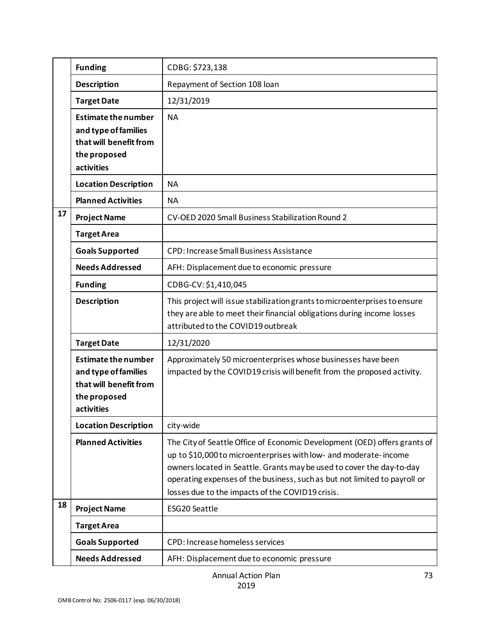|    | <b>Funding</b>                                                                                             | CDBG: \$723,138                                                                                                                                                                                                                                                                                                                                         |
|----|------------------------------------------------------------------------------------------------------------|---------------------------------------------------------------------------------------------------------------------------------------------------------------------------------------------------------------------------------------------------------------------------------------------------------------------------------------------------------|
|    | <b>Description</b>                                                                                         | Repayment of Section 108 loan                                                                                                                                                                                                                                                                                                                           |
|    | <b>Target Date</b>                                                                                         | 12/31/2019                                                                                                                                                                                                                                                                                                                                              |
|    | <b>Estimate the number</b><br>and type of families<br>that will benefit from<br>the proposed<br>activities | <b>NA</b>                                                                                                                                                                                                                                                                                                                                               |
|    | <b>Location Description</b>                                                                                | <b>NA</b>                                                                                                                                                                                                                                                                                                                                               |
|    | <b>Planned Activities</b>                                                                                  | <b>NA</b>                                                                                                                                                                                                                                                                                                                                               |
| 17 | <b>Project Name</b>                                                                                        | CV-OED 2020 Small Business Stabilization Round 2                                                                                                                                                                                                                                                                                                        |
|    | <b>Target Area</b>                                                                                         |                                                                                                                                                                                                                                                                                                                                                         |
|    | <b>Goals Supported</b>                                                                                     | <b>CPD: Increase Small Business Assistance</b>                                                                                                                                                                                                                                                                                                          |
|    | <b>Needs Addressed</b>                                                                                     | AFH: Displacement due to economic pressure                                                                                                                                                                                                                                                                                                              |
|    | <b>Funding</b>                                                                                             | CDBG-CV: \$1,410,045                                                                                                                                                                                                                                                                                                                                    |
|    | <b>Description</b>                                                                                         | This project will issue stabilization grants to microenterprises to ensure<br>they are able to meet their financial obligations during income losses<br>attributed to the COVID19 outbreak                                                                                                                                                              |
|    | <b>Target Date</b>                                                                                         | 12/31/2020                                                                                                                                                                                                                                                                                                                                              |
|    | <b>Estimate the number</b><br>and type of families<br>that will benefit from<br>the proposed<br>activities | Approximately 50 microenterprises whose businesses have been<br>impacted by the COVID19 crisis will benefit from the proposed activity.                                                                                                                                                                                                                 |
|    | <b>Location Description</b>                                                                                | city-wide                                                                                                                                                                                                                                                                                                                                               |
|    | <b>Planned Activities</b>                                                                                  | The City of Seattle Office of Economic Development (OED) offers grants of<br>up to \$10,000 to microenterprises with low- and moderate-income<br>owners located in Seattle. Grants may be used to cover the day-to-day<br>operating expenses of the business, such as but not limited to payroll or<br>losses due to the impacts of the COVID19 crisis. |
| 18 | <b>Project Name</b>                                                                                        | ESG20 Seattle                                                                                                                                                                                                                                                                                                                                           |
|    | <b>Target Area</b>                                                                                         |                                                                                                                                                                                                                                                                                                                                                         |
|    | <b>Goals Supported</b>                                                                                     | CPD: Increase homeless services                                                                                                                                                                                                                                                                                                                         |
|    | <b>Needs Addressed</b>                                                                                     | AFH: Displacement due to economic pressure                                                                                                                                                                                                                                                                                                              |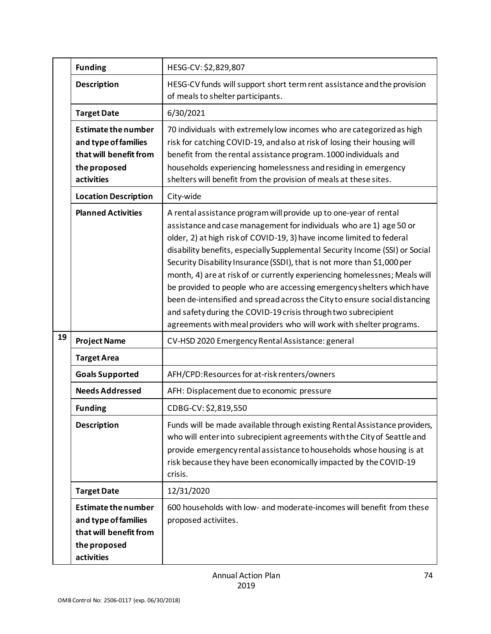|    | <b>Funding</b>                                                                                             | HESG-CV: \$2,829,807                                                                                                                                                                                                                                                                                                                                                                                                                                                                                                                                                                                                                                                                                                                                       |
|----|------------------------------------------------------------------------------------------------------------|------------------------------------------------------------------------------------------------------------------------------------------------------------------------------------------------------------------------------------------------------------------------------------------------------------------------------------------------------------------------------------------------------------------------------------------------------------------------------------------------------------------------------------------------------------------------------------------------------------------------------------------------------------------------------------------------------------------------------------------------------------|
|    | <b>Description</b>                                                                                         | HESG-CV funds will support short term rent assistance and the provision<br>of meals to shelter participants.                                                                                                                                                                                                                                                                                                                                                                                                                                                                                                                                                                                                                                               |
|    | <b>Target Date</b>                                                                                         | 6/30/2021                                                                                                                                                                                                                                                                                                                                                                                                                                                                                                                                                                                                                                                                                                                                                  |
|    | <b>Estimate the number</b><br>and type of families<br>that will benefit from<br>the proposed<br>activities | 70 individuals with extremely low incomes who are categorized as high<br>risk for catching COVID-19, and also at risk of losing their housing will<br>benefit from the rental assistance program. 1000 individuals and<br>households experiencing homelessness and residing in emergency<br>shelters will benefit from the provision of meals at these sites.                                                                                                                                                                                                                                                                                                                                                                                              |
|    | <b>Location Description</b>                                                                                | City-wide                                                                                                                                                                                                                                                                                                                                                                                                                                                                                                                                                                                                                                                                                                                                                  |
|    | <b>Planned Activities</b>                                                                                  | A rental assistance program will provide up to one-year of rental<br>assistance and case management for individuals who are 1) age 50 or<br>older, 2) at high risk of COVID-19, 3) have income limited to federal<br>disability benefits, especially Supplemental Security Income (SSI) or Social<br>Security Disability Insurance (SSDI), that is not more than \$1,000 per<br>month, 4) are at risk of or currently experiencing homelessnes; Meals will<br>be provided to people who are accessing emergency shelters which have<br>been de-intensified and spread across the City to ensure social distancing<br>and safety during the COVID-19 crisis through two subrecipient<br>agreements with meal providers who will work with shelter programs. |
| 19 | <b>Project Name</b>                                                                                        | CV-HSD 2020 Emergency Rental Assistance: general                                                                                                                                                                                                                                                                                                                                                                                                                                                                                                                                                                                                                                                                                                           |
|    | <b>Target Area</b>                                                                                         |                                                                                                                                                                                                                                                                                                                                                                                                                                                                                                                                                                                                                                                                                                                                                            |
|    | <b>Goals Supported</b>                                                                                     | AFH/CPD:Resources for at-risk renters/owners                                                                                                                                                                                                                                                                                                                                                                                                                                                                                                                                                                                                                                                                                                               |
|    | <b>Needs Addressed</b>                                                                                     | AFH: Displacement due to economic pressure                                                                                                                                                                                                                                                                                                                                                                                                                                                                                                                                                                                                                                                                                                                 |
|    | <b>Funding</b>                                                                                             | CDBG-CV: \$2,819,550                                                                                                                                                                                                                                                                                                                                                                                                                                                                                                                                                                                                                                                                                                                                       |
|    | <b>Description</b>                                                                                         | Funds will be made available through existing Rental Assistance providers,<br>who will enter into subrecipient agreements with the City of Seattle and<br>provide emergency rental assistance to households whose housing is at<br>risk because they have been economically impacted by the COVID-19<br>crisis.                                                                                                                                                                                                                                                                                                                                                                                                                                            |
|    | <b>Target Date</b>                                                                                         | 12/31/2020                                                                                                                                                                                                                                                                                                                                                                                                                                                                                                                                                                                                                                                                                                                                                 |
|    | <b>Estimate the number</b><br>and type of families<br>that will benefit from<br>the proposed<br>activities | 600 households with low- and moderate-incomes will benefit from these<br>proposed activiites.                                                                                                                                                                                                                                                                                                                                                                                                                                                                                                                                                                                                                                                              |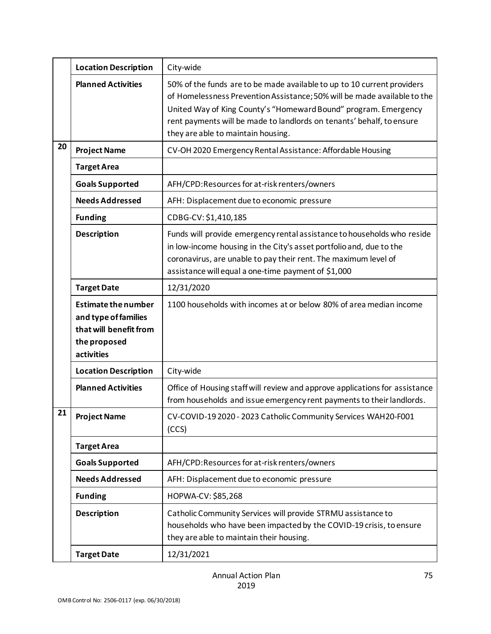|    | <b>Location Description</b>                                                                                | City-wide                                                                                                                                                                                                                                                                                                                             |
|----|------------------------------------------------------------------------------------------------------------|---------------------------------------------------------------------------------------------------------------------------------------------------------------------------------------------------------------------------------------------------------------------------------------------------------------------------------------|
|    | <b>Planned Activities</b>                                                                                  | 50% of the funds are to be made available to up to 10 current providers<br>of Homelessness Prevention Assistance; 50% will be made available to the<br>United Way of King County's "Homeward Bound" program. Emergency<br>rent payments will be made to landlords on tenants' behalf, to ensure<br>they are able to maintain housing. |
| 20 | <b>Project Name</b>                                                                                        | CV-OH 2020 Emergency Rental Assistance: Affordable Housing                                                                                                                                                                                                                                                                            |
|    | <b>Target Area</b>                                                                                         |                                                                                                                                                                                                                                                                                                                                       |
|    | <b>Goals Supported</b>                                                                                     | AFH/CPD:Resources for at-risk renters/owners                                                                                                                                                                                                                                                                                          |
|    | <b>Needs Addressed</b>                                                                                     | AFH: Displacement due to economic pressure                                                                                                                                                                                                                                                                                            |
|    | <b>Funding</b>                                                                                             | CDBG-CV: \$1,410,185                                                                                                                                                                                                                                                                                                                  |
|    | <b>Description</b>                                                                                         | Funds will provide emergency rental assistance to households who reside<br>in low-income housing in the City's asset portfolio and, due to the<br>coronavirus, are unable to pay their rent. The maximum level of<br>assistance will equal a one-time payment of \$1,000                                                              |
|    | <b>Target Date</b>                                                                                         | 12/31/2020                                                                                                                                                                                                                                                                                                                            |
|    | <b>Estimate the number</b><br>and type of families<br>that will benefit from<br>the proposed<br>activities | 1100 households with incomes at or below 80% of area median income                                                                                                                                                                                                                                                                    |
|    | <b>Location Description</b>                                                                                | City-wide                                                                                                                                                                                                                                                                                                                             |
|    | <b>Planned Activities</b>                                                                                  | Office of Housing staff will review and approve applications for assistance<br>from households and issue emergency rent payments to their landlords.                                                                                                                                                                                  |
| 21 | <b>Project Name</b>                                                                                        | CV-COVID-19 2020 - 2023 Catholic Community Services WAH20-F001<br>(CCS)                                                                                                                                                                                                                                                               |
|    | <b>Target Area</b>                                                                                         |                                                                                                                                                                                                                                                                                                                                       |
|    | <b>Goals Supported</b>                                                                                     | AFH/CPD:Resources for at-risk renters/owners                                                                                                                                                                                                                                                                                          |
|    | <b>Needs Addressed</b>                                                                                     | AFH: Displacement due to economic pressure                                                                                                                                                                                                                                                                                            |
|    | <b>Funding</b>                                                                                             | HOPWA-CV: \$85,268                                                                                                                                                                                                                                                                                                                    |
|    | <b>Description</b>                                                                                         | Catholic Community Services will provide STRMU assistance to<br>households who have been impacted by the COVID-19 crisis, to ensure<br>they are able to maintain their housing.                                                                                                                                                       |
|    | <b>Target Date</b>                                                                                         | 12/31/2021                                                                                                                                                                                                                                                                                                                            |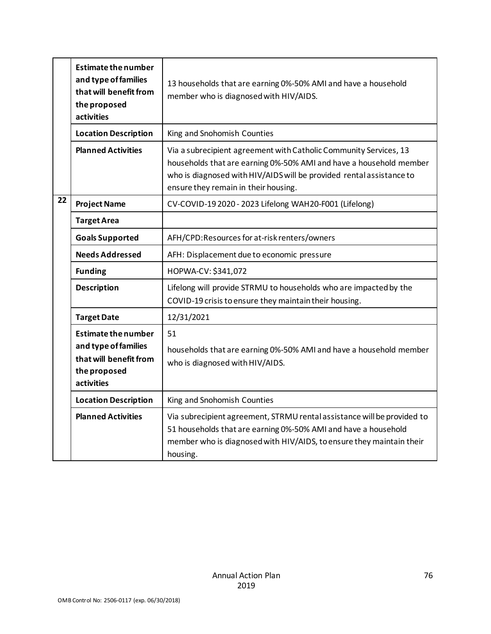|    | <b>Estimate the number</b><br>and type of families<br>that will benefit from<br>the proposed<br>activities | 13 households that are earning 0%-50% AMI and have a household<br>member who is diagnosed with HIV/AIDS.                                                                                                                                                |
|----|------------------------------------------------------------------------------------------------------------|---------------------------------------------------------------------------------------------------------------------------------------------------------------------------------------------------------------------------------------------------------|
|    | <b>Location Description</b>                                                                                | King and Snohomish Counties                                                                                                                                                                                                                             |
|    | <b>Planned Activities</b>                                                                                  | Via a subrecipient agreement with Catholic Community Services, 13<br>households that are earning 0%-50% AMI and have a household member<br>who is diagnosed with HIV/AIDS will be provided rental assistance to<br>ensure they remain in their housing. |
| 22 | <b>Project Name</b>                                                                                        | CV-COVID-19 2020 - 2023 Lifelong WAH20-F001 (Lifelong)                                                                                                                                                                                                  |
|    | <b>Target Area</b>                                                                                         |                                                                                                                                                                                                                                                         |
|    | <b>Goals Supported</b>                                                                                     | AFH/CPD:Resources for at-risk renters/owners                                                                                                                                                                                                            |
|    | <b>Needs Addressed</b>                                                                                     | AFH: Displacement due to economic pressure                                                                                                                                                                                                              |
|    | <b>Funding</b>                                                                                             | HOPWA-CV: \$341,072                                                                                                                                                                                                                                     |
|    | <b>Description</b>                                                                                         | Lifelong will provide STRMU to households who are impacted by the<br>COVID-19 crisis to ensure they maintain their housing.                                                                                                                             |
|    | <b>Target Date</b>                                                                                         | 12/31/2021                                                                                                                                                                                                                                              |
|    | <b>Estimate the number</b><br>and type of families<br>that will benefit from<br>the proposed<br>activities | 51<br>households that are earning 0%-50% AMI and have a household member<br>who is diagnosed with HIV/AIDS.                                                                                                                                             |
|    | <b>Location Description</b>                                                                                | King and Snohomish Counties                                                                                                                                                                                                                             |
|    | <b>Planned Activities</b>                                                                                  | Via subrecipient agreement, STRMU rental assistance will be provided to<br>51 households that are earning 0%-50% AMI and have a household<br>member who is diagnosed with HIV/AIDS, to ensure they maintain their<br>housing.                           |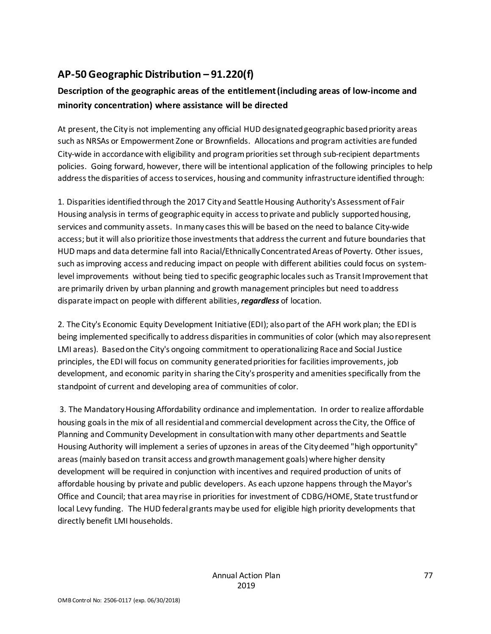# **AP-50 Geographic Distribution – 91.220(f)**

# **Description of the geographic areas of the entitlement (including areas of low-income and minority concentration) where assistance will be directed**

At present, the City is not implementing any official HUD designated geographic based priority areas such as NRSAs or Empowerment Zone or Brownfields. Allocations and program activities are funded City-wide in accordance with eligibility and program priorities set through sub-recipient departments policies. Going forward, however, there will be intentional application of the following principles to help address the disparities of access to services, housing and community infrastructure identified through:

1. Disparities identified through the 2017 City and Seattle Housing Authority's Assessment of Fair Housing analysis in terms of geographic equity in access to private and publicly supported housing, services and community assets. In many cases this will be based on the need to balance City-wide access; but it will also prioritize those investments that address the current and future boundaries that HUD maps and data determine fall into Racial/Ethnically Concentrated Areas of Poverty. Other issues, such as improving access and reducing impact on people with different abilities could focus on systemlevel improvements without being tied to specific geographic locales such as Transit Improvement that are primarily driven by urban planning and growth management principles but need to address disparate impact on people with different abilities, *regardless* of location.

2. The City's Economic Equity Development Initiative (EDI); also part of the AFH work plan; the EDI is being implemented specifically to address disparities in communities of color (which may also represent LMI areas). Based on the City's ongoing commitment to operationalizing Race and Social Justice principles, the EDI will focus on community generated priorities for facilities improvements, job development, and economic parity in sharing the City's prosperity and amenities specifically from the standpoint of current and developing area of communities of color.

3. The Mandatory Housing Affordability ordinance and implementation. In order to realize affordable housing goals in the mix of all residential and commercial development across the City, the Office of Planning and Community Development in consultation with many other departments and Seattle Housing Authority will implement a series of upzones in areas of the City deemed "high opportunity" areas (mainly based on transit access and growth management goals) where higher density development will be required in conjunction with incentives and required production of units of affordable housing by private and public developers. As each upzone happens through the Mayor's Office and Council; that area may rise in priorities for investment of CDBG/HOME, State trust fund or local Levy funding. The HUD federal grants may be used for eligible high priority developments that directly benefit LMI households.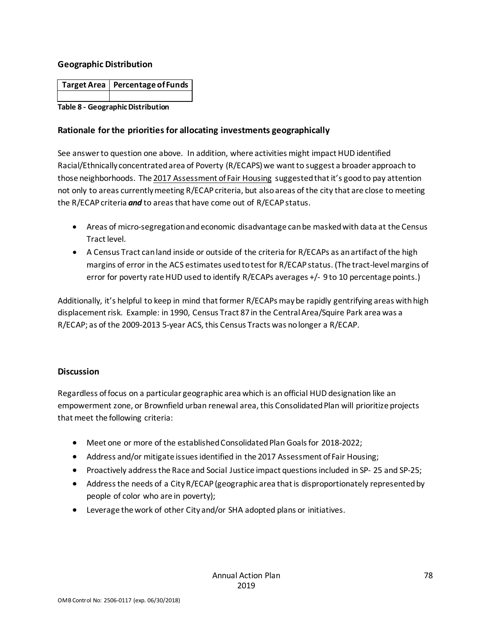### **Geographic Distribution**

| Target Area   Percentage of Funds |
|-----------------------------------|
|                                   |

#### **Table 8 - Geographic Distribution**

## **Rationale for the priorities for allocating investments geographically**

See answer to question one above. In addition, where activities might impact HUD identified Racial/Ethnically concentrated area of Poverty (R/ECAPS) we want to suggest a broader approach to those neighborhoods. The 2017 Assessment of Fair Housing suggested that it's good to pay attention not only to areas currently meeting R/ECAP criteria, but also areas of the city that are close to meeting the R/ECAP criteria *and* to areas that have come out of R/ECAP status.

- Areas of micro-segregation and economic disadvantage can be masked with data at the Census Tract level.
- A Census Tract can land inside or outside of the criteria for R/ECAPs as an artifact of the high margins of error in the ACS estimates used to test for R/ECAP status. (The tract-level margins of error for poverty rate HUD used to identify R/ECAPs averages +/- 9 to 10 percentage points.)

Additionally, it's helpful to keep in mind that former R/ECAPs may be rapidly gentrifying areas with high displacement risk. Example: in 1990, Census Tract 87 in the Central Area/Squire Park area was a R/ECAP; as of the 2009-2013 5-year ACS, this Census Tracts was no longer a R/ECAP.

### **Discussion**

Regardless of focus on a particular geographic area which is an official HUD designation like an empowerment zone, or Brownfield urban renewal area, this Consolidated Plan will prioritize projects that meet the following criteria:

- Meet one or more of the established Consolidated Plan Goals for 2018-2022;
- Address and/or mitigate issues identified in the 2017 Assessment of Fair Housing;
- Proactively address the Race and Social Justice impact questions included in SP- 25 and SP-25;
- Address the needs of a City R/ECAP (geographic area that is disproportionately represented by people of color who are in poverty);
- Leverage the work of other City and/or SHA adopted plans or initiatives.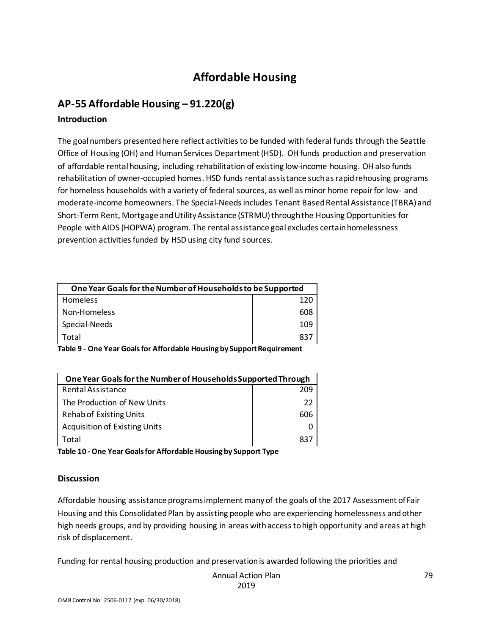# **Affordable Housing**

# **AP-55 Affordable Housing – 91.220(g)**

## **Introduction**

The goal numbers presented here reflect activities to be funded with federal funds through the Seattle Office of Housing (OH) and Human Services Department (HSD). OH funds production and preservation of affordable rental housing, including rehabilitation of existing low-income housing. OH also funds rehabilitation of owner-occupied homes. HSD funds rental assistance such as rapid rehousing programs for homeless households with a variety of federal sources, as well as minor home repair for low- and moderate-income homeowners. The Special-Needs includes Tenant Based Rental Assistance (TBRA) and Short-Term Rent, Mortgage and Utility Assistance (STRMU) through the Housing Opportunities for People with AIDS (HOPWA) program. The rental assistance goal excludes certain homelessness prevention activities funded by HSD using city fund sources.

| One Year Goals for the Number of Households to be Supported |     |
|-------------------------------------------------------------|-----|
| <b>Homeless</b>                                             | 120 |
| Non-Homeless                                                | 608 |
| Special-Needs                                               | 109 |
| Total                                                       | 837 |
|                                                             |     |

**Table 9 - One Year Goals for Affordable Housing by Support Requirement**

| One Year Goals for the Number of Households Supported Through |     |
|---------------------------------------------------------------|-----|
| Rental Assistance                                             | 209 |
| The Production of New Units                                   | 22  |
| <b>Rehab of Existing Units</b>                                | 606 |
| <b>Acquisition of Existing Units</b>                          |     |
| Total                                                         | 837 |

**Table 10 -One Year Goals for Affordable Housing by Support Type**

## **Discussion**

Affordable housing assistance programs implement many of the goals of the 2017 Assessment of Fair Housing and this Consolidated Plan by assisting people who are experiencing homelessness and other high needs groups, and by providing housing in areas with access to high opportunity and areas at high risk of displacement.

Funding for rental housing production and preservation is awarded following the priorities and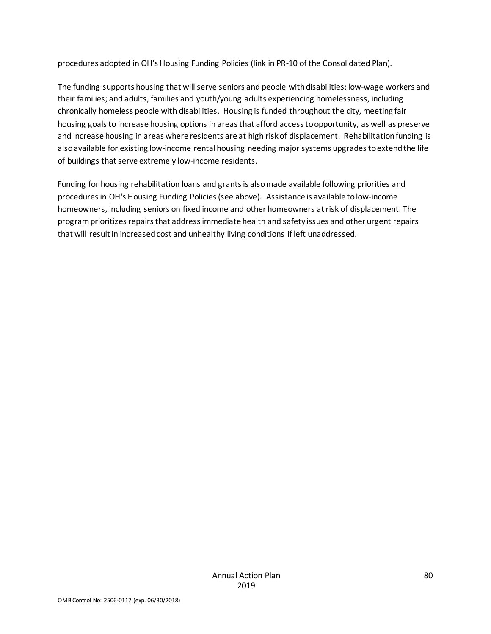procedures adopted in OH's Housing Funding Policies (link in PR-10 of the Consolidated Plan).

The funding supports housing that will serve seniors and people with disabilities; low-wage workers and their families; and adults, families and youth/young adults experiencing homelessness, including chronically homeless people with disabilities. Housing is funded throughout the city, meeting fair housing goals to increase housing options in areas that afford access to opportunity, as well as preserve and increase housing in areas where residents are at high risk of displacement. Rehabilitation funding is also available for existing low-income rental housing needing major systems upgrades to extend the life of buildings that serve extremely low-income residents.

Funding for housing rehabilitation loans and grants is also made available following priorities and procedures in OH's Housing Funding Policies (see above). Assistance is available to low-income homeowners, including seniors on fixed income and other homeowners at risk of displacement. The program prioritizes repairs that address immediate health and safety issues and other urgent repairs that will result in increased cost and unhealthy living conditions if left unaddressed.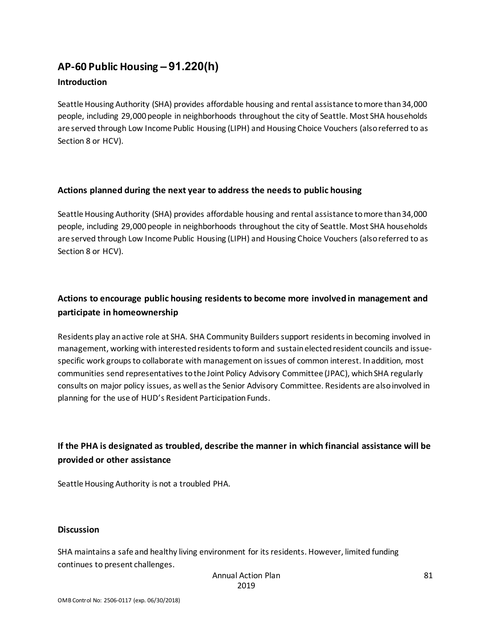# **AP-60 Public Housing** *–* **91.220(h)**

## **Introduction**

Seattle Housing Authority (SHA) provides affordable housing and rental assistance to more than 34,000 people, including 29,000 people in neighborhoods throughout the city of Seattle. Most SHA households are served through Low Income Public Housing (LIPH) and Housing Choice Vouchers (also referred to as Section 8 or HCV).

## **Actions planned during the next year to address the needs to public housing**

Seattle Housing Authority (SHA) provides affordable housing and rental assistance to more than 34,000 people, including 29,000 people in neighborhoods throughout the city of Seattle. Most SHA households are served through Low Income Public Housing (LIPH) and Housing Choice Vouchers (also referred to as Section 8 or HCV).

# **Actions to encourage public housing residents to become more involved in management and participate in homeownership**

Residents play an active role at SHA. SHA Community Builders support residents in becoming involved in management, working with interested residents to form and sustain elected resident councils and issuespecific work groups to collaborate with management on issues of common interest. In addition, most communities send representatives to the Joint Policy Advisory Committee (JPAC), which SHA regularly consults on major policy issues, as well as the Senior Advisory Committee. Residents are also involved in planning for the use of HUD's Resident Participation Funds.

# **If the PHA is designated as troubled, describe the manner in which financial assistance will be provided or other assistance**

Seattle Housing Authority is not a troubled PHA.

### **Discussion**

SHA maintains a safe and healthy living environment for its residents. However, limited funding continues to present challenges.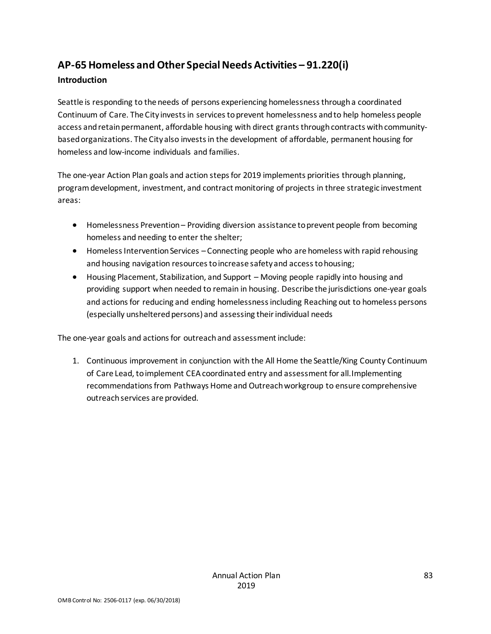# **AP-65 Homeless and Other Special Needs Activities – 91.220(i)**

## **Introduction**

Seattle is responding to the needs of persons experiencing homelessness through a coordinated Continuum of Care. The City invests in services to prevent homelessness and to help homeless people access and retain permanent, affordable housing with direct grants through contracts with communitybased organizations. The City also invests in the development of affordable, permanent housing for homeless and low-income individuals and families.

The one-year Action Plan goals and action steps for 2019 implements priorities through planning, program development, investment, and contract monitoring of projects in three strategic investment areas:

- Homelessness Prevention Providing diversion assistance to prevent people from becoming homeless and needing to enter the shelter;
- Homeless Intervention Services Connecting people who are homeless with rapid rehousing and housing navigation resources to increase safety and access to housing;
- Housing Placement, Stabilization, and Support Moving people rapidly into housing and providing support when needed to remain in housing. Describe the jurisdictions one-year goals and actions for reducing and ending homelessness including Reaching out to homeless persons (especially unsheltered persons) and assessing their individual needs

The one-year goals and actions for outreach and assessment include:

1. Continuous improvement in conjunction with the All Home the Seattle/King County Continuum of Care Lead, to implement CEA coordinated entry and assessment for all.Implementing recommendations from Pathways Home and Outreach workgroup to ensure comprehensive outreach services are provided.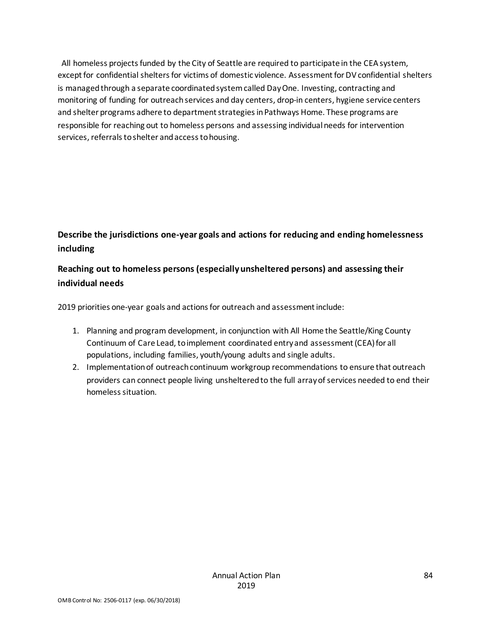All homeless projects funded by the City of Seattle are required to participate in the CEA system, except for confidential shelters for victims of domestic violence. Assessment for DV confidential shelters is managed through a separate coordinated system called Day One. Investing, contracting and monitoring of funding for outreach services and day centers, drop-in centers, hygiene service centers and shelter programs adhere to department strategies in Pathways Home. These programs are responsible for reaching out to homeless persons and assessing individual needs for intervention services, referrals to shelter and access to housing.

# **Describe the jurisdictions one-year goals and actions for reducing and ending homelessness including**

# **Reaching out to homeless persons (especially unsheltered persons) and assessing their individual needs**

2019 priorities one-year goals and actions for outreach and assessment include:

- 1. Planning and program development, in conjunction with All Home the Seattle/King County Continuum of Care Lead, to implement coordinated entry and assessment (CEA) for all populations, including families, youth/young adults and single adults.
- 2. Implementation of outreach continuum workgroup recommendations to ensure that outreach providers can connect people living unsheltered to the full array of services needed to end their homeless situation.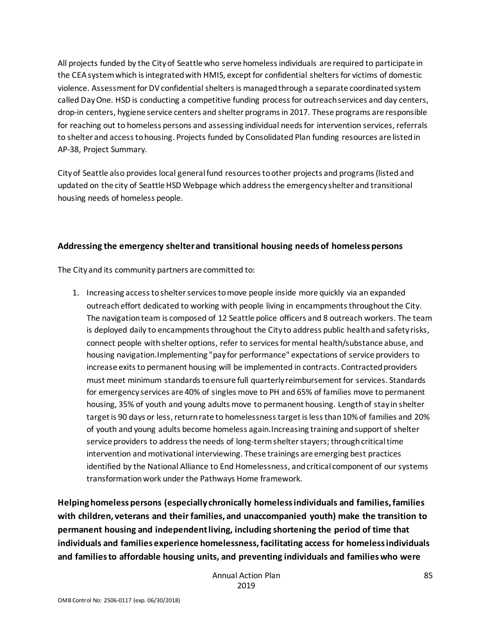All projects funded by the City of Seattle who serve homeless individuals are required to participate in the CEA system which is integrated with HMIS, except for confidential shelters for victims of domestic violence. Assessment for DV confidential shelters is managed through a separate coordinated system called Day One. HSD is conducting a competitive funding process for outreach services and day centers, drop-in centers, hygiene service centers and shelter programs in 2017. These programs are responsible for reaching out to homeless persons and assessing individual needs for intervention services, referrals to shelter and access to housing. Projects funded by Consolidated Plan funding resources are listed in AP-38, Project Summary.

City of Seattle also provides local general fund resources to other projects and programs (listed and updated on the city of Seattle HSD Webpage which address the emergency shelter and transitional housing needs of homeless people.

## **Addressing the emergency shelter and transitional housing needs of homeless persons**

The City and its community partners are committed to:

1. Increasing access to shelter services to move people inside more quickly via an expanded outreach effort dedicated to working with people living in encampments throughout the City. The navigation team is composed of 12 Seattle police officers and 8 outreach workers. The team is deployed daily to encampments throughout the City to address public health and safety risks, connect people with shelter options, refer to services for mental health/substance abuse, and housing navigation.Implementing "pay for performance" expectations of service providers to increase exits to permanent housing will be implemented in contracts. Contracted providers must meet minimum standards to ensure full quarterly reimbursement for services. Standards for emergency services are 40% of singles move to PH and 65% of families move to permanent housing, 35% of youth and young adults move to permanent housing. Length of stay in shelter target is 90 days or less, return rate to homelessness target is less than 10% of families and 20% of youth and young adults become homeless again.Increasing training and support of shelter service providers to address the needs of long-term shelter stayers; through critical time intervention and motivational interviewing. These trainings are emerging best practices identified by the National Alliance to End Homelessness, and critical component of our systems transformation work under the Pathways Home framework.

**Helping homeless persons (especially chronically homeless individuals and families, families with children, veterans and their families, and unaccompanied youth) make the transition to permanent housing and independent living, including shortening the period of time that individuals and families experience homelessness, facilitating access for homeless individuals and families to affordable housing units, and preventing individuals and families who were**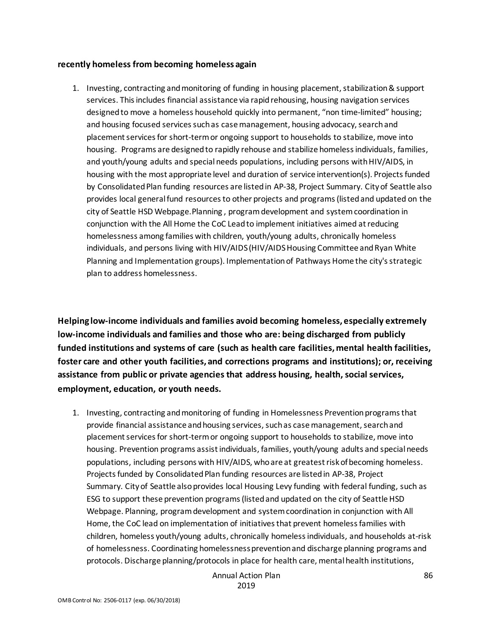#### **recently homeless from becoming homeless again**

1. Investing, contracting and monitoring of funding in housing placement, stabilization & support services. This includes financial assistance via rapid rehousing, housing navigation services designed to move a homeless household quickly into permanent, "non time-limited" housing; and housing focused services such as case management, housing advocacy, search and placement services for short-term or ongoing support to households to stabilize, move into housing. Programs are designed to rapidly rehouse and stabilize homeless individuals, families, and youth/young adults and special needs populations, including persons with HIV/AIDS, in housing with the most appropriate level and duration of service intervention(s). Projects funded by Consolidated Plan funding resources are listed in AP-38, Project Summary. City of Seattle also provides local general fund resources to other projects and programs (listed and updated on the city of Seattle HSD Webpage.Planning , program development and system coordination in conjunction with the All Home the CoC Lead to implement initiatives aimed at reducing homelessness among families with children, youth/young adults, chronically homeless individuals, and persons living with HIV/AIDS (HIV/AIDS Housing Committee and Ryan White Planning and Implementation groups). Implementation of Pathways Home the city's strategic plan to address homelessness.

**Helping low-income individuals and families avoid becoming homeless, especially extremely low-income individuals and families and those who are: being discharged from publicly funded institutions and systems of care (such as health care facilities, mental health facilities, foster care and other youth facilities, and corrections programs and institutions); or, receiving assistance from public or private agencies that address housing, health, social services, employment, education, or youth needs.**

1. Investing, contracting and monitoring of funding in Homelessness Prevention programs that provide financial assistance and housing services, such as case management, search and placement services for short-term or ongoing support to households to stabilize, move into housing. Prevention programs assist individuals, families, youth/young adults and special needs populations, including persons with HIV/AIDS, who are at greatest risk of becoming homeless. Projects funded by Consolidated Plan funding resources are listed in AP-38, Project Summary. City of Seattle also provides local Housing Levy funding with federal funding, such as ESG to support these prevention programs (listed and updated on the city of Seattle HSD Webpage. Planning, program development and system coordination in conjunction with All Home, the CoC lead on implementation of initiatives that prevent homeless families with children, homeless youth/young adults, chronically homeless individuals, and households at-risk of homelessness. Coordinating homelessness prevention and discharge planning programs and protocols. Discharge planning/protocols in place for health care, mental health institutions,

> Annual Action Plan 2019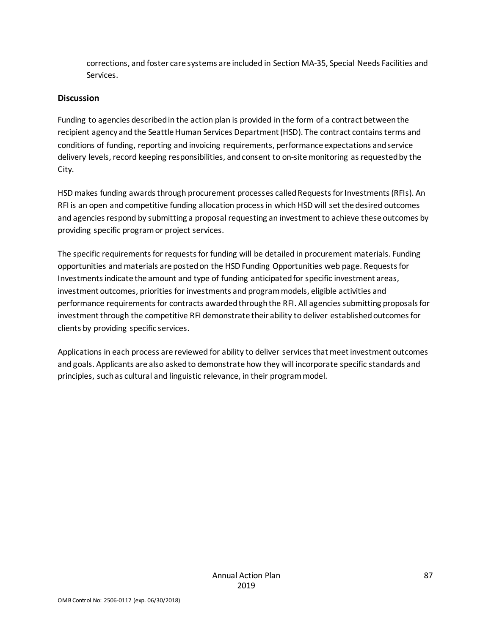corrections, and foster care systems are included in Section MA-35, Special Needs Facilities and Services.

### **Discussion**

Funding to agencies described in the action plan is provided in the form of a contract between the recipient agency and the Seattle Human Services Department (HSD). The contract contains terms and conditions of funding, reporting and invoicing requirements, performance expectations and service delivery levels, record keeping responsibilities, and consent to on-site monitoring as requested by the City.

HSD makes funding awards through procurement processes called Requests for Investments (RFIs). An RFI is an open and competitive funding allocation process in which HSD will set the desired outcomes and agencies respond by submitting a proposal requesting an investment to achieve these outcomes by providing specific program or project services.

The specific requirements for requests for funding will be detailed in procurement materials. Funding opportunities and materials are posted on the HSD Funding Opportunities web page. Requests for Investments indicate the amount and type of funding anticipated for specific investment areas, investment outcomes, priorities for investments and program models, eligible activities and performance requirements for contracts awarded through the RFI. All agencies submitting proposals for investment through the competitive RFI demonstrate their ability to deliver established outcomes for clients by providing specific services.

Applications in each process are reviewed for ability to deliver services that meet investment outcomes and goals. Applicants are also asked to demonstrate how they will incorporate specific standards and principles, such as cultural and linguistic relevance, in their program model.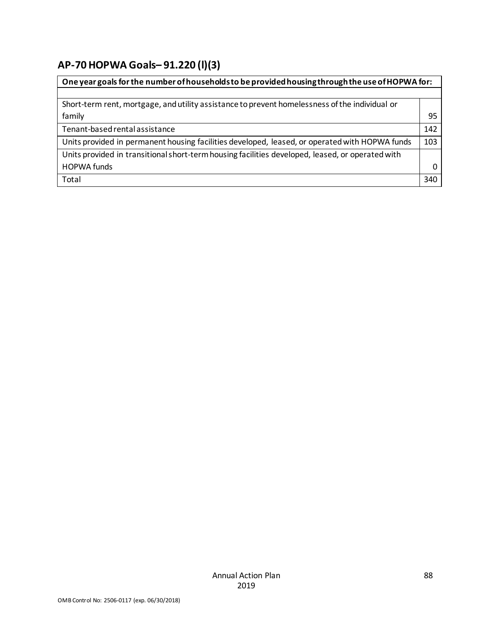# **AP-70 HOPWA Goals***–* **91.220 (l)(3)**

| One year goals for the number of households to be provided housing through the use of HOPWA for: |              |
|--------------------------------------------------------------------------------------------------|--------------|
|                                                                                                  |              |
| Short-term rent, mortgage, and utility assistance to prevent homelessness of the individual or   |              |
| family                                                                                           | 95           |
| Tenant-based rental assistance                                                                   | 142          |
| Units provided in permanent housing facilities developed, leased, or operated with HOPWA funds   | 103          |
| Units provided in transitional short-term housing facilities developed, leased, or operated with |              |
| <b>HOPWA funds</b>                                                                               | <sup>0</sup> |
| Total                                                                                            | 340          |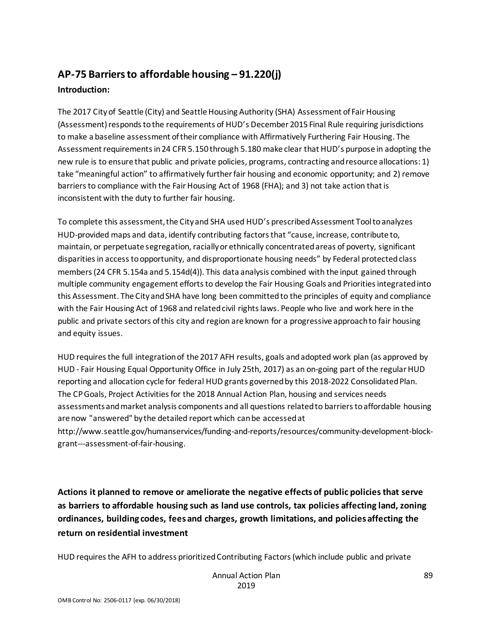# **AP-75 Barriers to affordable housing – 91.220(j) Introduction:**

The 2017 City of Seattle (City) and Seattle Housing Authority (SHA) Assessment of Fair Housing (Assessment) responds to the requirements of HUD's December 2015 Final Rule requiring jurisdictions to make a baseline assessment of their compliance with Affirmatively Furthering Fair Housing. The Assessment requirements in 24 CFR 5.150 through 5.180 make clear that HUD's purpose in adopting the new rule is to ensure that public and private policies, programs, contracting and resource allocations: 1) take "meaningful action" to affirmatively further fair housing and economic opportunity; and 2) remove barriers to compliance with the Fair Housing Act of 1968 (FHA); and 3) not take action that is inconsistent with the duty to further fair housing.

To complete this assessment, the City and SHA used HUD's prescribed Assessment Tool to analyzes HUD-provided maps and data, identify contributing factors that "cause, increase, contribute to, maintain, or perpetuate segregation, racially or ethnically concentrated areas of poverty, significant disparities in access to opportunity, and disproportionate housing needs" by Federal protected class members (24 CFR 5.154a and 5.154d(4)). This data analysis combined with the input gained through multiple community engagement efforts to develop the Fair Housing Goals and Priorities integrated into this Assessment. The City and SHA have long been committed to the principles of equity and compliance with the Fair Housing Act of 1968 and related civil rights laws. People who live and work here in the public and private sectors of this city and region are known for a progressive approach to fair housing and equity issues.

HUD requires the full integration of the 2017 AFH results, goals and adopted work plan (as approved by HUD - Fair Housing Equal Opportunity Office in July 25th, 2017) as an on-going part of the regular HUD reporting and allocation cycle for federal HUD grants governed by this 2018-2022 Consolidated Plan. The CP Goals, Project Activities for the 2018 Annual Action Plan, housing and services needs assessments and market analysis components and all questions related to barriers to affordable housing are now "answered" by the detailed report which can be accessed at http://www.seattle.gov/humanservices/funding-and-reports/resources/community-development-blockgrant---assessment-of-fair-housing.

**Actions it planned to remove or ameliorate the negative effects of public policies that serve as barriers to affordable housing such as land use controls, tax policies affecting land, zoning ordinances, building codes, fees and charges, growth limitations, and policies affecting the return on residential investment**

HUD requires the AFH to address prioritized Contributing Factors (which include public and private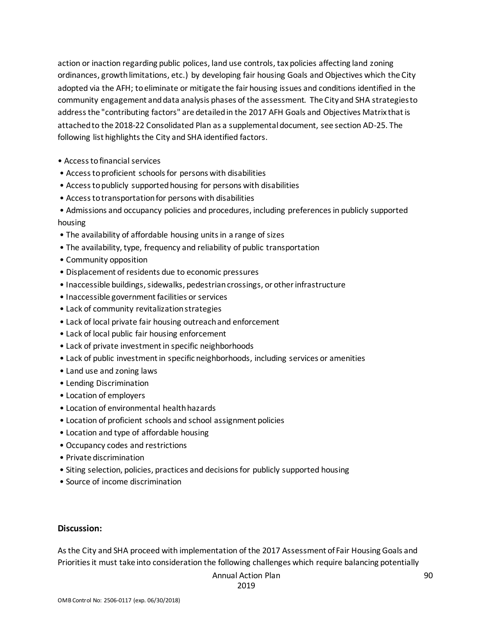action or inaction regarding public polices, land use controls, tax policies affecting land zoning ordinances, growth limitations, etc.) by developing fair housing Goals and Objectives which the City adopted via the AFH; to eliminate or mitigate the fair housing issues and conditions identified in the community engagement and data analysis phases of the assessment. The City and SHA strategies to address the "contributing factors" are detailed in the 2017 AFH Goals and Objectives Matrix that is attached to the 2018-22 Consolidated Plan as a supplemental document, see section AD-25. The following list highlights the City and SHA identified factors.

- Access to financial services
- Access to proficient schools for persons with disabilities
- Access to publicly supported housing for persons with disabilities
- Access to transportation for persons with disabilities
- Admissions and occupancy policies and procedures, including preferences in publicly supported housing
- The availability of affordable housing units in a range of sizes
- The availability, type, frequency and reliability of public transportation
- Community opposition
- Displacement of residents due to economic pressures
- Inaccessible buildings, sidewalks, pedestrian crossings, or other infrastructure
- Inaccessible government facilities or services
- Lack of community revitalization strategies
- Lack of local private fair housing outreach and enforcement
- Lack of local public fair housing enforcement
- Lack of private investment in specific neighborhoods
- Lack of public investment in specific neighborhoods, including services or amenities
- Land use and zoning laws
- Lending Discrimination
- Location of employers
- Location of environmental health hazards
- Location of proficient schools and school assignment policies
- Location and type of affordable housing
- Occupancy codes and restrictions
- Private discrimination
- Siting selection, policies, practices and decisions for publicly supported housing
- Source of income discrimination

#### **Discussion:**

As the City and SHA proceed with implementation of the 2017 Assessment of Fair Housing Goals and Priorities it must take into consideration the following challenges which require balancing potentially

```
Annual Action Plan
```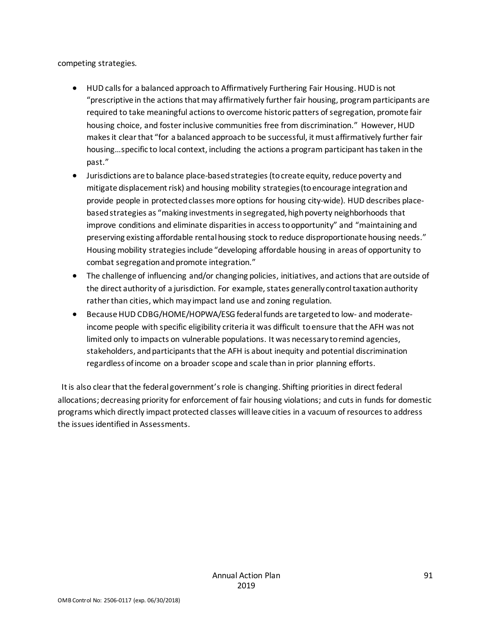competing strategies.

- HUD calls for a balanced approach to Affirmatively Furthering Fair Housing. HUD is not "prescriptive in the actions that may affirmatively further fair housing, program participants are required to take meaningful actions to overcome historic patters of segregation, promote fair housing choice, and foster inclusive communities free from discrimination." However, HUD makes it clear that "for a balanced approach to be successful, it must affirmatively further fair housing…specific to local context, including the actions a program participant has taken in the past."
- Jurisdictions are to balance place-based strategies (to create equity, reduce poverty and mitigate displacement risk) and housing mobility strategies (to encourage integration and provide people in protected classes more options for housing city-wide). HUD describes placebased strategies as "making investments in segregated, high poverty neighborhoods that improve conditions and eliminate disparities in access to opportunity" and "maintaining and preserving existing affordable rental housing stock to reduce disproportionate housing needs." Housing mobility strategies include "developing affordable housing in areas of opportunity to combat segregation and promote integration."
- The challenge of influencing and/or changing policies, initiatives, and actions that are outside of the direct authority of a jurisdiction. For example, states generally control taxation authority rather than cities, which may impact land use and zoning regulation.
- Because HUD CDBG/HOME/HOPWA/ESG federal funds are targeted to low- and moderateincome people with specific eligibility criteria it was difficult to ensure that the AFH was not limited only to impacts on vulnerable populations. It was necessary to remind agencies, stakeholders, andparticipants that the AFH is about inequity and potential discrimination regardless of income on a broader scope and scale than in prior planning efforts.

 It is also clear that the federal government's role is changing. Shifting priorities in direct federal allocations; decreasing priority for enforcement of fair housing violations; and cuts in funds for domestic programs which directly impact protected classes will leave cities in a vacuum of resources to address the issues identified in Assessments.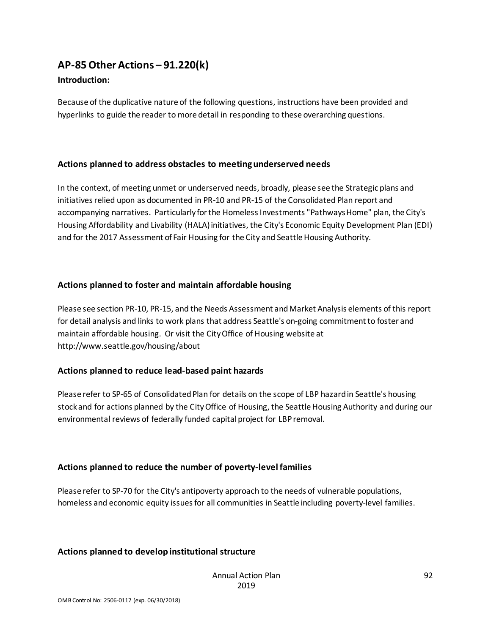# **AP-85 Other Actions – 91.220(k)**

### **Introduction:**

Because of the duplicative nature of the following questions, instructions have been provided and hyperlinks to guide the reader to more detail in responding to these overarching questions.

## **Actions planned to address obstacles to meeting underserved needs**

In the context, of meeting unmet or underserved needs, broadly, please see the Strategic plans and initiatives relied upon as documented in PR-10 and PR-15 of the Consolidated Plan report and accompanying narratives. Particularly for the Homeless Investments "Pathways Home" plan, the City's Housing Affordability and Livability (HALA) initiatives, the City's Economic Equity Development Plan (EDI) and for the 2017 Assessment of Fair Housing for the City and Seattle Housing Authority.

## **Actions planned to foster and maintain affordable housing**

Please see section PR-10, PR-15, and the Needs Assessment and Market Analysis elements of this report for detail analysis and links to work plans that address Seattle's on-going commitment to foster and maintain affordable housing. Or visit the City Office of Housing website at http://www.seattle.gov/housing/about

### **Actions planned to reduce lead-based paint hazards**

Please refer to SP-65 of Consolidated Plan for details on the scope of LBP hazard in Seattle's housing stock and for actions planned by the City Office of Housing, the Seattle Housing Authority and during our environmental reviews of federally funded capital project for LBP removal.

## **Actions planned to reduce the number of poverty-level families**

Please refer to SP-70 for the City's antipoverty approach to the needs of vulnerable populations, homeless and economic equity issues for all communities in Seattle including poverty-level families.

## **Actions planned to develop institutional structure**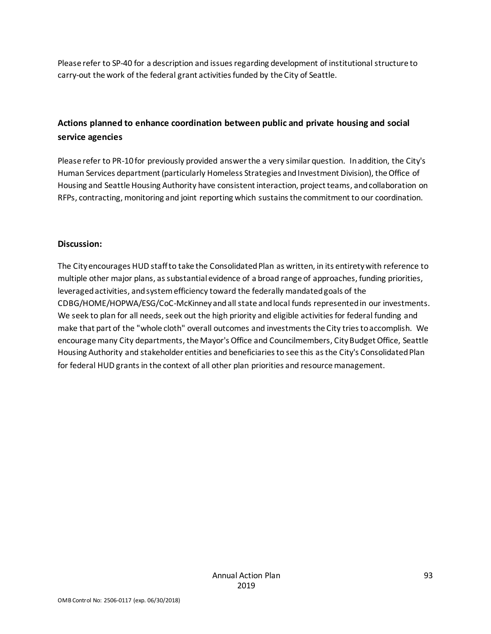Please refer to SP-40 for a description and issues regarding development of institutional structure to carry-out the work of the federal grant activities funded by the City of Seattle.

# **Actions planned to enhance coordination between public and private housing and social service agencies**

Please refer to PR-10 for previously provided answer the a very similar question. In addition, the City's Human Services department (particularly Homeless Strategies and Investment Division), the Office of Housing and Seattle Housing Authority have consistent interaction, project teams, and collaboration on RFPs, contracting, monitoring and joint reporting which sustains the commitment to our coordination.

### **Discussion:**

The City encourages HUD staff to take the Consolidated Plan as written, in its entirety with reference to multiple other major plans, as substantial evidence of a broad range of approaches, funding priorities, leveraged activities, and system efficiency toward the federally mandated goals of the CDBG/HOME/HOPWA/ESG/CoC-McKinney and all state and local funds represented in our investments. We seek to plan for all needs, seek out the high priority and eligible activities for federal funding and make that part of the "whole cloth" overall outcomes and investments the City tries to accomplish. We encourage many City departments, the Mayor's Office and Councilmembers, City Budget Office, Seattle Housing Authority and stakeholder entities and beneficiaries to see this as the City's Consolidated Plan for federal HUD grants in the context of all other plan priorities and resource management.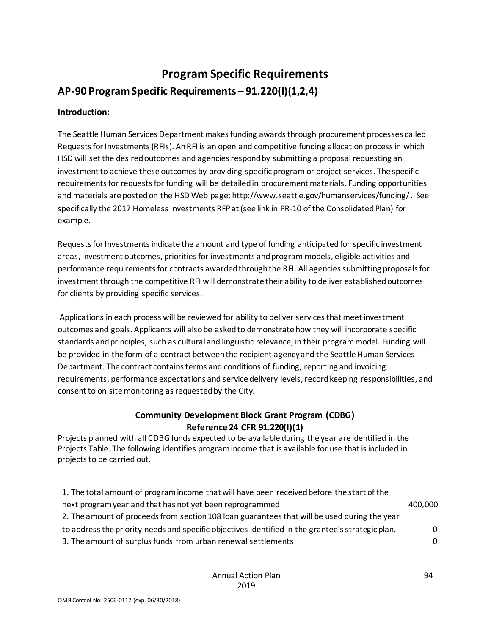# **Program Specific Requirements AP-90 Program Specific Requirements – 91.220(l)(1,2,4)**

## **Introduction:**

The Seattle Human Services Department makes funding awards through procurement processes called Requests for Investments (RFIs). An RFI is an open and competitive funding allocation process in which HSD will set the desired outcomes and agencies respond by submitting a proposal requesting an investment to achieve these outcomes by providing specific program or project services. The specific requirements for requests for funding will be detailed in procurement materials. Funding opportunities and materials are posted on the HSD Web page: http://www.seattle.gov/humanservices/funding/ . See specifically the 2017 Homeless Investments RFP at (see link in PR-10 of the Consolidated Plan) for example.

Requests for Investments indicate the amount and type of funding anticipated for specific investment areas, investment outcomes, priorities for investments and program models, eligible activities and performance requirements for contracts awarded through the RFI. All agencies submitting proposals for investment through the competitive RFI will demonstrate their ability to deliver established outcomes for clients by providing specific services.

Applications in each process will be reviewed for ability to deliver services that meet investment outcomes and goals. Applicants will also be asked to demonstrate how they will incorporate specific standards and principles, such as cultural and linguistic relevance, in their program model. Funding will be provided in the form of a contract between the recipient agency and the Seattle Human Services Department. The contract contains terms and conditions of funding, reporting and invoicing requirements, performance expectations and service delivery levels, record keeping responsibilities, and consent to on site monitoring as requested by the City.

## **Community Development Block Grant Program (CDBG) Reference 24 CFR 91.220(l)(1)**

Projects planned with all CDBG funds expected to be available during the year are identified in the Projects Table. The following identifies program income that is available for use that is included in projects to be carried out.

| 1. The total amount of program income that will have been received before the start of the        |          |
|---------------------------------------------------------------------------------------------------|----------|
| next program year and that has not yet been reprogrammed                                          | 400,000  |
| 2. The amount of proceeds from section 108 loan guarantees that will be used during the year      |          |
| to address the priority needs and specific objectives identified in the grantee's strategic plan. | $\Omega$ |
| 3. The amount of surplus funds from urban renewal settlements                                     | 0        |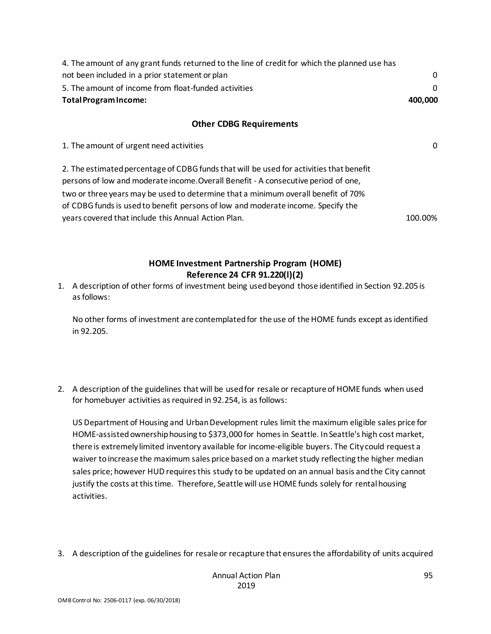| 4. The amount of any grant funds returned to the line of credit for which the planned use has                                                                                                                                                                                                                                                                                                                 |         |
|---------------------------------------------------------------------------------------------------------------------------------------------------------------------------------------------------------------------------------------------------------------------------------------------------------------------------------------------------------------------------------------------------------------|---------|
| not been included in a prior statement or plan                                                                                                                                                                                                                                                                                                                                                                | 0       |
| 5. The amount of income from float-funded activities                                                                                                                                                                                                                                                                                                                                                          | 0       |
| <b>Total Program Income:</b><br>400,000                                                                                                                                                                                                                                                                                                                                                                       |         |
| <b>Other CDBG Requirements</b>                                                                                                                                                                                                                                                                                                                                                                                |         |
| 1. The amount of urgent need activities                                                                                                                                                                                                                                                                                                                                                                       | 0       |
| 2. The estimated percentage of CDBG funds that will be used for activities that benefit<br>persons of low and moderate income. Overall Benefit - A consecutive period of one,<br>two or three years may be used to determine that a minimum overall benefit of 70%<br>of CDBG funds is used to benefit persons of low and moderate income. Specify the<br>years covered that include this Annual Action Plan. | 100.00% |

## **HOME Investment Partnership Program (HOME) Reference 24 CFR 91.220(l)(2)**

1. A description of other forms of investment being used beyond those identified in Section 92.205 is as follows:

No other forms of investment are contemplated for the use of the HOME funds except as identified in 92.205.

2. A description of the guidelines that will be used for resale or recapture of HOME funds when used for homebuyer activities as required in 92.254, is as follows:

US Department of Housing and Urban Development rules limit the maximum eligible sales price for HOME-assisted ownership housing to \$373,000 for homes in Seattle. In Seattle's high cost market, there is extremely limited inventory available for income-eligible buyers. The City could request a waiver to increase the maximum sales price based on a market study reflecting the higher median sales price; however HUD requires this study to be updated on an annual basis and the City cannot justify the costs at this time. Therefore, Seattle will use HOME funds solely for rental housing activities.

3. A description of the guidelines for resale or recapture that ensures the affordability of units acquired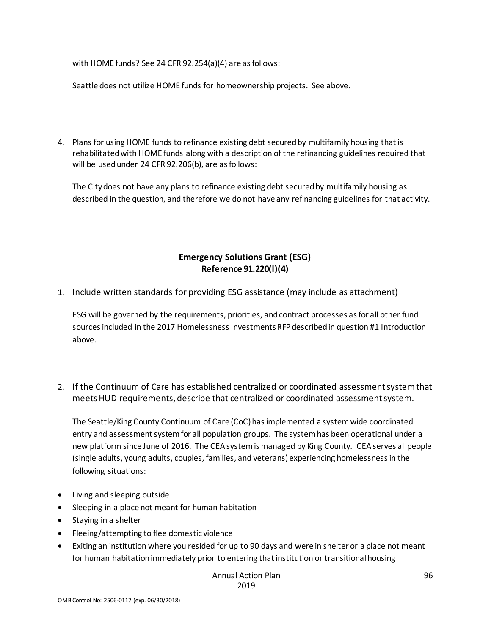with HOME funds? See 24 CFR 92.254(a)(4) are as follows:

Seattle does not utilize HOME funds for homeownership projects. See above.

4. Plans for using HOME funds to refinance existing debt secured by multifamily housing that is rehabilitated with HOME funds along with a description of the refinancing guidelines required that will be used under 24 CFR 92.206(b), are as follows:

The City does not have any plans to refinance existing debt secured by multifamily housing as described in the question, and therefore we do not have any refinancing guidelines for that activity.

# **Emergency Solutions Grant (ESG) Reference 91.220(l)(4)**

1. Include written standards for providing ESG assistance (may include as attachment)

ESG will be governed by the requirements, priorities, and contract processes as for all other fund sources included in the 2017 Homelessness Investments RFP described in question #1 Introduction above.

2. If the Continuum of Care has established centralized or coordinated assessment system that meets HUD requirements, describe that centralized or coordinated assessment system.

The Seattle/King County Continuum of Care (CoC) has implemented a system wide coordinated entry and assessment system for all population groups. The system has been operational under a new platform since June of 2016. The CEA system is managed by King County. CEA serves all people (single adults, young adults, couples, families, and veterans) experiencing homelessness in the following situations:

- Living and sleeping outside
- Sleeping in a place not meant for human habitation
- Staying in a shelter
- Fleeing/attempting to flee domestic violence
- Exiting an institution where you resided for up to 90 days and were in shelter or a place not meant for human habitation immediately prior to entering that institution or transitional housing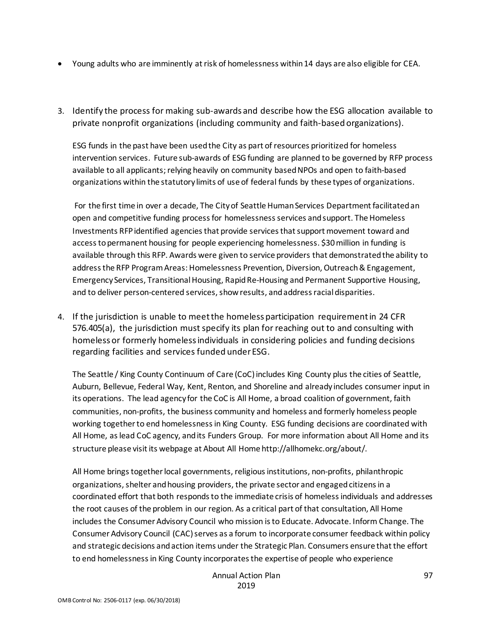- Young adults who are imminently at risk of homelessness within 14 days are also eligible for CEA.
- 3. Identify the process for making sub-awards and describe how the ESG allocation available to private nonprofit organizations (including community and faith-based organizations).

ESG funds in the past have been used the City as part of resources prioritized for homeless intervention services. Future sub-awards of ESG funding are planned to be governed by RFP process available to all applicants; relying heavily on community based NPOs and open to faith-based organizations within the statutory limits of use of federal funds by these types of organizations.

For the first time in over a decade, The City of Seattle Human Services Department facilitated an open and competitive funding process for homelessness services and support. The Homeless Investments RFP identified agencies that provide services that support movement toward and access to permanent housing for people experiencing homelessness. \$30 million in funding is available through this RFP. Awards were given to service providers that demonstrated the ability to address the RFP Program Areas: Homelessness Prevention, Diversion, Outreach & Engagement, Emergency Services, Transitional Housing, Rapid Re-Housing and Permanent Supportive Housing, and to deliver person-centered services, show results, and address racial disparities.

4. If the jurisdiction is unable to meet the homeless participation requirement in 24 CFR 576.405(a), the jurisdiction must specify its plan for reaching out to and consulting with homeless or formerly homeless individuals in considering policies and funding decisions regarding facilities and services funded under ESG.

The Seattle / King County Continuum of Care (CoC) includes King County plus the cities of Seattle, Auburn, Bellevue, Federal Way, Kent, Renton, and Shoreline and already includes consumer input in its operations. The lead agency for the CoC is All Home, a broad coalition of government, faith communities, non-profits, the business community and homeless and formerly homeless people working together to end homelessness in King County. ESG funding decisions are coordinated with All Home, as lead CoC agency, and its Funders Group. For more information about All Home and its structure please visit its webpage at About All Home http://allhomekc.org/about/.

All Home brings together local governments, religious institutions, non-profits, philanthropic organizations, shelter and housing providers, the private sector and engaged citizens in a coordinated effort that both responds to the immediate crisis of homeless individuals and addresses the root causes of the problem in our region. As a critical part of that consultation, All Home includes the Consumer Advisory Council who mission is to Educate. Advocate. Inform Change. The Consumer Advisory Council (CAC) serves as a forum to incorporate consumer feedback within policy and strategic decisions and action items under the Strategic Plan. Consumers ensure that the effort to end homelessness in King County incorporates the expertise of people who experience